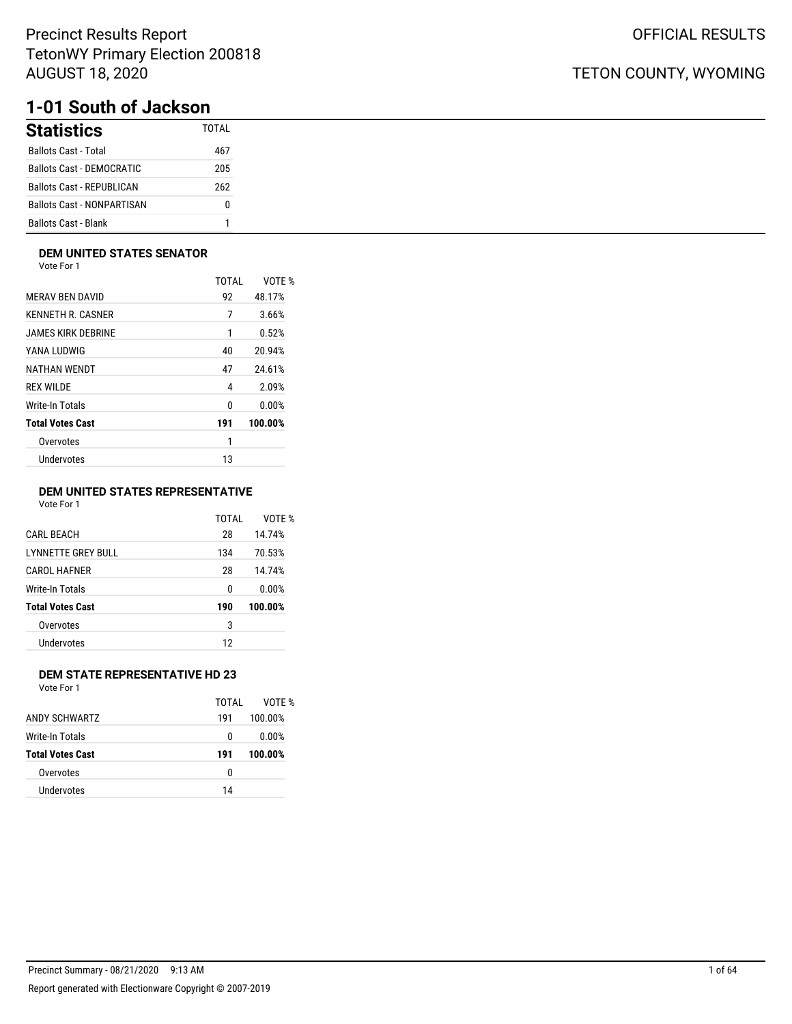# **1-01 South of Jackson**

| <b>Statistics</b>                 | TOTAI |
|-----------------------------------|-------|
| <b>Ballots Cast - Total</b>       | 467   |
| Ballots Cast - DEMOCRATIC         | 205   |
| <b>Ballots Cast - REPUBLICAN</b>  | 262   |
| <b>Ballots Cast - NONPARTISAN</b> | n     |
| <b>Ballots Cast - Blank</b>       |       |

### **DEM UNITED STATES SENATOR**

Vote For 1

|                         | TOTAI | VOTE %  |
|-------------------------|-------|---------|
| <b>MERAV BEN DAVID</b>  | 92    | 48.17%  |
| KENNETH R. CASNER       | 7     | 3.66%   |
| JAMES KIRK DEBRINE      | 1     | 0.52%   |
| YANA LUDWIG             | 40    | 20.94%  |
| NATHAN WENDT            | 47    | 24.61%  |
| <b>REX WILDE</b>        | 4     | 2.09%   |
| Write-In Totals         | 0     | 0.00%   |
| <b>Total Votes Cast</b> | 191   | 100.00% |
| Overvotes               | 1     |         |
| <b>Undervotes</b>       | 13    |         |
|                         |       |         |

### **DEM UNITED STATES REPRESENTATIVE**

Vote For 1

|                           | TOTAI | VOTF %  |
|---------------------------|-------|---------|
| <b>CARL BEACH</b>         | 28    | 14.74%  |
| <b>LYNNETTE GREY BULL</b> | 134   | 70.53%  |
| <b>CAROL HAFNER</b>       | 28    | 14.74%  |
| Write-In Totals           | 0     | 0.00%   |
| <b>Total Votes Cast</b>   | 190   | 100.00% |
| Overvotes                 | 3     |         |
| Undervotes                | 12    |         |
|                           |       |         |

### **DEM STATE REPRESENTATIVE HD 23**

Vote For 1

|                         | TOTAI | VOTF %  |
|-------------------------|-------|---------|
| ANDY SCHWARTZ           | 191   | 100.00% |
| Write-In Totals         | 0     | 0.00%   |
| <b>Total Votes Cast</b> | 191   | 100.00% |
| Overvotes               | 0     |         |
| Undervotes              | 14    |         |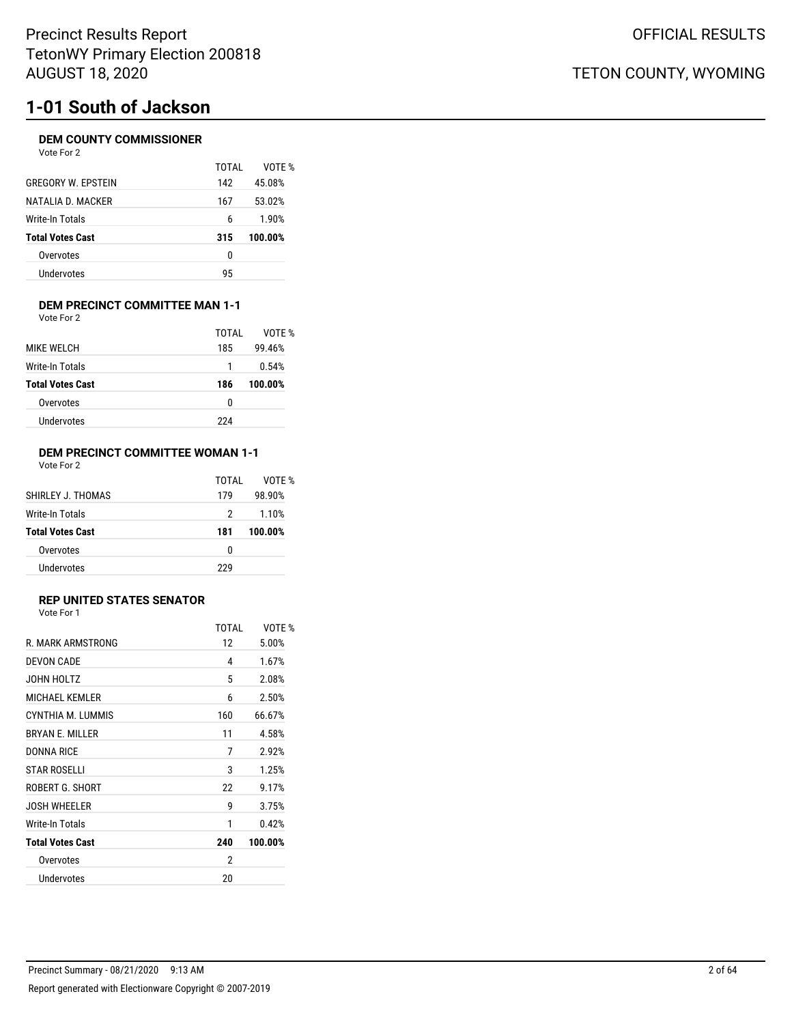# **1-01 South of Jackson**

### **DEM COUNTY COMMISSIONER**

| Vote For 2                |       |        |
|---------------------------|-------|--------|
|                           | TOTAI | VOTF % |
| <b>GREGORY W. EPSTEIN</b> | 142   | 45.08% |
| NATALIA D. MACKER         | 167   | 53.02% |
| Write-In Totals           | 6     | 1.90%  |
|                           |       |        |

| Total Votes Cast | 315 | 100.00% |
|------------------|-----|---------|
| Overvotes        |     |         |
| Undervotes       | 95  |         |
|                  |     |         |

#### **DEM PRECINCT COMMITTEE MAN 1-1** Vote For 2

| <b>MIKE WELCH</b>       | TOTAI<br>185 | VOTF %<br>99.46% |
|-------------------------|--------------|------------------|
| Write-In Totals         |              | 0.54%            |
| <b>Total Votes Cast</b> | 186          | 100.00%          |
| Overvotes               | 0            |                  |
|                         |              |                  |

### **DEM PRECINCT COMMITTEE WOMAN 1-1** Vote For 2

|                         | TOTAI | VOTF %  |
|-------------------------|-------|---------|
| SHIRLEY J. THOMAS       | 179   | 98.90%  |
| Write-In Totals         | 2     | 1.10%   |
| <b>Total Votes Cast</b> | 181   | 100.00% |
| Overvotes               | 0     |         |
| Undervotes              | つつひ   |         |

### **REP UNITED STATES SENATOR**

|                         | <b>TOTAL</b> | VOTE %  |
|-------------------------|--------------|---------|
| R. MARK ARMSTRONG       | 12           | 5.00%   |
| <b>DEVON CADE</b>       | 4            | 1.67%   |
| JOHN HOLTZ              | 5            | 2.08%   |
| <b>MICHAEL KEMLER</b>   | 6            | 2.50%   |
| CYNTHIA M. LUMMIS       | 160          | 66.67%  |
| <b>BRYAN E. MILLER</b>  | 11           | 4.58%   |
| <b>DONNA RICE</b>       | 7            | 2.92%   |
| <b>STAR ROSELLI</b>     | 3            | 1.25%   |
| ROBERT G. SHORT         | 22           | 9.17%   |
| <b>JOSH WHEELER</b>     | 9            | 3.75%   |
| Write-In Totals         | 1            | 0.42%   |
| <b>Total Votes Cast</b> | 240          | 100.00% |
| Overvotes               | 2            |         |
| Undervotes              | 20           |         |
|                         |              |         |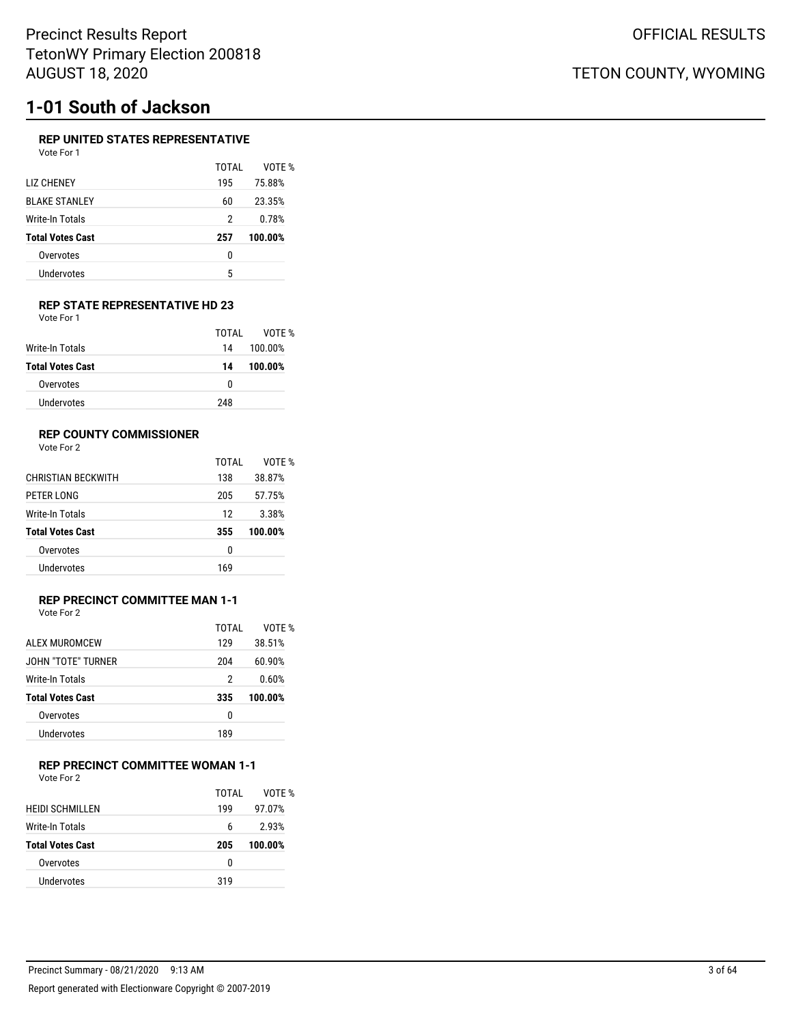# **1-01 South of Jackson**

### **REP UNITED STATES REPRESENTATIVE**

| Vote For 1              |       |         |
|-------------------------|-------|---------|
|                         | TOTAI | VOTE %  |
| LIZ CHENEY              | 195   | 75.88%  |
| <b>BLAKE STANLEY</b>    | 60    | 23.35%  |
| Write-In Totals         | 2     | 0.78%   |
| <b>Total Votes Cast</b> | 257   | 100.00% |
| Overvotes               | 0     |         |
| Undervotes              | 5     |         |

### **REP STATE REPRESENTATIVE HD 23** Vote For 1

|                         | TOTAI | VOTF %  |
|-------------------------|-------|---------|
| Write-In Totals         | 14    | 100.00% |
| <b>Total Votes Cast</b> | 14    | 100.00% |
| Overvotes               | 0     |         |
| Undervotes              | 248   |         |

### **REP COUNTY COMMISSIONER**

Vote For 2

|                           | TOTAL | VOTF %  |
|---------------------------|-------|---------|
| <b>CHRISTIAN BECKWITH</b> | 138   | 38.87%  |
| PETER LONG                | 205   | 57.75%  |
| Write-In Totals           | 12    | 3.38%   |
| <b>Total Votes Cast</b>   | 355   | 100.00% |
| Overvotes                 | 0     |         |
| Undervotes                | 169   |         |

## **REP PRECINCT COMMITTEE MAN 1-1**

Vote For 2

|                         | TOTAI | VOTF %  |
|-------------------------|-------|---------|
| ALEX MUROMCEW           | 129   | 38.51%  |
| JOHN "TOTF" TURNER      | 204   | 60.90%  |
| Write-In Totals         | 2     | 0.60%   |
| <b>Total Votes Cast</b> | 335   | 100.00% |
| Overvotes               | 0     |         |
| Undervotes              | 189   |         |

### **REP PRECINCT COMMITTEE WOMAN 1-1**

Vote For 2

|                         | TOTAI | VOTF %  |
|-------------------------|-------|---------|
| <b>HEIDI SCHMILLEN</b>  | 199   | 97.07%  |
| Write-In Totals         | 6     | 2.93%   |
| <b>Total Votes Cast</b> | 205   | 100.00% |
| Overvotes               | n     |         |
| Undervotes              | 319   |         |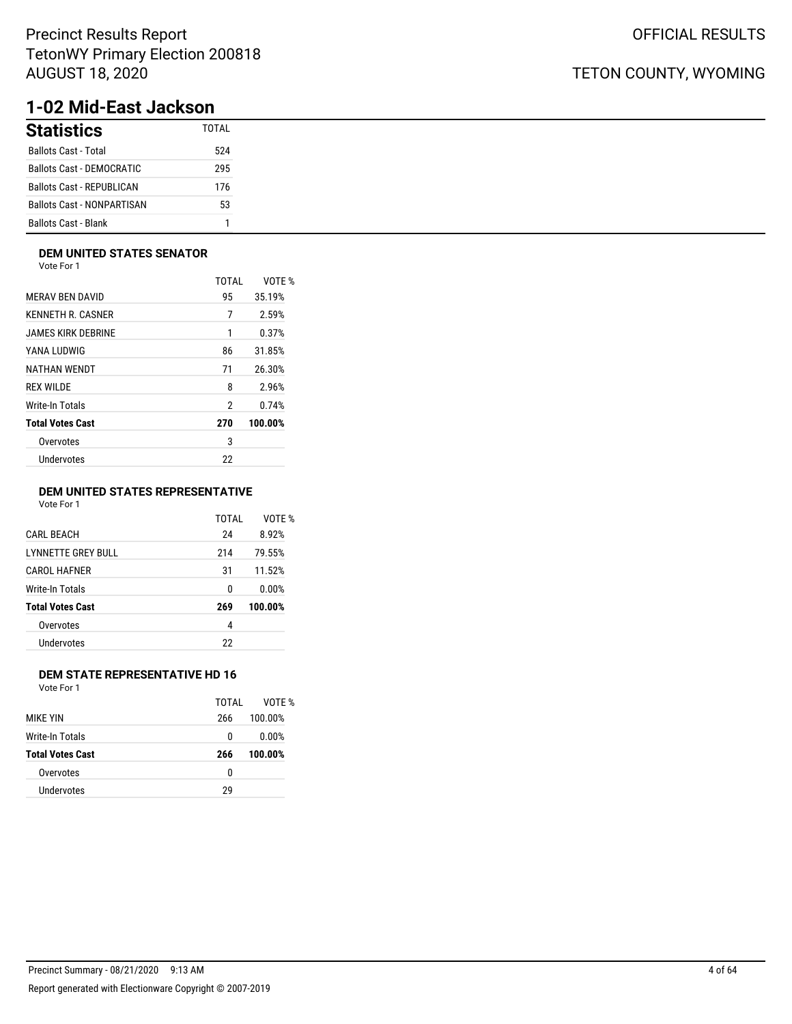# **1-02 Mid-East Jackson**

| <b>Statistics</b>                 | TOTAI |
|-----------------------------------|-------|
| <b>Ballots Cast - Total</b>       | 524   |
| Ballots Cast - DEMOCRATIC         | 295   |
| Ballots Cast - REPUBLICAN         | 176   |
| <b>Ballots Cast - NONPARTISAN</b> | 53    |
| <b>Ballots Cast - Blank</b>       |       |

### **DEM UNITED STATES SENATOR**

Vote For 1

|                         | <b>TOTAL</b> | VOTE %  |
|-------------------------|--------------|---------|
| <b>MERAV BEN DAVID</b>  | 95           | 35.19%  |
| KENNETH R. CASNER       | 7            | 2.59%   |
| JAMES KIRK DEBRINE      | 1            | 0.37%   |
| YANA LUDWIG             | 86           | 31.85%  |
| NATHAN WENDT            | 71           | 26.30%  |
| <b>REX WILDE</b>        | 8            | 2.96%   |
| Write-In Totals         | 2            | 0.74%   |
| <b>Total Votes Cast</b> | 270          | 100.00% |
| Overvotes               | 3            |         |
| Undervotes              | 22           |         |
|                         |              |         |

### **DEM UNITED STATES REPRESENTATIVE**

Vote For 1

|                           | TOTAI | VOTE %  |
|---------------------------|-------|---------|
| <b>CARL BEACH</b>         | 24    | 8.92%   |
| <b>LYNNETTE GREY BULL</b> | 214   | 79.55%  |
| CAROL HAFNER              | 31    | 11.52%  |
| Write-In Totals           | 0     | 0.00%   |
| <b>Total Votes Cast</b>   | 269   | 100.00% |
| Overvotes                 | 4     |         |
| Undervotes                | 22    |         |

### **DEM STATE REPRESENTATIVE HD 16**

Vote For 1

|                         | TOTAI | VOTF %  |
|-------------------------|-------|---------|
| <b>MIKF YIN</b>         | 266   | 100.00% |
| Write-In Totals         | 0     | 0.00%   |
| <b>Total Votes Cast</b> | 266   | 100.00% |
| Overvotes               | 0     |         |
| Undervotes              | 29    |         |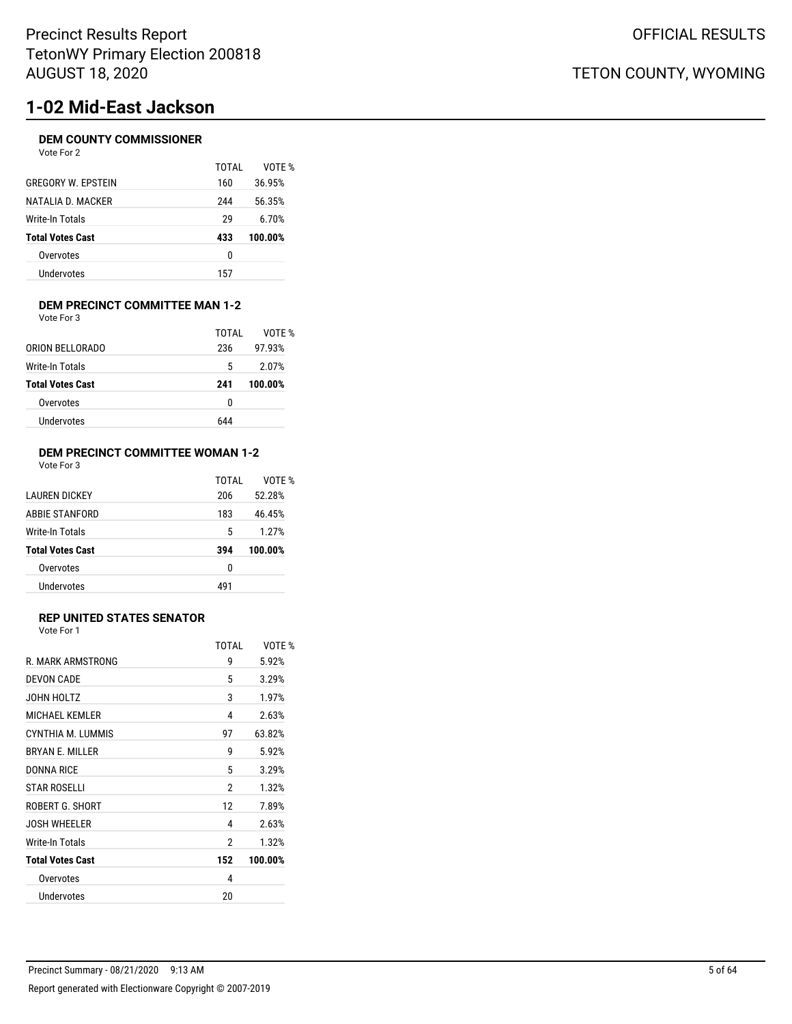# **1-02 Mid-East Jackson**

### **DEM COUNTY COMMISSIONER**

| Vote For 2 |  |
|------------|--|
|------------|--|

|                           | TOTAI | VOTF %  |
|---------------------------|-------|---------|
| <b>GREGORY W. EPSTEIN</b> | 160   | 36.95%  |
| NATALIA D. MACKER         | 244   | 56.35%  |
| Write-In Totals           | 29    | 6.70%   |
| <b>Total Votes Cast</b>   | 433   | 100.00% |
| Overvotes                 | 0     |         |
| Undervotes                | 157   |         |
|                           |       |         |

### **DEM PRECINCT COMMITTEE MAN 1-2** Vote For 3

|                         | TOTAI | VOTF %  |
|-------------------------|-------|---------|
| ORION BELLORADO         | 236   | 97.93%  |
| Write-In Totals         | 5     | 2.07%   |
| <b>Total Votes Cast</b> | 241   | 100.00% |
|                         |       |         |
| Overvotes               | 0     |         |

### **DEM PRECINCT COMMITTEE WOMAN 1-2** Vote For 3

|                         | TOTAI | VOTF %  |
|-------------------------|-------|---------|
| I AUREN DICKEY          | 206   | 52.28%  |
| ABBIE STANFORD          | 183   | 46.45%  |
| Write-In Totals         | 5     | 1.27%   |
| <b>Total Votes Cast</b> | 394   | 100.00% |
| Overvotes               | 0     |         |
| Undervotes              | 491   |         |

### **REP UNITED STATES SENATOR**

Vote For 1

|                         | TOTAI | VOTF %  |
|-------------------------|-------|---------|
| R. MARK ARMSTRONG       | 9     | 5.92%   |
| <b>DEVON CADE</b>       | 5     | 3.29%   |
| JOHN HOLTZ              | 3     | 1.97%   |
| <b>MICHAEL KEMLER</b>   | 4     | 2.63%   |
| CYNTHIA M. LUMMIS       | 97    | 63.82%  |
| <b>BRYAN E. MILLER</b>  | 9     | 5.92%   |
| <b>DONNA RICE</b>       | 5     | 3.29%   |
| <b>STAR ROSELLI</b>     | 2     | 1.32%   |
| ROBERT G. SHORT         | 12    | 7.89%   |
| <b>JOSH WHEELER</b>     | 4     | 2.63%   |
| Write-In Totals         | 2     | 1.32%   |
| <b>Total Votes Cast</b> | 152   | 100.00% |
| Overvotes               | 4     |         |
| Undervotes              | 20    |         |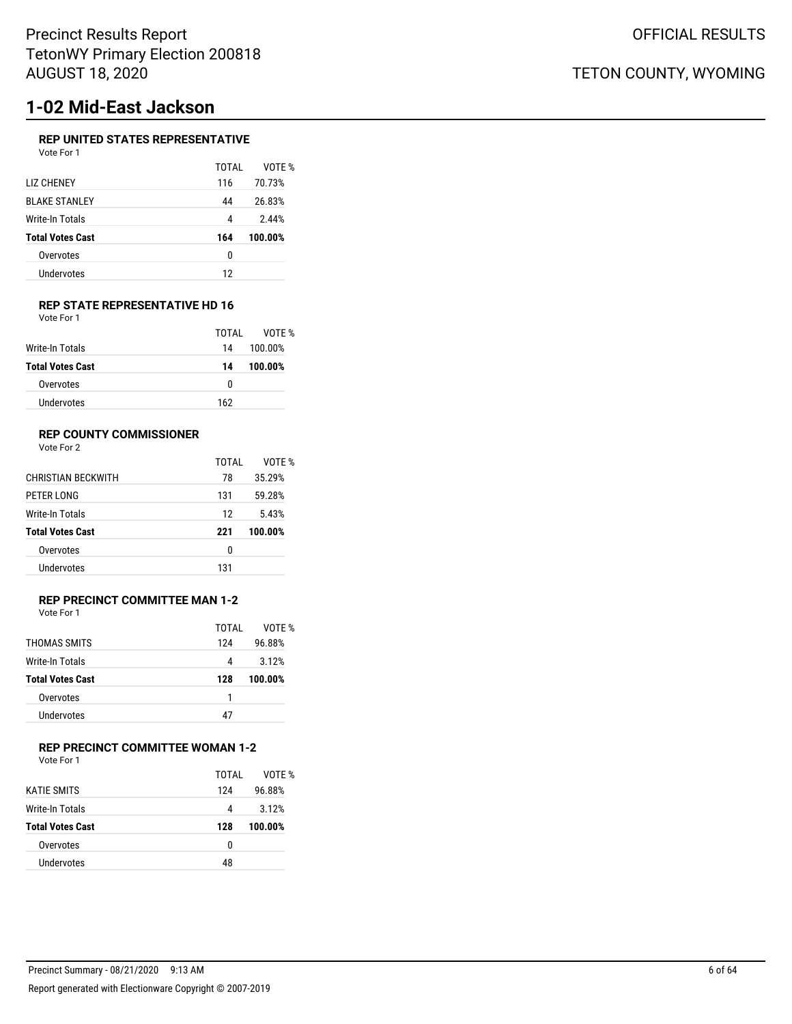# **1-02 Mid-East Jackson**

### **REP UNITED STATES REPRESENTATIVE**

| Vote For 1 |  |
|------------|--|
|            |  |

|                      | TOTAI | VOTF %  |
|----------------------|-------|---------|
| LIZ CHENEY           | 116   | 70.73%  |
| <b>BLAKE STANLEY</b> | 44    | 26.83%  |
| Write-In Totals      | 4     | 2.44%   |
| Total Votes Cast     | 164   | 100.00% |
| Overvotes            | 0     |         |
| Undervotes           | 12    |         |
|                      |       |         |

#### **REP STATE REPRESENTATIVE HD 16** Vote For 1

|                         | TOTAL | VOTF %  |
|-------------------------|-------|---------|
| Write-In Totals         | 14    | 100.00% |
| <b>Total Votes Cast</b> | 14    | 100.00% |
| Overvotes               | n     |         |
| Undervotes              | 162   |         |

### **REP COUNTY COMMISSIONER**

Vote For 2

|                         | TOTAI | VOTF %  |
|-------------------------|-------|---------|
| CHRISTIAN BECKWITH      | 78    | 35.29%  |
| PETER LONG              | 131   | 59.28%  |
| Write-In Totals         | 12    | 5.43%   |
| <b>Total Votes Cast</b> | 221   | 100.00% |
| Overvotes               | 0     |         |
| Undervotes              | 131   |         |

#### **REP PRECINCT COMMITTEE MAN 1-2** Vote For 1

|                         | TOTAI | VOTF %  |
|-------------------------|-------|---------|
| THOMAS SMITS            | 124   | 96.88%  |
| Write-In Totals         | 4     | 3.12%   |
| <b>Total Votes Cast</b> | 128   | 100.00% |
| Overvotes               | 1     |         |
| Undervotes              | 47    |         |
|                         |       |         |

### **REP PRECINCT COMMITTEE WOMAN 1-2**

Vote For 1

|                         | TOTAI | VOTF %  |
|-------------------------|-------|---------|
| <b>KATIF SMITS</b>      | 124   | 96.88%  |
| <b>Write-In Totals</b>  | 4     | 3.12%   |
| <b>Total Votes Cast</b> | 128   | 100.00% |
| Overvotes               | 0     |         |
| Undervotes              | 48    |         |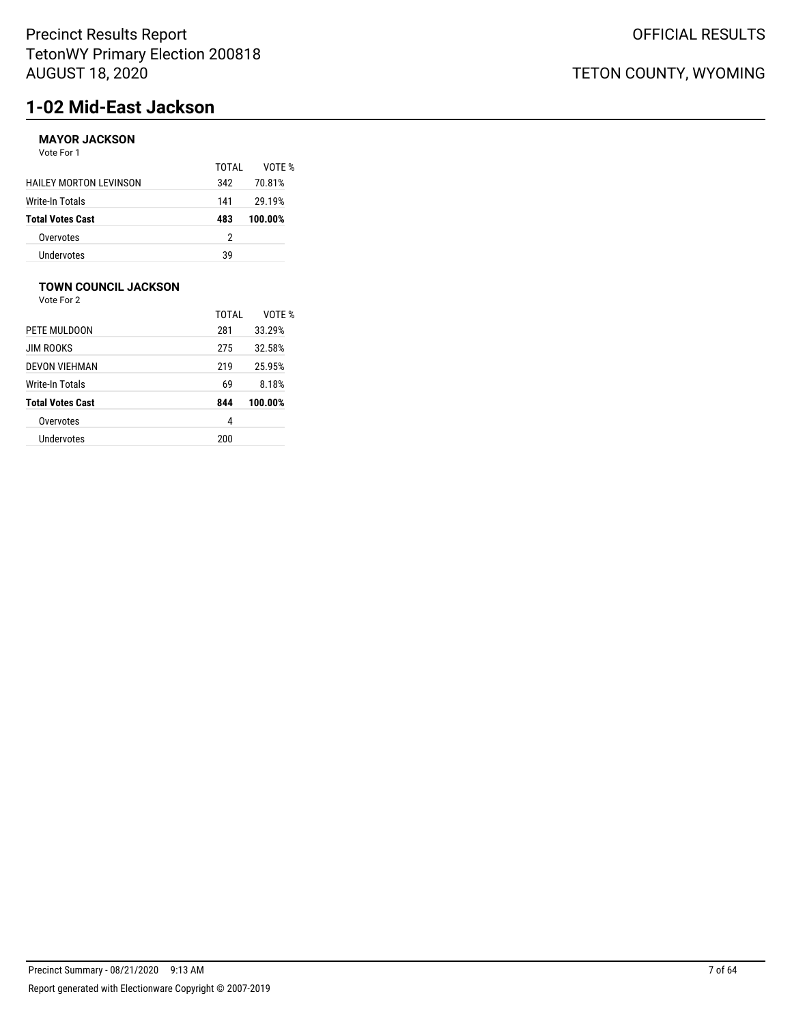# **1-02 Mid-East Jackson**

## **MAYOR JACKSON**

Vote For 1

|                               | TOTAL | VOTF %  |
|-------------------------------|-------|---------|
| <b>HAILEY MORTON LEVINSON</b> | 342   | 70.81%  |
| Write-In Totals               | 141   | 29.19%  |
| <b>Total Votes Cast</b>       | 483   | 100.00% |
| Overvotes                     | 2     |         |
| <b>Undervotes</b>             | 39    |         |

## **TOWN COUNCIL JACKSON**

|                         | TOTAI | VOTF %  |
|-------------------------|-------|---------|
| PETE MULDOON            | 281   | 33.29%  |
| <b>JIM ROOKS</b>        | 275   | 32.58%  |
| <b>DEVON VIEHMAN</b>    | 219   | 25.95%  |
| Write-In Totals         | 69    | 8.18%   |
| <b>Total Votes Cast</b> | 844   | 100.00% |
| Overvotes               | 4     |         |
| Undervotes              | 200   |         |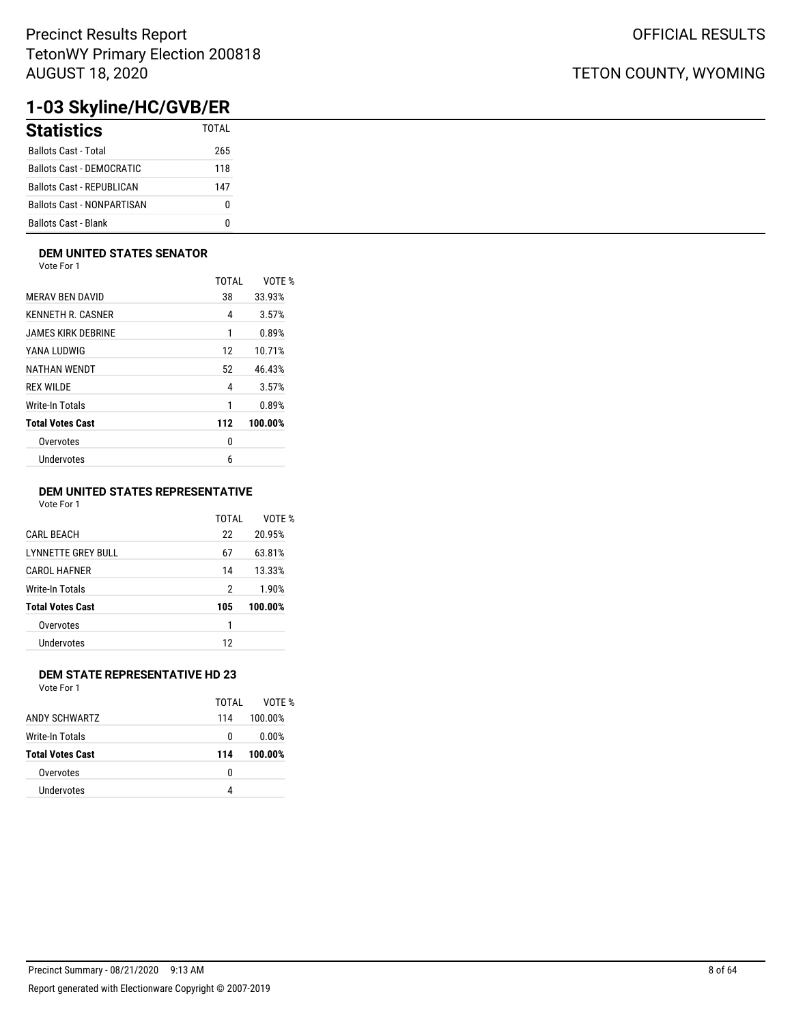# **1-03 Skyline/HC/GVB/ER**

| <b>Statistics</b>                 | TOTAL |
|-----------------------------------|-------|
| <b>Ballots Cast - Total</b>       | 265   |
| Ballots Cast - DEMOCRATIC         | 118   |
| Ballots Cast - REPUBLICAN         | 147   |
| <b>Ballots Cast - NONPARTISAN</b> | o     |
| <b>Ballots Cast - Blank</b>       |       |

### **DEM UNITED STATES SENATOR**

Vote For 1

|                         | <b>TOTAL</b> | VOTE %  |
|-------------------------|--------------|---------|
| <b>MERAV BEN DAVID</b>  | 38           | 33.93%  |
| KENNETH R. CASNER       | 4            | 3.57%   |
| JAMES KIRK DEBRINE      | 1            | 0.89%   |
| YANA LUDWIG             | 12           | 10.71%  |
| NATHAN WENDT            | 52           | 46.43%  |
| <b>REX WILDE</b>        | 4            | 3.57%   |
| Write-In Totals         | 1            | 0.89%   |
| <b>Total Votes Cast</b> | 112          | 100.00% |
| Overvotes               | 0            |         |
| Undervotes              | 6            |         |
|                         |              |         |

### **DEM UNITED STATES REPRESENTATIVE**

Vote For 1

|                           | TOTAI | VOTE %  |
|---------------------------|-------|---------|
| <b>CARL BEACH</b>         | 22    | 20.95%  |
| <b>LYNNETTE GREY BULL</b> | 67    | 63.81%  |
| <b>CAROL HAFNER</b>       | 14    | 13.33%  |
| Write-In Totals           | 2     | 1.90%   |
| <b>Total Votes Cast</b>   | 105   | 100.00% |
| Overvotes                 | 1     |         |
| Undervotes                | 12    |         |
|                           |       |         |

### **DEM STATE REPRESENTATIVE HD 23**

Vote For 1

|                         | TOTAI | VOTF %  |
|-------------------------|-------|---------|
| ANDY SCHWARTZ           | 114   | 100.00% |
| Write-In Totals         | 0     | 0.00%   |
| <b>Total Votes Cast</b> | 114   | 100.00% |
| Overvotes               | 0     |         |
| Undervotes              | 4     |         |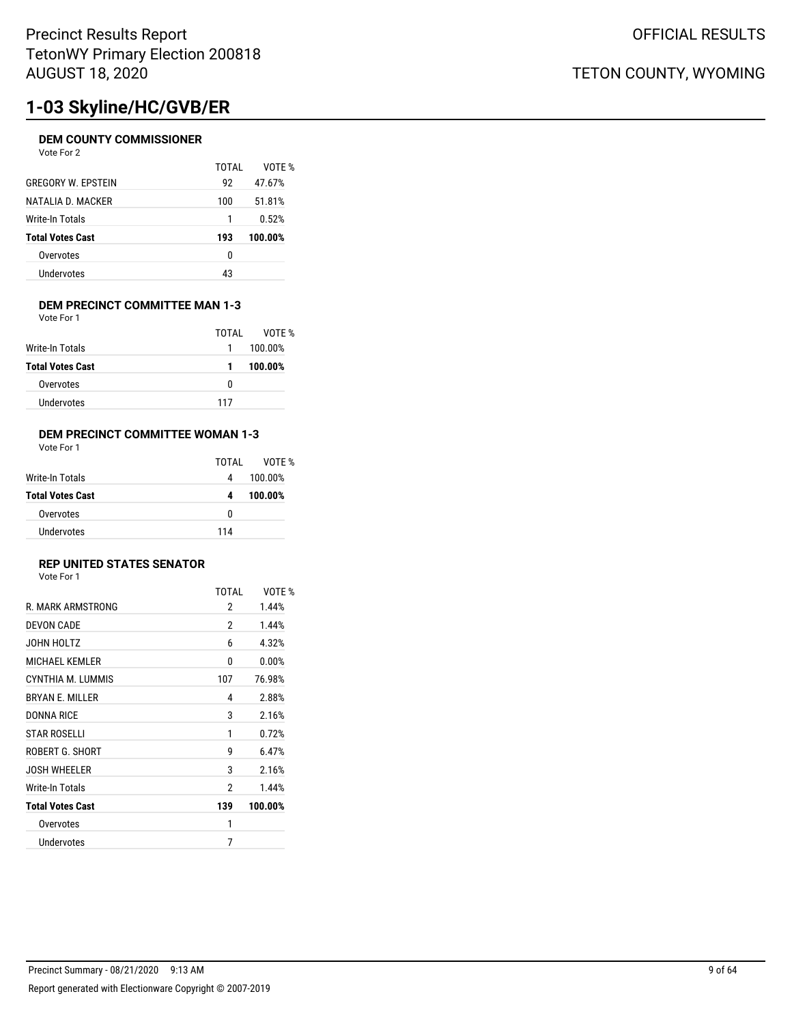# **1-03 Skyline/HC/GVB/ER**

### **DEM COUNTY COMMISSIONER**

| Vote For |  | 2 |
|----------|--|---|
|----------|--|---|

|                           | TOTAI | VOTF %  |
|---------------------------|-------|---------|
| <b>GREGORY W. EPSTEIN</b> | 92    | 47.67%  |
| NATALIA D. MACKER         | 100   | 51.81%  |
| Write-In Totals           | 1     | 0.52%   |
| <b>Total Votes Cast</b>   | 193   | 100.00% |
| Overvotes                 | 0     |         |
| Undervotes                | 43    |         |

#### **DEM PRECINCT COMMITTEE MAN 1-3** Vote For 1

|                         | TOTAL | VOTF %  |
|-------------------------|-------|---------|
| Write-In Totals         | 1     | 100.00% |
| <b>Total Votes Cast</b> | 1     | 100.00% |
| Overvotes               | n     |         |
| Undervotes              | 117   |         |

### **DEM PRECINCT COMMITTEE WOMAN 1-3**

| Vote For 1 |  |
|------------|--|
|------------|--|

|                         | TOTAL | VOTE %  |
|-------------------------|-------|---------|
| Write-In Totals         | 4     | 100.00% |
| <b>Total Votes Cast</b> | 4     | 100.00% |
| Overvotes               | 0     |         |
| Undervotes              | 114   |         |

### **REP UNITED STATES SENATOR**

| Vote For 1 |  |  |
|------------|--|--|
|            |  |  |

|                         | <b>TOTAL</b> | VOTE %  |
|-------------------------|--------------|---------|
| R. MARK ARMSTRONG       | 2            | 1.44%   |
| <b>DEVON CADE</b>       | 2            | 1.44%   |
| JOHN HOLTZ              | 6            | 4.32%   |
| <b>MICHAEL KEMLER</b>   | 0            | 0.00%   |
| CYNTHIA M. LUMMIS       | 107          | 76.98%  |
| <b>BRYAN E. MILLER</b>  | 4            | 2.88%   |
| DONNA RICE              | 3            | 2.16%   |
| <b>STAR ROSELLI</b>     | 1            | 0.72%   |
| ROBERT G. SHORT         | g            | 6.47%   |
| <b>JOSH WHEELER</b>     | 3            | 2.16%   |
| Write-In Totals         | 2            | 1.44%   |
| <b>Total Votes Cast</b> | 139          | 100.00% |
| Overvotes               | 1            |         |
| Undervotes              | 7            |         |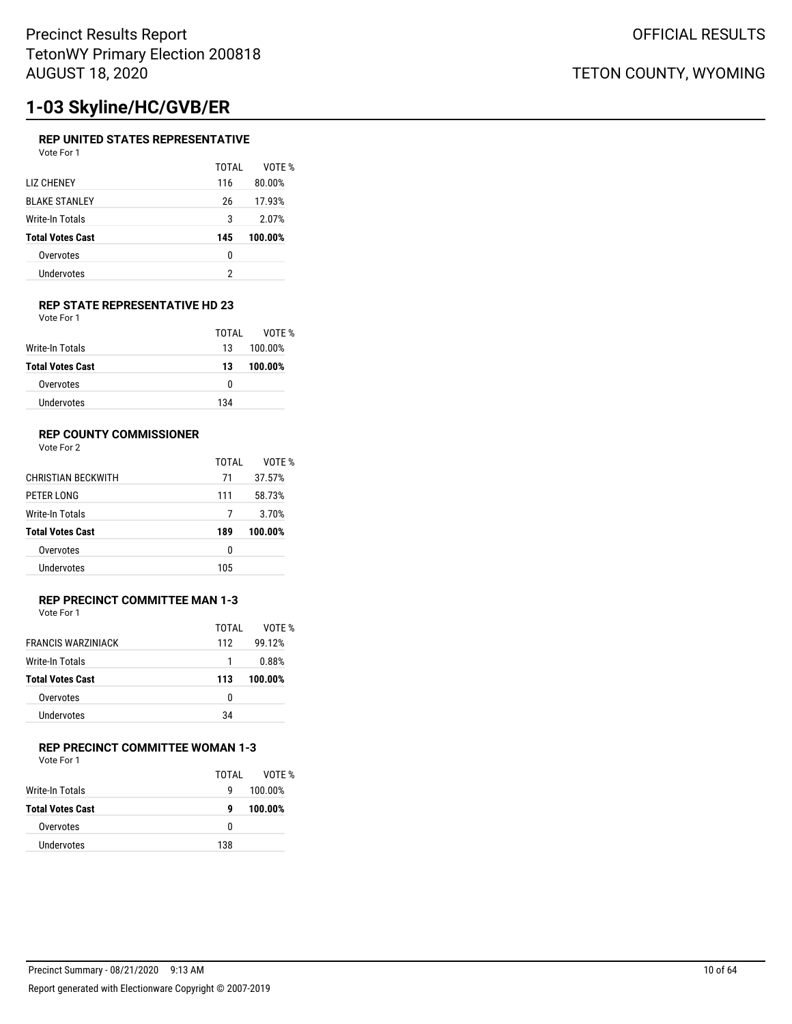# **1-03 Skyline/HC/GVB/ER**

### **REP UNITED STATES REPRESENTATIVE**

| Vote For 1 |  |
|------------|--|
|            |  |

|                         | TOTAI | VOTF %  |
|-------------------------|-------|---------|
| <b>LIZ CHENEY</b>       | 116   | 80.00%  |
| <b>BLAKE STANLEY</b>    | 26    | 17.93%  |
| Write-In Totals         | 3     | 2.07%   |
| <b>Total Votes Cast</b> | 145   | 100.00% |
| Overvotes               | 0     |         |
| Undervotes              | 2     |         |
|                         |       |         |

#### **REP STATE REPRESENTATIVE HD 23** Vote For 1

|                         | TOTAI | VOTF %  |
|-------------------------|-------|---------|
| Write-In Totals         | 13    | 100.00% |
| <b>Total Votes Cast</b> | 13    | 100.00% |
| Overvotes               | 0     |         |
| Undervotes              | 134   |         |

### **REP COUNTY COMMISSIONER**

Vote For 2

|                           | TOTAL | VOTF %  |
|---------------------------|-------|---------|
| <b>CHRISTIAN BECKWITH</b> | 71    | 37.57%  |
| PETER LONG                | 111   | 58.73%  |
| Write-In Totals           |       | 3.70%   |
| <b>Total Votes Cast</b>   | 189   | 100.00% |
| Overvotes                 | 0     |         |
| Undervotes                | 105   |         |

### **REP PRECINCT COMMITTEE MAN 1-3** Vote For 1

| <b>FRANCIS WARZINIACK</b> | TOTAI<br>112 | VOTF %<br>99.12% |
|---------------------------|--------------|------------------|
| Write-In Totals           |              | 0.88%            |
| <b>Total Votes Cast</b>   | 113          | 100.00%          |
| Overvotes                 | 0            |                  |
| <b>Undervotes</b>         | 34           |                  |

### **REP PRECINCT COMMITTEE WOMAN 1-3**

Vote For 1

|                         | TOTAI | VOTF %  |
|-------------------------|-------|---------|
| Write-In Totals         | g     | 100.00% |
| <b>Total Votes Cast</b> | g     | 100.00% |
| Overvotes               | n     |         |
| Undervotes              | 138   |         |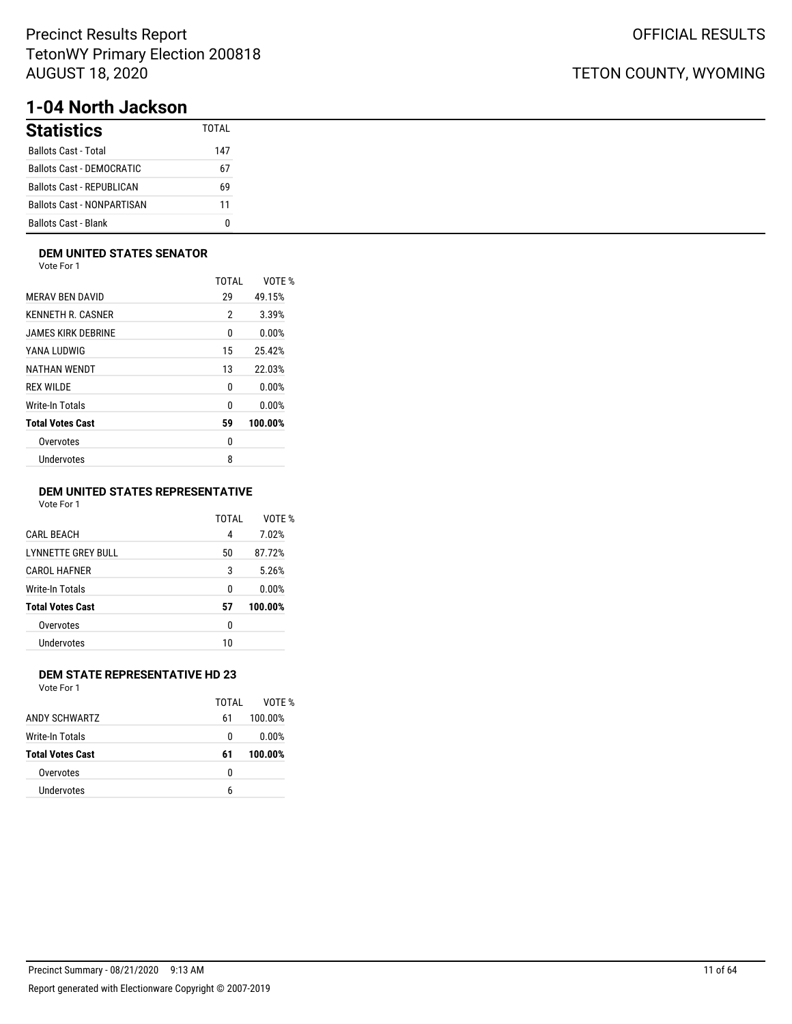# **1-04 North Jackson**

| <b>Statistics</b>                 | TOTAI |
|-----------------------------------|-------|
| <b>Ballots Cast - Total</b>       | 147   |
| <b>Ballots Cast - DEMOCRATIC</b>  | 67    |
| <b>Ballots Cast - REPUBLICAN</b>  | 69    |
| <b>Ballots Cast - NONPARTISAN</b> | 11    |
| <b>Ballots Cast - Blank</b>       |       |

### **DEM UNITED STATES SENATOR**

Vote For 1

|                         | TOTAI | VOTE %  |
|-------------------------|-------|---------|
| <b>MERAV BEN DAVID</b>  | 29    | 49.15%  |
| KENNETH R. CASNER       | 2     | 3.39%   |
| JAMES KIRK DEBRINE      | 0     | 0.00%   |
| YANA LUDWIG             | 15    | 25.42%  |
| NATHAN WENDT            | 13    | 22.03%  |
| <b>REX WILDE</b>        | 0     | 0.00%   |
| Write-In Totals         | 0     | 0.00%   |
| <b>Total Votes Cast</b> | 59    | 100.00% |
| Overvotes               | 0     |         |
| Undervotes              | 8     |         |
|                         |       |         |

### **DEM UNITED STATES REPRESENTATIVE**

Vote For 1

|                           | TOTAI | VOTE %  |
|---------------------------|-------|---------|
| <b>CARL BEACH</b>         | 4     | 7.02%   |
| <b>LYNNETTE GREY BULL</b> | 50    | 87.72%  |
| CAROL HAFNER              | 3     | 5.26%   |
| Write-In Totals           | 0     | 0.00%   |
| <b>Total Votes Cast</b>   | 57    | 100.00% |
| Overvotes                 | 0     |         |
| Undervotes                | 10    |         |
|                           |       |         |

### **DEM STATE REPRESENTATIVE HD 23**

Vote For 1

|                         | TOTAL | VOTF %  |
|-------------------------|-------|---------|
| ANDY SCHWARTZ           | 61    | 100.00% |
| Write-In Totals         | 0     | 0.00%   |
| <b>Total Votes Cast</b> | 61    | 100.00% |
| Overvotes               | 0     |         |
| Undervotes              | 6     |         |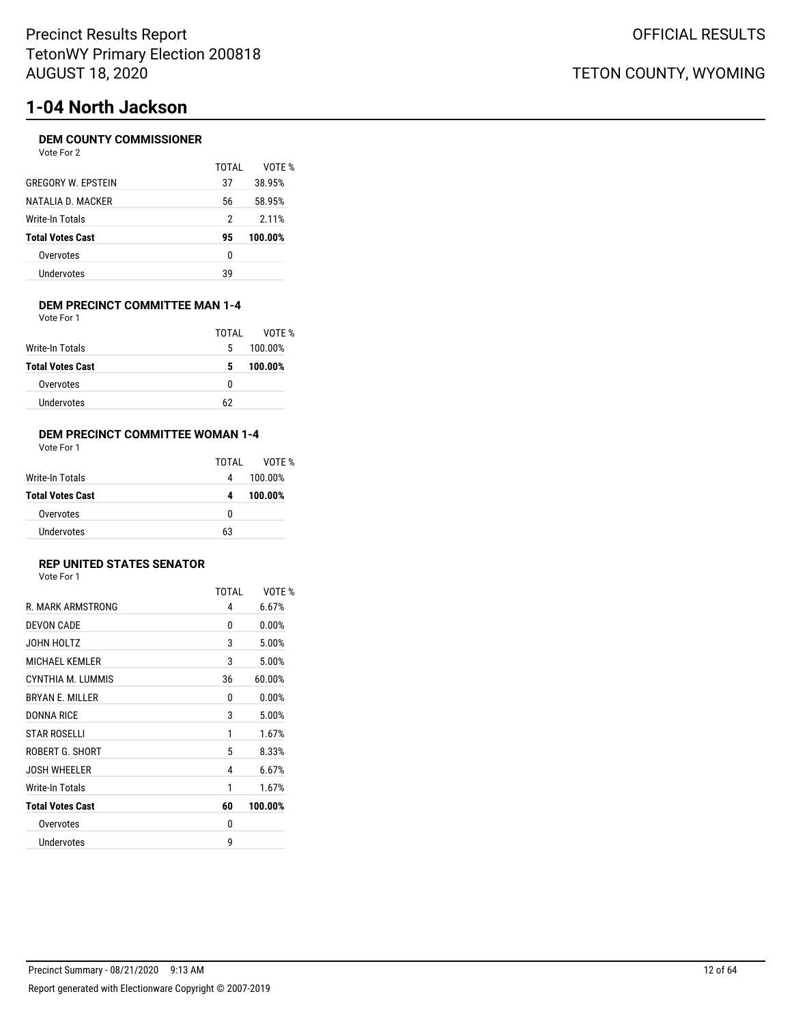# **1-04 North Jackson**

### **DEM COUNTY COMMISSIONER**

| Vote For |  | 2 |
|----------|--|---|
|----------|--|---|

| TOTAI | VOTF %  |
|-------|---------|
| 37    | 38.95%  |
| 56    | 58.95%  |
| 2     | 2.11%   |
| 95    | 100.00% |
| 0     |         |
| 39    |         |
|       |         |

#### **DEM PRECINCT COMMITTEE MAN 1-4** Vote For 1

|                         | TOTAL | VOTE %  |
|-------------------------|-------|---------|
| Write-In Totals         | 5     | 100.00% |
| <b>Total Votes Cast</b> | 5     | 100.00% |
| Overvotes               | 0     |         |
| <b>Undervotes</b>       | 62    |         |

### **DEM PRECINCT COMMITTEE WOMAN 1-4**

Vote For 1

|                         | TOTAL | VOTF %  |
|-------------------------|-------|---------|
| Write-In Totals         | 4     | 100.00% |
| <b>Total Votes Cast</b> | 4     | 100.00% |
| Overvotes               | o     |         |
| Undervotes              | 63    |         |

### **REP UNITED STATES SENATOR**

| Vote For 1 |  |  |
|------------|--|--|
|            |  |  |

|                         | <b>TOTAL</b> | VOTE %  |
|-------------------------|--------------|---------|
| R. MARK ARMSTRONG       | 4            | 6.67%   |
| DEVON CADE              | 0            | 0.00%   |
| JOHN HOLTZ              | 3            | 5.00%   |
| <b>MICHAEL KEMLER</b>   | 3            | 5.00%   |
| CYNTHIA M. LUMMIS       | 36           | 60.00%  |
| <b>BRYAN E. MILLER</b>  | 0            | 0.00%   |
| <b>DONNA RICE</b>       | 3            | 5.00%   |
| <b>STAR ROSELLI</b>     | 1            | 1.67%   |
| ROBERT G. SHORT         | 5            | 8.33%   |
| <b>JOSH WHEELER</b>     | 4            | 6.67%   |
| Write-In Totals         | 1            | 1.67%   |
| <b>Total Votes Cast</b> | 60           | 100.00% |
| Overvotes               | 0            |         |
| Undervotes              | g            |         |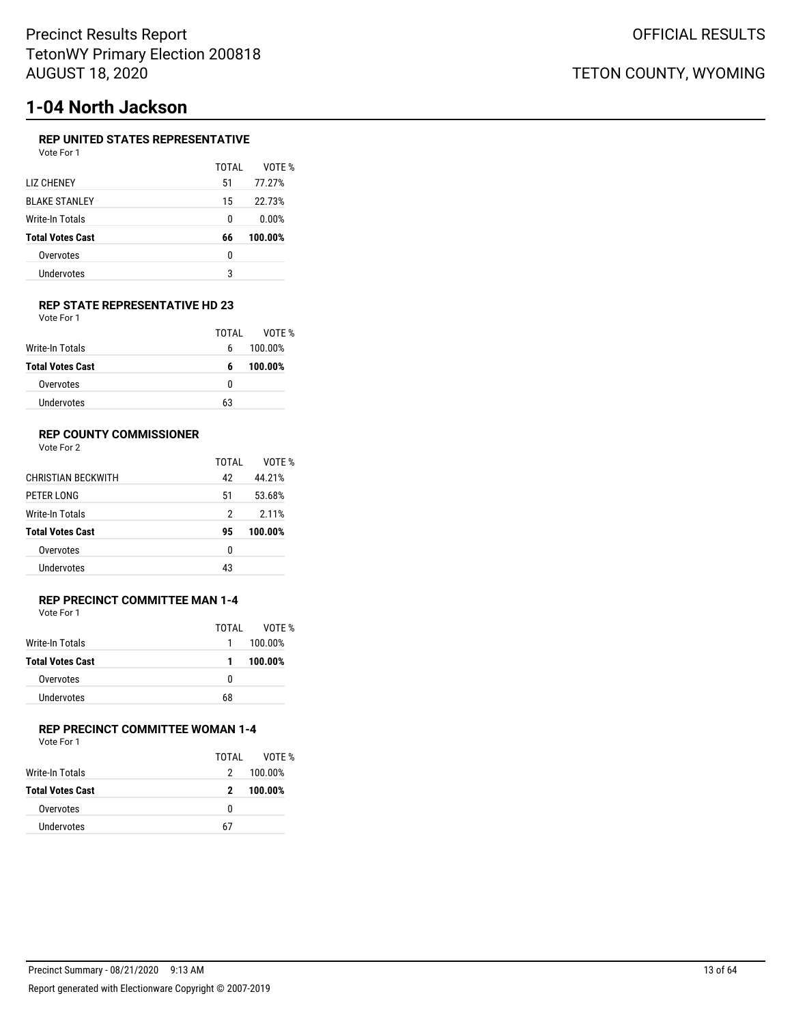# **1-04 North Jackson**

### **REP UNITED STATES REPRESENTATIVE**

| Vote For 1              |       |         |
|-------------------------|-------|---------|
|                         | TOTAI | VOTE %  |
| <b>LIZ CHENEY</b>       | 51    | 77.27%  |
| <b>BI AKE STANI FY</b>  | 15    | 22.73%  |
| Write-In Totals         | 0     | 0.00%   |
| <b>Total Votes Cast</b> | 66    | 100.00% |
| Overvotes               | 0     |         |
| Undervotes              | 3     |         |
|                         |       |         |

### **REP STATE REPRESENTATIVE HD 23** Vote For 1

|                         | TOTAL | VOTE %  |
|-------------------------|-------|---------|
| Write-In Totals         | 6     | 100.00% |
| <b>Total Votes Cast</b> | 6     | 100.00% |
| Overvotes               | o     |         |
| Undervotes              | 63    |         |

### **REP COUNTY COMMISSIONER**

Vote For 2

|                           | TOTAL | VOTF %  |
|---------------------------|-------|---------|
| <b>CHRISTIAN BECKWITH</b> | 42    | 44.21%  |
| PETER LONG                | 51    | 53.68%  |
| Write-In Totals           | 2     | 2.11%   |
| <b>Total Votes Cast</b>   | 95    | 100.00% |
| Overvotes                 | 0     |         |
| Undervotes                | 43    |         |
|                           |       |         |

### **REP PRECINCT COMMITTEE MAN 1-4** Vote For 1

|                         | TOTAI | VOTF %  |
|-------------------------|-------|---------|
| Write-In Totals         | 1.    | 100.00% |
| <b>Total Votes Cast</b> | 1.    | 100.00% |
| Overvotes               | n     |         |
| Undervotes              | 68    |         |

## **REP PRECINCT COMMITTEE WOMAN 1-4**

Vote For 1

|                         | TOTAI | VOTF %  |
|-------------------------|-------|---------|
| Write-In Totals         | 2     | 100.00% |
| <b>Total Votes Cast</b> | 2     | 100.00% |
| Overvotes               | 0     |         |
| Undervotes              | 67    |         |
|                         |       |         |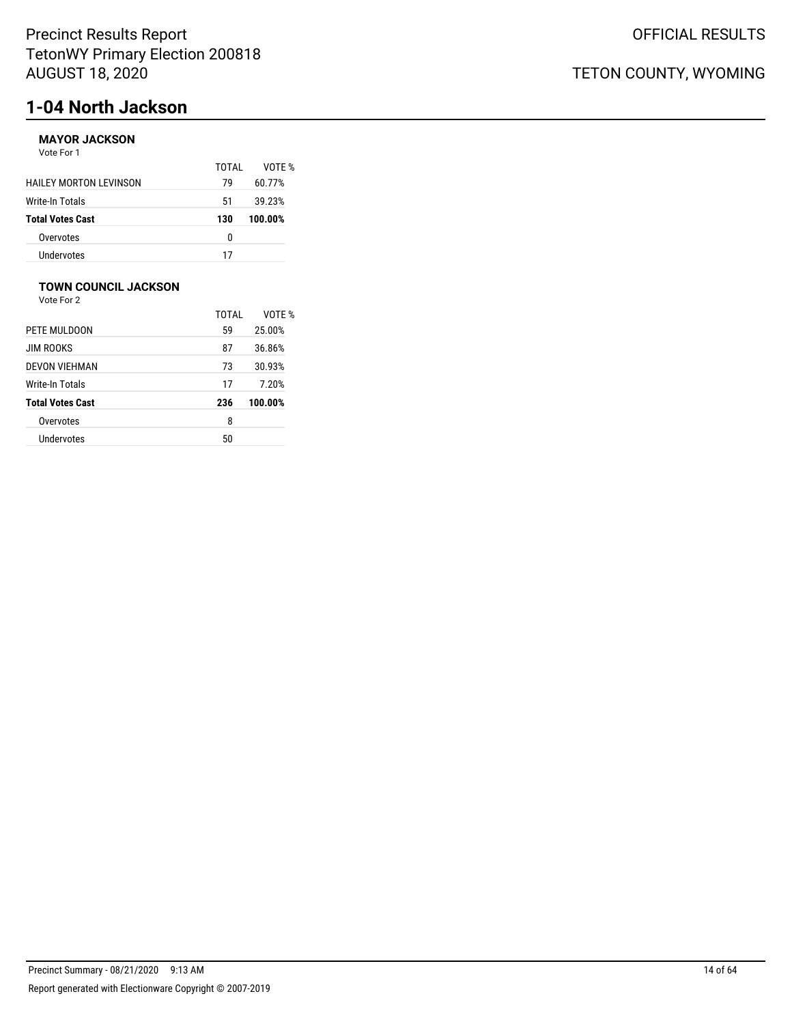# **1-04 North Jackson**

### **MAYOR JACKSON**

Vote For 1

|                               | TOTAI | VOTF %  |
|-------------------------------|-------|---------|
| <b>HAILEY MORTON LEVINSON</b> | 79    | 60.77%  |
| <b>Write-In Totals</b>        | 51    | 39.23%  |
| <b>Total Votes Cast</b>       | 130   | 100.00% |
| Overvotes                     | n     |         |
| Undervotes                    | 17    |         |

### **TOWN COUNCIL JACKSON**

Vote For 2

|                         | TOTAI | VOTF %  |
|-------------------------|-------|---------|
| PETE MULDOON            | 59    | 25.00%  |
| <b>JIM ROOKS</b>        | 87    | 36.86%  |
| <b>DEVON VIEHMAN</b>    | 73    | 30.93%  |
| Write-In Totals         | 17    | 7.20%   |
| <b>Total Votes Cast</b> | 236   | 100.00% |
| Overvotes               | 8     |         |
| Undervotes              | 50    |         |
|                         |       |         |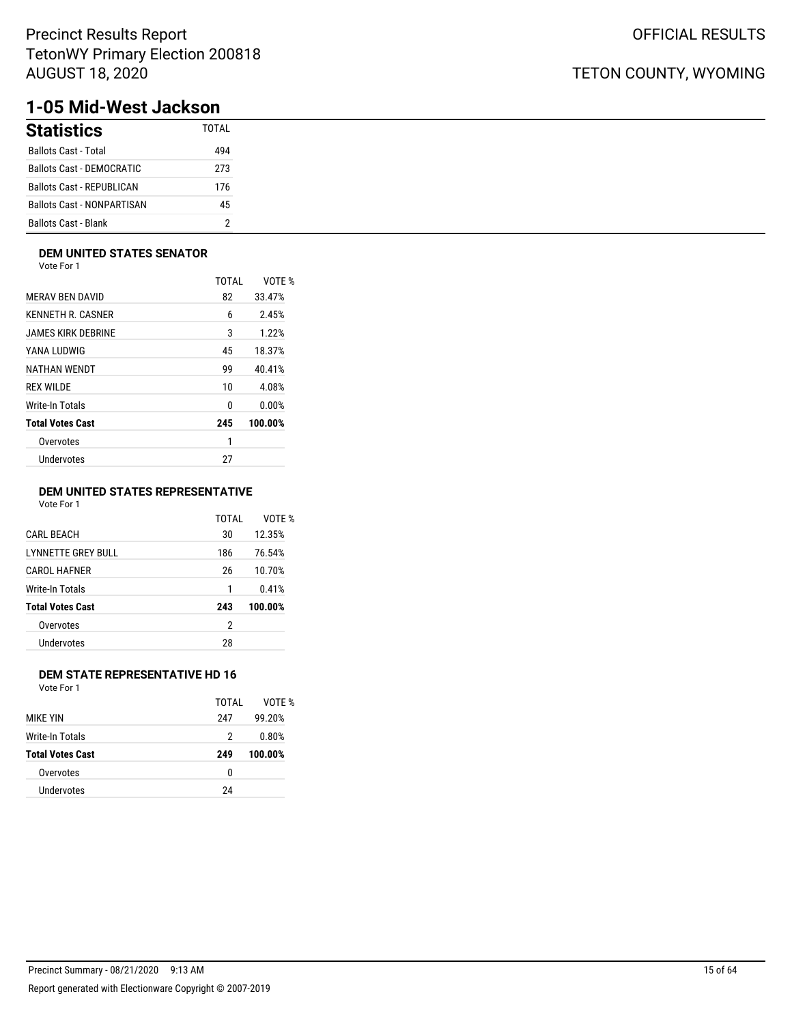## TETON COUNTY, WYOMING

# **1-05 Mid-West Jackson**

| <b>Statistics</b>                 | TOTAL |
|-----------------------------------|-------|
| <b>Ballots Cast - Total</b>       | 494   |
| Ballots Cast - DEMOCRATIC         | 273   |
| Ballots Cast - REPUBLICAN         | 176   |
| <b>Ballots Cast - NONPARTISAN</b> | 45    |
| <b>Ballots Cast - Blank</b>       |       |

### **DEM UNITED STATES SENATOR**

Vote For 1

|                         | <b>TOTAL</b> | VOTE %  |
|-------------------------|--------------|---------|
| <b>MERAV BEN DAVID</b>  | 82           | 33.47%  |
| KENNETH R. CASNER       | 6            | 2.45%   |
| JAMES KIRK DEBRINE      | 3            | 1.22%   |
| YANA LUDWIG             | 45           | 18.37%  |
| NATHAN WENDT            | 99           | 40.41%  |
| <b>REX WILDE</b>        | 10           | 4.08%   |
| Write-In Totals         | 0            | 0.00%   |
| <b>Total Votes Cast</b> | 245          | 100.00% |
| Overvotes               | 1            |         |
| Undervotes              | 27           |         |
|                         |              |         |

### **DEM UNITED STATES REPRESENTATIVE**

Vote For 1

|                         | TOTAI | VOTF %  |
|-------------------------|-------|---------|
| <b>CARL BEACH</b>       | 30    | 12.35%  |
| LYNNETTE GREY BULL      | 186   | 76.54%  |
| <b>CAROL HAFNER</b>     | 26    | 10.70%  |
| Write-In Totals         | 1     | 0.41%   |
| <b>Total Votes Cast</b> | 243   | 100.00% |
| Overvotes               | 2     |         |
| Undervotes              | 28    |         |
|                         |       |         |

### **DEM STATE REPRESENTATIVE HD 16**

|                         | TOTAI | VOTF %  |
|-------------------------|-------|---------|
| <b>MIKF YIN</b>         | 247   | 99.20%  |
| Write-In Totals         | 2     | 0.80%   |
| <b>Total Votes Cast</b> | 249   | 100.00% |
| Overvotes               | 0     |         |
| Undervotes              | 24    |         |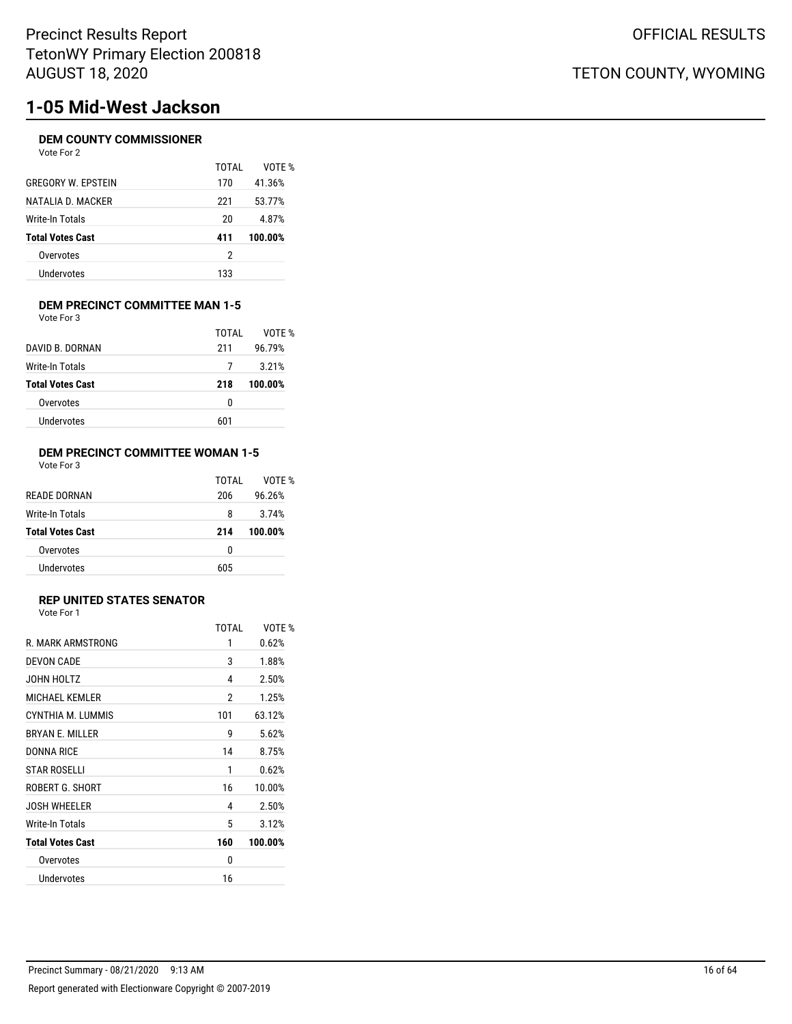# **1-05 Mid-West Jackson**

### **DEM COUNTY COMMISSIONER**

| Vote For 2 |  |  |
|------------|--|--|
|            |  |  |

|                           | TOTAI | VOTF %  |
|---------------------------|-------|---------|
| <b>GREGORY W. EPSTEIN</b> | 170   | 41.36%  |
| NATALIA D. MACKER         | 221   | 53.77%  |
| Write-In Totals           | 20    | 4.87%   |
| <b>Total Votes Cast</b>   | 411   | 100.00% |
| Overvotes                 | 2     |         |
| Undervotes                | 133   |         |

#### **DEM PRECINCT COMMITTEE MAN 1-5** Vote For 3

|                         | TOTAI | VOTF %  |
|-------------------------|-------|---------|
| DAVID B. DORNAN         | 211   | 96.79%  |
| Write-In Totals         |       | 3.21%   |
| <b>Total Votes Cast</b> | 218   | 100.00% |
| Overvotes               | 0     |         |
|                         |       |         |

### **DEM PRECINCT COMMITTEE WOMAN 1-5** Vote For 3

|                         | TOTAI | VOTF %  |
|-------------------------|-------|---------|
| <b>READE DORNAN</b>     | 206   | 96.26%  |
| Write-In Totals         | 8     | 3.74%   |
| <b>Total Votes Cast</b> | 214   | 100.00% |
| Overvotes               | 0     |         |
| Undervotes              | 605   |         |

### **REP UNITED STATES SENATOR**

Vote For 1

| 1<br>3<br>4<br>2<br>101<br>g<br>14 | 0.62%<br>1.88%<br>2.50%<br>1.25%<br>63.12%<br>5.62%<br>8.75% |
|------------------------------------|--------------------------------------------------------------|
|                                    |                                                              |
|                                    |                                                              |
|                                    |                                                              |
|                                    |                                                              |
|                                    |                                                              |
|                                    |                                                              |
|                                    |                                                              |
| 1                                  | 0.62%                                                        |
| 16                                 | 10.00%                                                       |
| 4                                  | 2.50%                                                        |
| 5                                  | 3.12%                                                        |
| 160                                | 100.00%                                                      |
| 0                                  |                                                              |
| 16                                 |                                                              |
|                                    |                                                              |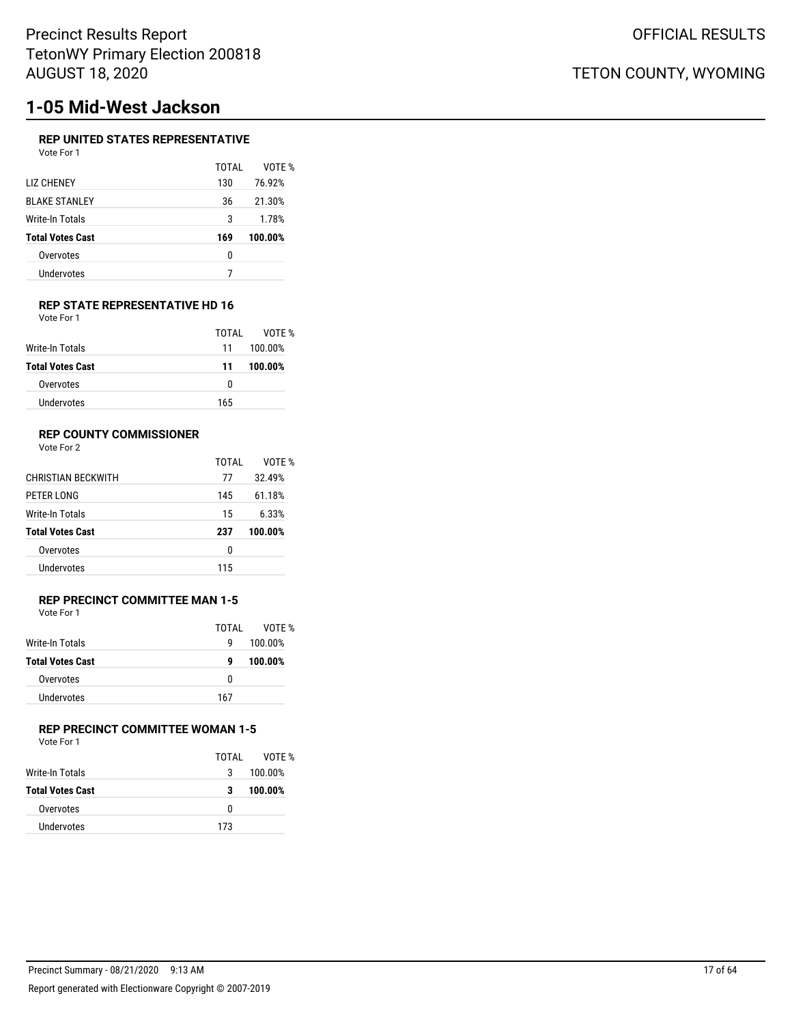# **1-05 Mid-West Jackson**

### **REP UNITED STATES REPRESENTATIVE**

| Vote For 1 |  |  |
|------------|--|--|
|            |  |  |

|                         | TOTAI | VOTF %  |
|-------------------------|-------|---------|
| <b>LIZ CHENEY</b>       | 130   | 76.92%  |
| <b>BLAKE STANLEY</b>    | 36    | 21.30%  |
| Write-In Totals         | 3     | 1.78%   |
| <b>Total Votes Cast</b> | 169   | 100.00% |
| Overvotes               | 0     |         |
| Undervotes              |       |         |
|                         |       |         |

#### **REP STATE REPRESENTATIVE HD 16** Vote For 1

|                         | TOTAL | VOTF %  |
|-------------------------|-------|---------|
| Write-In Totals         | 11    | 100.00% |
| <b>Total Votes Cast</b> | 11    | 100.00% |
| Overvotes               | 0     |         |
| Undervotes              | 165   |         |

### **REP COUNTY COMMISSIONER**

Vote For 2

|                           | TOTAI | VOTF %  |
|---------------------------|-------|---------|
| <b>CHRISTIAN BECKWITH</b> | 77    | 32.49%  |
| PETER LONG                | 145   | 61.18%  |
| Write-In Totals           | 15    | 6.33%   |
| <b>Total Votes Cast</b>   | 237   | 100.00% |
| Overvotes                 | 0     |         |
| Undervotes                | 115   |         |

### **REP PRECINCT COMMITTEE MAN 1-5** Vote For 1

|                         | TOTAL | VOTE %  |
|-------------------------|-------|---------|
| Write-In Totals         | g     | 100.00% |
| <b>Total Votes Cast</b> | g     | 100.00% |
| Overvotes               | n     |         |
| Undervotes              | 167   |         |

## **REP PRECINCT COMMITTEE WOMAN 1-5**

Vote For 1

|                  | TOTAI | VOTF %  |
|------------------|-------|---------|
| Write-In Totals  | 3     | 100.00% |
| Total Votes Cast | 3     | 100.00% |
| Overvotes        | 0     |         |
| Undervotes       | 173   |         |
|                  |       |         |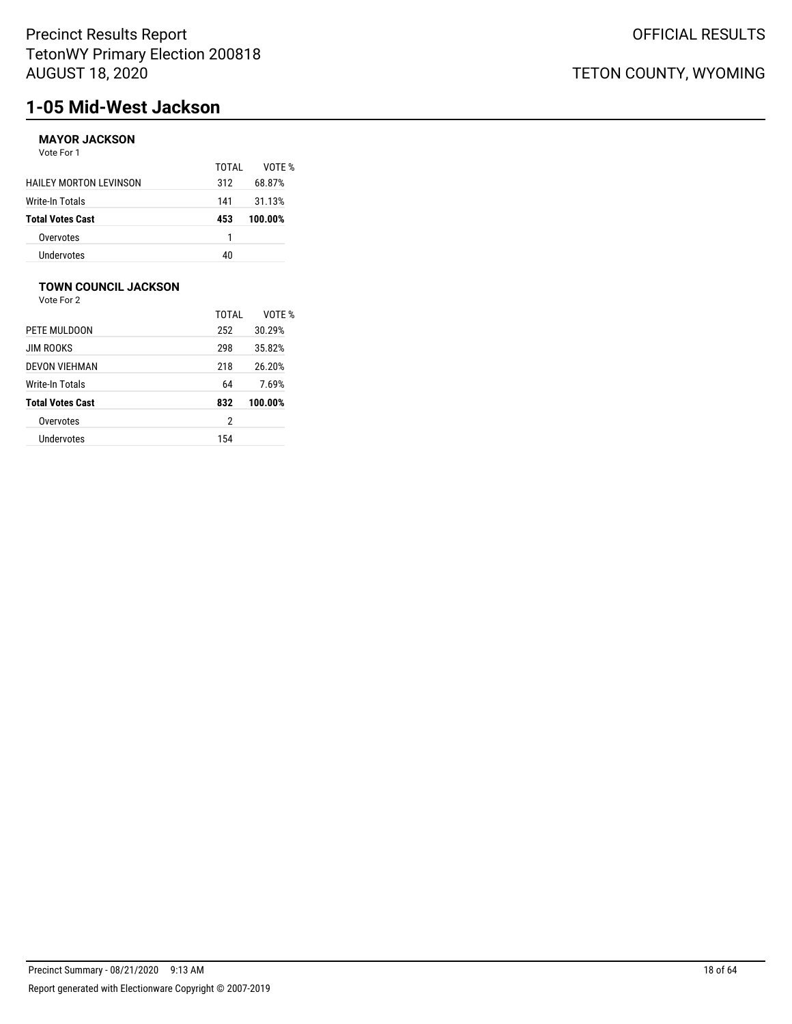# **1-05 Mid-West Jackson**

## **MAYOR JACKSON**

Vote For 1

|                               | TOTAI | VOTF %  |
|-------------------------------|-------|---------|
| <b>HAILEY MORTON LEVINSON</b> | 312   | 68.87%  |
| Write-In Totals               | 141   | 31.13%  |
| <b>Total Votes Cast</b>       | 453   | 100.00% |
| Overvotes                     | 1     |         |
| <b>Undervotes</b>             | 40    |         |

## **TOWN COUNCIL JACKSON**

|                         | TOTAI | VOTF %  |
|-------------------------|-------|---------|
| PETE MULDOON            | 252   | 30.29%  |
| <b>JIM ROOKS</b>        | 298   | 35.82%  |
| DEVON VIEHMAN           | 218   | 26.20%  |
| Write-In Totals         | 64    | 7.69%   |
| <b>Total Votes Cast</b> | 832   | 100.00% |
| Overvotes               | 2     |         |
| Undervotes              | 154   |         |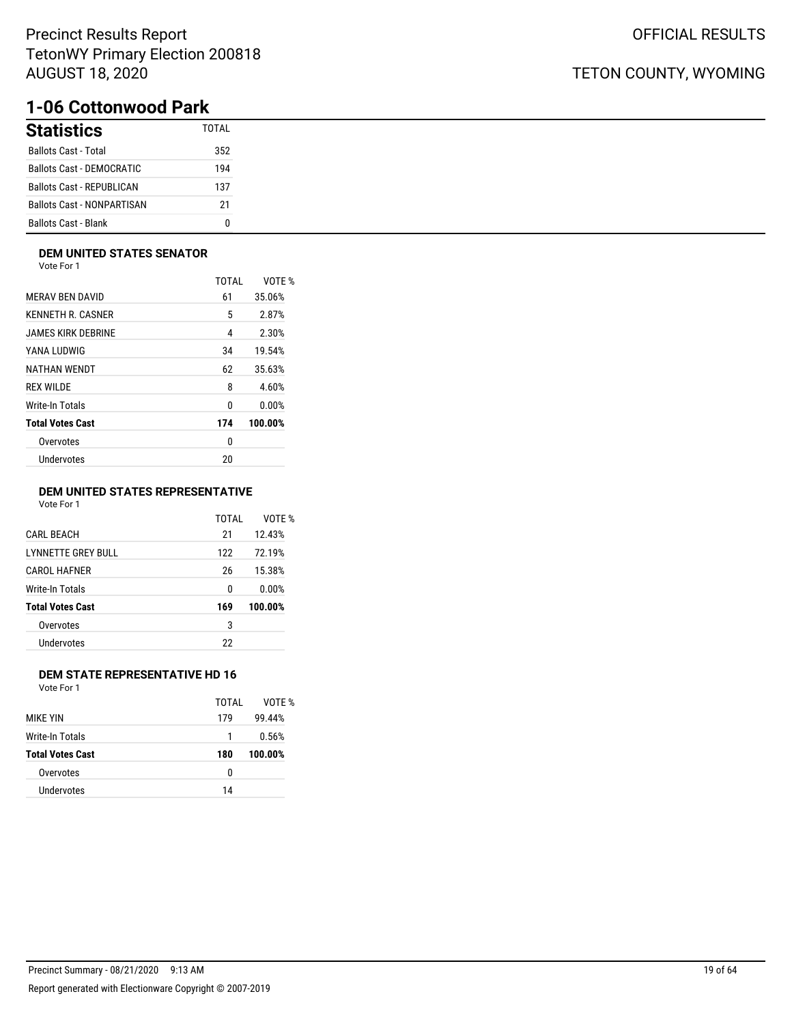## **1-06 Cottonwood Park**

| <b>Statistics</b>                 | TOTAI |
|-----------------------------------|-------|
| <b>Ballots Cast - Total</b>       | 352   |
| Ballots Cast - DEMOCRATIC         | 194   |
| Ballots Cast - REPUBLICAN         | 137   |
| <b>Ballots Cast - NONPARTISAN</b> | 21    |
| <b>Ballots Cast - Blank</b>       |       |

### **DEM UNITED STATES SENATOR**

Vote For 1

|                         | TOTAL | VOTE %  |
|-------------------------|-------|---------|
| <b>MERAV BEN DAVID</b>  | 61    | 35.06%  |
| KENNETH R. CASNER       | 5     | 2.87%   |
| JAMES KIRK DEBRINE      | 4     | 2.30%   |
| YANA LUDWIG             | 34    | 19.54%  |
| NATHAN WENDT            | 62    | 35.63%  |
| <b>REX WILDE</b>        | 8     | 4.60%   |
| Write-In Totals         | 0     | 0.00%   |
| <b>Total Votes Cast</b> | 174   | 100.00% |
| Overvotes               | 0     |         |
| Undervotes              | 20    |         |
|                         |       |         |

### **DEM UNITED STATES REPRESENTATIVE**

Vote For 1

|                           | TOTAI | VOTF %  |
|---------------------------|-------|---------|
| <b>CARL BEACH</b>         | 21    | 12.43%  |
| <b>LYNNETTE GREY BULL</b> | 122   | 72.19%  |
| <b>CAROL HAFNER</b>       | 26    | 15.38%  |
| Write-In Totals           | 0     | 0.00%   |
| <b>Total Votes Cast</b>   | 169   | 100.00% |
| Overvotes                 | 3     |         |
| Undervotes                | 22    |         |
|                           |       |         |

### **DEM STATE REPRESENTATIVE HD 16**

Vote For 1

|                         | TOTAI | VOTF %  |
|-------------------------|-------|---------|
| <b>MIKF YIN</b>         | 179   | 99.44%  |
| Write-In Totals         | 1     | 0.56%   |
| <b>Total Votes Cast</b> | 180   | 100.00% |
| Overvotes               | 0     |         |
| Undervotes              | 14    |         |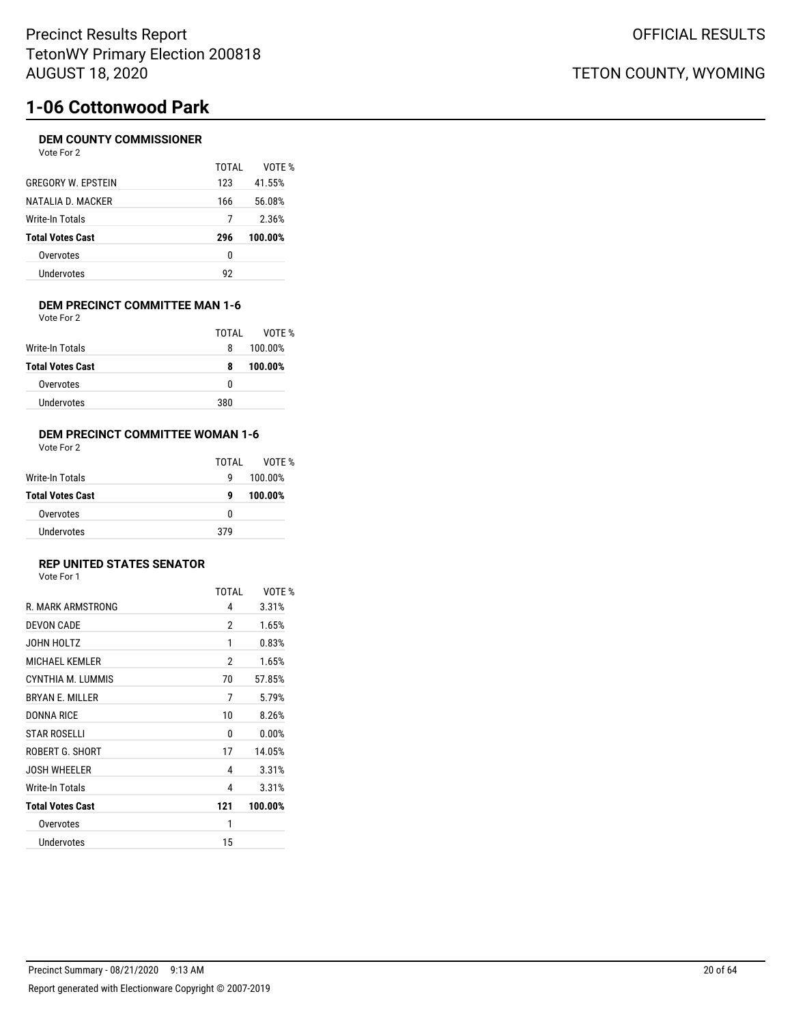# **1-06 Cottonwood Park**

### **DEM COUNTY COMMISSIONER**

| Vote For 2                |       |         |
|---------------------------|-------|---------|
|                           | TOTAI | VOTE %  |
| <b>GREGORY W. EPSTEIN</b> | 123   | 41.55%  |
| NATALIA D. MACKER         | 166   | 56.08%  |
| Write-In Totals           | 7     | 2.36%   |
| <b>Total Votes Cast</b>   | 296   | 100.00% |
| Overvotes                 | 0     |         |
| Undervotes                | 92    |         |
|                           |       |         |

#### **DEM PRECINCT COMMITTEE MAN 1-6** Vote For 2

|   | VOTF %       |
|---|--------------|
| 8 | 100.00%      |
| 8 | 100.00%      |
| 0 |              |
|   |              |
|   | TOTAI<br>380 |

### **DEM PRECINCT COMMITTEE WOMAN 1-6**

| Vote For 2 |  |  |
|------------|--|--|
|            |  |  |

|                         | TOTAL | VOTE %  |
|-------------------------|-------|---------|
| Write-In Totals         | q     | 100.00% |
| <b>Total Votes Cast</b> | g     | 100.00% |
| Overvotes               | 0     |         |
| Undervotes              | 379   |         |

#### **REP UNITED STATES SENATOR** Vote For 1

| <b>VOLE FOI</b> I |  |  |
|-------------------|--|--|
|                   |  |  |
|                   |  |  |

|                         | TOTAL | VOTE %  |
|-------------------------|-------|---------|
| R. MARK ARMSTRONG       | 4     | 3.31%   |
| <b>DEVON CADE</b>       | 2     | 1.65%   |
| JOHN HOLTZ              | 1     | 0.83%   |
| <b>MICHAEL KEMLER</b>   | 2     | 1.65%   |
| CYNTHIA M. LUMMIS       | 70    | 57.85%  |
| <b>BRYAN E. MILLER</b>  | 7     | 5.79%   |
| <b>DONNA RICE</b>       | 10    | 8.26%   |
| <b>STAR ROSELLI</b>     | 0     | 0.00%   |
| ROBERT G. SHORT         | 17    | 14.05%  |
| <b>JOSH WHEELER</b>     | 4     | 3.31%   |
| Write-In Totals         | 4     | 3.31%   |
| <b>Total Votes Cast</b> | 121   | 100.00% |
| Overvotes               | 1     |         |
| Undervotes              | 15    |         |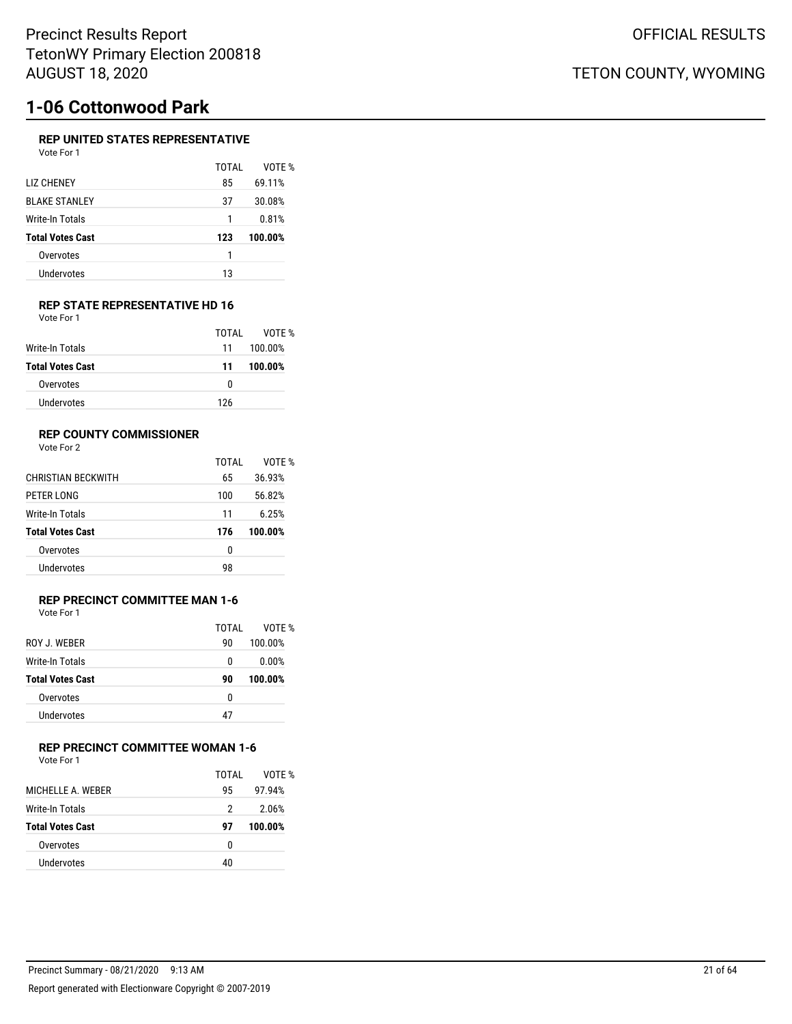# **1-06 Cottonwood Park**

### **REP UNITED STATES REPRESENTATIVE**

| Vote For 1              |       |         |
|-------------------------|-------|---------|
|                         | TOTAL | VOTE %  |
| <b>LIZ CHENEY</b>       | 85    | 69.11%  |
| <b>BLAKE STANLEY</b>    | 37    | 30.08%  |
| Write-In Totals         | 1     | 0.81%   |
| <b>Total Votes Cast</b> | 123   | 100.00% |
| Overvotes               | 1     |         |
| Undervotes              | 13    |         |
|                         |       |         |

#### **REP STATE REPRESENTATIVE HD 16** Vote For 1

|                         | TOTAL | VOTE %  |
|-------------------------|-------|---------|
| Write-In Totals         | 11    | 100.00% |
| <b>Total Votes Cast</b> | 11    | 100.00% |
| Overvotes               | o     |         |
| Undervotes              | 126   |         |

### **REP COUNTY COMMISSIONER**

Vote For 2

|                           | TOTAL | VOTF %  |
|---------------------------|-------|---------|
| <b>CHRISTIAN BECKWITH</b> | 65    | 36.93%  |
| PETER LONG                | 100   | 56.82%  |
| Write-In Totals           | 11    | 6.25%   |
| <b>Total Votes Cast</b>   | 176   | 100.00% |
|                           |       |         |
| Overvotes                 | 0     |         |

### **REP PRECINCT COMMITTEE MAN 1-6** Vote For 1

| ROY J. WEBER            | TOTAI<br>90 | VOTF %<br>100.00% |
|-------------------------|-------------|-------------------|
| <b>Write-In Totals</b>  | 0           | 0.00%             |
| <b>Total Votes Cast</b> | 90          | 100.00%           |
| Overvotes               | 0           |                   |
| Undervotes              | 47          |                   |

### **REP PRECINCT COMMITTEE WOMAN 1-6**

Vote For 1

|                         | TOTAI | VOTF %  |
|-------------------------|-------|---------|
| MICHELLE A. WEBER       | 95    | 97.94%  |
| Write-In Totals         | 2     | 2.06%   |
| <b>Total Votes Cast</b> | 97    | 100.00% |
| Overvotes               | 0     |         |
| Undervotes              | 40    |         |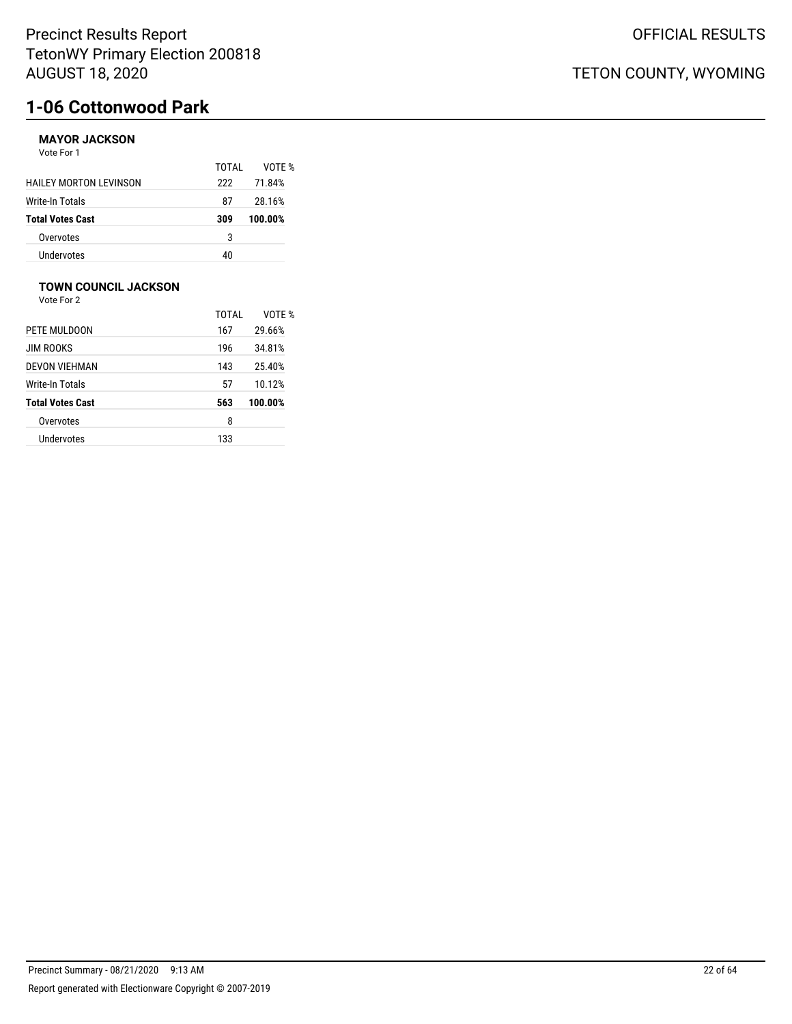# **1-06 Cottonwood Park**

### **MAYOR JACKSON**

Vote For 1

|                               | TOTAI | VOTF %  |
|-------------------------------|-------|---------|
| <b>HAILEY MORTON LEVINSON</b> | 222   | 71.84%  |
| <b>Write-In Totals</b>        | 87    | 28.16%  |
| <b>Total Votes Cast</b>       | 309   | 100.00% |
| Overvotes                     | 3     |         |
| Undervotes                    | 40    |         |

### **TOWN COUNCIL JACKSON**

Vote For 2

|                         | TOTAI | VOTE %  |
|-------------------------|-------|---------|
| PETE MULDOON            | 167   | 29.66%  |
| <b>JIM ROOKS</b>        | 196   | 34.81%  |
| DEVON VIEHMAN           | 143   | 25.40%  |
| Write-In Totals         | 57    | 10.12%  |
| <b>Total Votes Cast</b> | 563   | 100.00% |
| Overvotes               | 8     |         |
| Undervotes              | 133   |         |
|                         |       |         |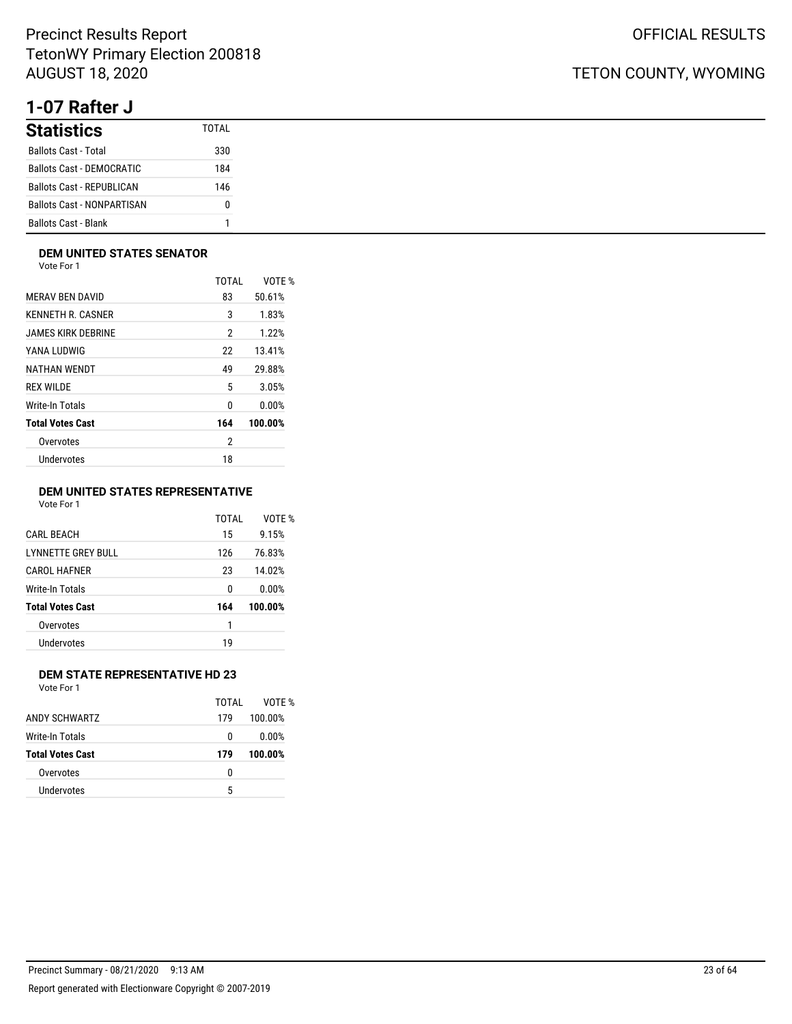# **1-07 Rafter J**

| <b>Statistics</b>                 | TOTAI |
|-----------------------------------|-------|
| <b>Ballots Cast - Total</b>       | 330   |
| Ballots Cast - DEMOCRATIC         | 184   |
| <b>Ballots Cast - REPUBLICAN</b>  | 146   |
| <b>Ballots Cast - NONPARTISAN</b> | n     |
| <b>Ballots Cast - Blank</b>       | 1     |

### **DEM UNITED STATES SENATOR**

Vote For 1

|                         | TOTAI          | VOTE %  |
|-------------------------|----------------|---------|
| <b>MERAV BEN DAVID</b>  | 83             | 50.61%  |
| KENNETH R. CASNER       | 3              | 1.83%   |
| JAMES KIRK DEBRINE      | 2              | 1.22%   |
| YANA LUDWIG             | 22             | 13.41%  |
| NATHAN WENDT            | 49             | 29.88%  |
| <b>REX WILDE</b>        | 5              | 3.05%   |
| Write-In Totals         | 0              | 0.00%   |
| <b>Total Votes Cast</b> | 164            | 100.00% |
| Overvotes               | $\overline{2}$ |         |
| Undervotes              | 18             |         |
|                         |                |         |

### **DEM UNITED STATES REPRESENTATIVE**

Vote For 1

|                           | TOTAI | VOTE %  |
|---------------------------|-------|---------|
| <b>CARL BEACH</b>         | 15    | 9.15%   |
| <b>LYNNETTE GREY BULL</b> | 126   | 76.83%  |
| <b>CAROL HAFNER</b>       | 23    | 14.02%  |
| Write-In Totals           | 0     | 0.00%   |
| <b>Total Votes Cast</b>   | 164   | 100.00% |
| Overvotes                 | 1     |         |
| Undervotes                | 19    |         |
|                           |       |         |

### **DEM STATE REPRESENTATIVE HD 23**

Vote For 1

| ANDY SCHWARTZ<br>Write-In Totals | TOTAI | VOTF %<br>100.00%<br>0.00% |
|----------------------------------|-------|----------------------------|
|                                  | 179   |                            |
|                                  | 0     |                            |
| <b>Total Votes Cast</b>          | 179   | 100.00%                    |
| Overvotes                        | n     |                            |
| Undervotes                       | 5     |                            |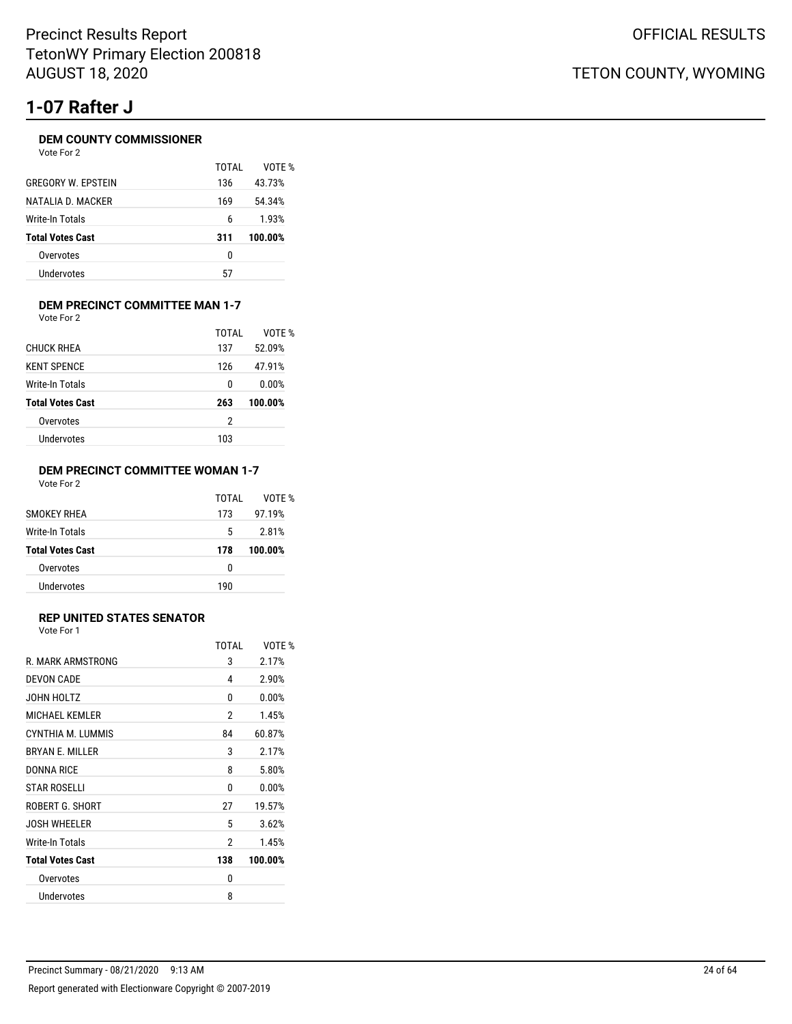# **1-07 Rafter J**

### **DEM COUNTY COMMISSIONER**

| Vote For 2              |       |         |  |
|-------------------------|-------|---------|--|
|                         | TOTAI | VOTE %  |  |
| GREGORY W. EPSTEIN      | 136   | 43.73%  |  |
| NATALIA D. MACKER       | 169   | 54.34%  |  |
| Write-In Totals         | 6     | 1.93%   |  |
| <b>Total Votes Cast</b> | 311   | 100.00% |  |
| Overvotes               | 0     |         |  |
| Undervotes              | 57    |         |  |
|                         |       |         |  |

#### **DEM PRECINCT COMMITTEE MAN 1-7** Vote For 2

|                         | TOTAI | VOTE %  |
|-------------------------|-------|---------|
| <b>CHUCK RHEA</b>       | 137   | 52.09%  |
| <b>KENT SPENCE</b>      | 126   | 47.91%  |
| Write-In Totals         | 0     | 0.00%   |
| <b>Total Votes Cast</b> | 263   | 100.00% |
| Overvotes               | 2     |         |
| Undervotes              | 103   |         |
|                         |       |         |

### **DEM PRECINCT COMMITTEE WOMAN 1-7** Vote For 2

|                         | TOTAI | VOTF %  |
|-------------------------|-------|---------|
| <b>SMOKEY RHEA</b>      | 173   | 97.19%  |
| Write-In Totals         | 5     | 2.81%   |
| <b>Total Votes Cast</b> | 178   | 100.00% |
| Overvotes               | 0     |         |
| Undervotes              | 190   |         |

### **REP UNITED STATES SENATOR**

Vote For 1

|                         | <b>TOTAL</b> | VOTE %  |
|-------------------------|--------------|---------|
| R. MARK ARMSTRONG       | 3            | 2.17%   |
| DEVON CADE              | 4            | 2.90%   |
| JOHN HOLTZ              | 0            | 0.00%   |
| <b>MICHAEL KEMLER</b>   | 2            | 1.45%   |
| CYNTHIA M. LUMMIS       | 84           | 60.87%  |
| <b>BRYAN E. MILLER</b>  | 3            | 2.17%   |
| DONNA RICE              | 8            | 5.80%   |
| <b>STAR ROSELLI</b>     | 0            | 0.00%   |
| ROBERT G. SHORT         | 27           | 19.57%  |
| <b>JOSH WHEELER</b>     | 5            | 3.62%   |
| Write-In Totals         | 2            | 1.45%   |
| <b>Total Votes Cast</b> | 138          | 100.00% |
| Overvotes               | 0            |         |
| Undervotes              | 8            |         |
|                         |              |         |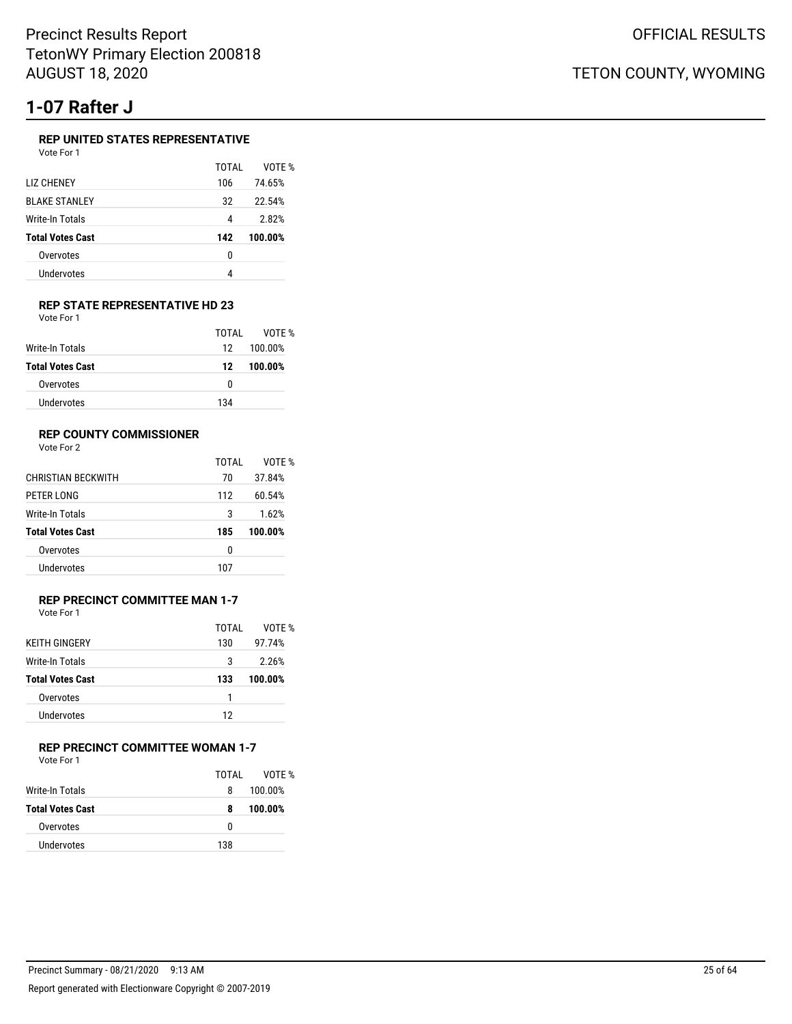# **1-07 Rafter J**

### **REP UNITED STATES REPRESENTATIVE**

|  | Vote For 1 |  |
|--|------------|--|
|--|------------|--|

|                         | TOTAI | VOTF %  |
|-------------------------|-------|---------|
| <b>LIZ CHENEY</b>       | 106   | 74.65%  |
| <b>BLAKE STANLEY</b>    | 32    | 22.54%  |
| Write-In Totals         | 4     | 2.82%   |
| <b>Total Votes Cast</b> | 142   | 100.00% |
| Overvotes               | 0     |         |
| Undervotes              | Λ     |         |
|                         |       |         |

#### **REP STATE REPRESENTATIVE HD 23** Vote For 1

|                         | TOTAL | VOTF %  |
|-------------------------|-------|---------|
| Write-In Totals         | 12    | 100.00% |
| <b>Total Votes Cast</b> | 12    | 100.00% |
| Overvotes               | 0     |         |
| Undervotes              | 134   |         |

### **REP COUNTY COMMISSIONER**

Vote For 2

|                           | TOTAI | VOTF %  |
|---------------------------|-------|---------|
| <b>CHRISTIAN BECKWITH</b> | 70    | 37.84%  |
| PETER LONG                | 112   | 60.54%  |
| Write-In Totals           | 3     | 1.62%   |
| <b>Total Votes Cast</b>   | 185   | 100.00% |
| Overvotes                 | 0     |         |
| Undervotes                | 107   |         |

#### **REP PRECINCT COMMITTEE MAN 1-7** Vote For 1

|                         | TOTAI | VOTF %  |
|-------------------------|-------|---------|
| <b>KEITH GINGERY</b>    | 130   | 97.74%  |
| <b>Write-In Totals</b>  | 3     | 2.26%   |
| <b>Total Votes Cast</b> | 133   | 100.00% |
| Overvotes               | 1     |         |
| Undervotes              | 12    |         |
|                         |       |         |

### **REP PRECINCT COMMITTEE WOMAN 1-7**

| Vote For 1 |  |
|------------|--|
|            |  |

|                         | TOTAI | VOTF %  |
|-------------------------|-------|---------|
| Write-In Totals         | 8     | 100.00% |
| <b>Total Votes Cast</b> | 8     | 100.00% |
| Overvotes               | n     |         |
| Undervotes              | 138   |         |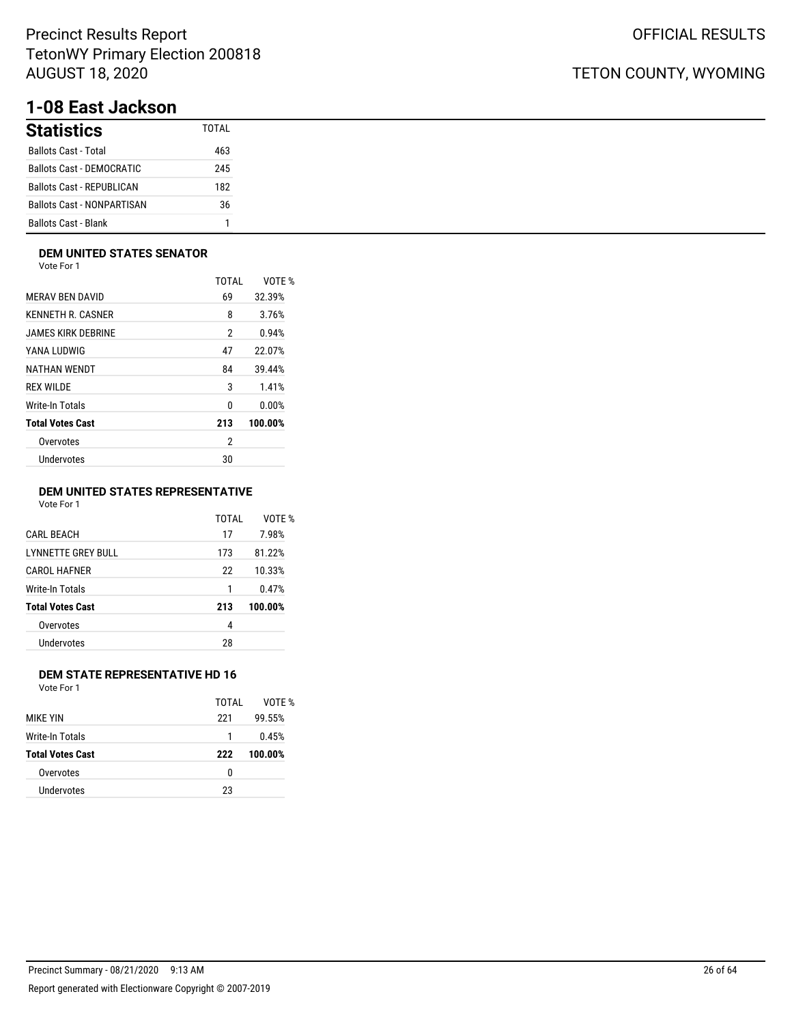# **1-08 East Jackson**

| <b>Statistics</b>                 | TOTAI |
|-----------------------------------|-------|
| <b>Ballots Cast - Total</b>       | 463   |
| Ballots Cast - DEMOCRATIC         | 245   |
| <b>Ballots Cast - REPUBLICAN</b>  | 182   |
| <b>Ballots Cast - NONPARTISAN</b> | 36    |
| <b>Ballots Cast - Blank</b>       | 1     |

### **DEM UNITED STATES SENATOR**

Vote For 1

|                         | TOTAL          | VOTE %  |
|-------------------------|----------------|---------|
| <b>MERAV BEN DAVID</b>  | 69             | 32.39%  |
| KENNETH R. CASNER       | 8              | 3.76%   |
| JAMES KIRK DEBRINE      | $\overline{2}$ | 0.94%   |
| YANA LUDWIG             | 47             | 22.07%  |
| NATHAN WENDT            | 84             | 39.44%  |
| <b>REX WILDE</b>        | 3              | 1.41%   |
| Write-In Totals         | 0              | 0.00%   |
| <b>Total Votes Cast</b> | 213            | 100.00% |
| Overvotes               | $\overline{2}$ |         |
| Undervotes              | 30             |         |
|                         |                |         |

### **DEM UNITED STATES REPRESENTATIVE**

Vote For 1

|                           | TOTAI | VOTE %  |
|---------------------------|-------|---------|
| <b>CARL BEACH</b>         | 17    | 7.98%   |
| <b>LYNNETTE GREY BULL</b> | 173   | 81.22%  |
| CAROL HAFNER              | 22    | 10.33%  |
| Write-In Totals           | 1     | 0.47%   |
| <b>Total Votes Cast</b>   | 213   | 100.00% |
| Overvotes                 | 4     |         |
| Undervotes                | 28    |         |
|                           |       |         |

### **DEM STATE REPRESENTATIVE HD 16**

Vote For 1

|                         | TOTAI | VOTF %  |
|-------------------------|-------|---------|
| <b>MIKE YIN</b>         | 221   | 99.55%  |
| Write-In Totals         | 1     | 0.45%   |
| <b>Total Votes Cast</b> | 222   | 100.00% |
| Overvotes               | 0     |         |
| Undervotes              | 23    |         |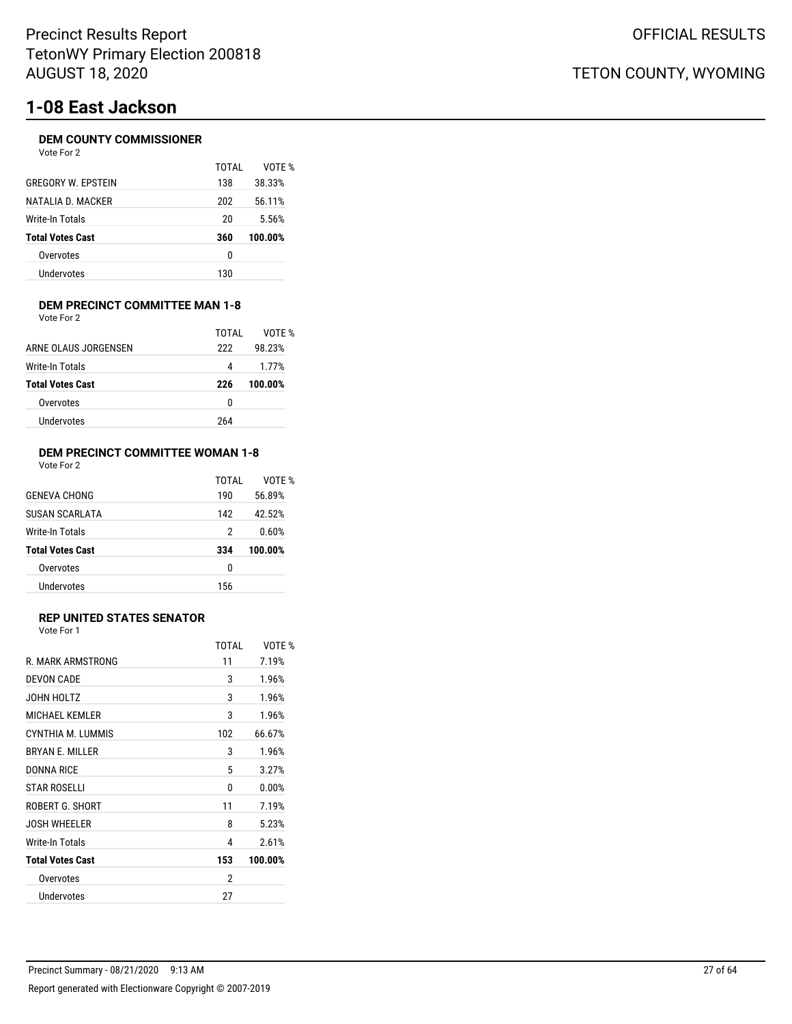# **1-08 East Jackson**

### **DEM COUNTY COMMISSIONER**

| Vote For 2 |  |  |
|------------|--|--|
|------------|--|--|

|                           | TOTAI | VOTF %  |
|---------------------------|-------|---------|
| <b>GREGORY W. FPSTEIN</b> | 138   | 38.33%  |
| NATALIA D. MACKER         | 202   | 56.11%  |
| Write-In Totals           | 20    | 5.56%   |
| <b>Total Votes Cast</b>   | 360   | 100.00% |
| Overvotes                 | 0     |         |
| Undervotes                | 130   |         |

#### **DEM PRECINCT COMMITTEE MAN 1-8** Vote For 2

|                         | TOTAI | VOTF %  |
|-------------------------|-------|---------|
| ARNE OLAUS JORGENSEN    | 222   | 98.23%  |
| Write-In Totals         | 4     | 1.77%   |
| <b>Total Votes Cast</b> | 226   | 100.00% |
| Overvotes               |       |         |
|                         | 0     |         |

## **DEM PRECINCT COMMITTEE WOMAN 1-8**

| Vote For 2 |  |  |
|------------|--|--|
|------------|--|--|

|                         | TOTAI | VOTF %  |
|-------------------------|-------|---------|
| <b>GENEVA CHONG</b>     | 190   | 56.89%  |
| SUSAN SCARLATA          | 142   | 42.52%  |
| Write-In Totals         | 2     | 0.60%   |
| <b>Total Votes Cast</b> | 334   | 100.00% |
| Overvotes               | 0     |         |
| <b>Undervotes</b>       | 156   |         |

### **REP UNITED STATES SENATOR**

Vote For 1

|                         | TOTAI | VOTF %  |
|-------------------------|-------|---------|
| R. MARK ARMSTRONG       | 11    | 7.19%   |
| DEVON CADE              | 3     | 1.96%   |
| JOHN HOLTZ              | 3     | 1.96%   |
| MICHAEL KEMLER          | 3     | 1.96%   |
| CYNTHIA M. LUMMIS       | 102   | 66.67%  |
| <b>BRYAN E. MILLER</b>  | 3     | 1.96%   |
| DONNA RICE              | 5     | 3.27%   |
| <b>STAR ROSELLI</b>     | 0     | 0.00%   |
| ROBERT G. SHORT         | 11    | 7.19%   |
| <b>JOSH WHEELER</b>     | 8     | 5.23%   |
| Write-In Totals         | 4     | 2.61%   |
| <b>Total Votes Cast</b> | 153   | 100.00% |
| Overvotes               | 2     |         |
| Undervotes              | 27    |         |
|                         |       |         |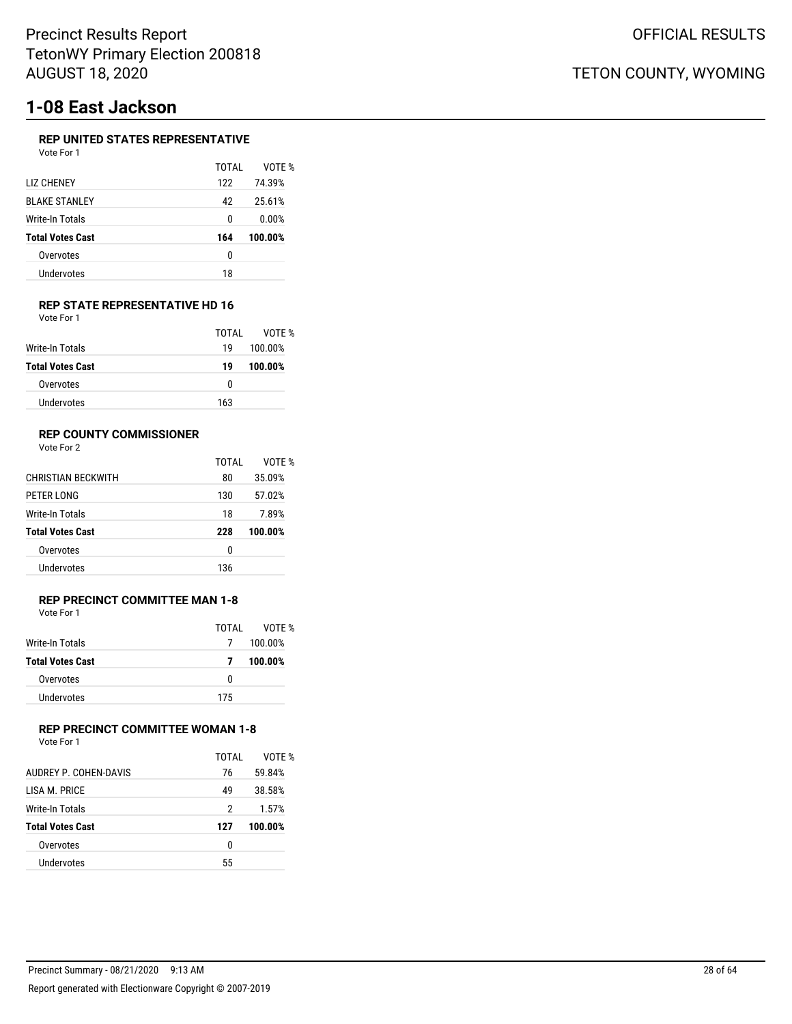# **1-08 East Jackson**

### **REP UNITED STATES REPRESENTATIVE**

| Vote For 1              |       |         |
|-------------------------|-------|---------|
|                         | TOTAI | VOTE %  |
| LIZ CHENEY              | 122   | 74.39%  |
| <b>BLAKE STANLEY</b>    | 42    | 25.61%  |
| Write-In Totals         | 0     | 0.00%   |
| <b>Total Votes Cast</b> | 164   | 100.00% |
| Overvotes               | 0     |         |
| Undervotes              | 18    |         |
|                         |       |         |

#### **REP STATE REPRESENTATIVE HD 16** Vote For 1

|                         | TOTAI | VOTE %  |
|-------------------------|-------|---------|
| Write-In Totals         | 19    | 100.00% |
| <b>Total Votes Cast</b> | 19    | 100.00% |
| Overvotes               | 0     |         |
| Undervotes              | 163   |         |

### **REP COUNTY COMMISSIONER**

Vote For 2

|                           | TOTAI | VOTF %  |
|---------------------------|-------|---------|
| <b>CHRISTIAN BECKWITH</b> | 80    | 35.09%  |
| PETER LONG                | 130   | 57.02%  |
| Write-In Totals           | 18    | 7.89%   |
| <b>Total Votes Cast</b>   | 228   | 100.00% |
| Overvotes                 | 0     |         |
| Undervotes                | 136   |         |

### **REP PRECINCT COMMITTEE MAN 1-8** Vote For 1

|                         | TOTAI | VOTF %  |
|-------------------------|-------|---------|
| Write-In Totals         | 7     | 100.00% |
| <b>Total Votes Cast</b> | 7     | 100.00% |
| Overvotes               | n     |         |
| Undervotes              | 175   |         |

## **REP PRECINCT COMMITTEE WOMAN 1-8**

| Vote For 1              |       |         |
|-------------------------|-------|---------|
|                         | TOTAI | VOTE %  |
| AUDREY P. COHEN-DAVIS   | 76    | 59.84%  |
| I ISA M. PRICE          | 49    | 38.58%  |
| Write-In Totals         | 2     | 1.57%   |
| <b>Total Votes Cast</b> | 127   | 100.00% |
| Overvotes               | 0     |         |
| Undervotes              | 55    |         |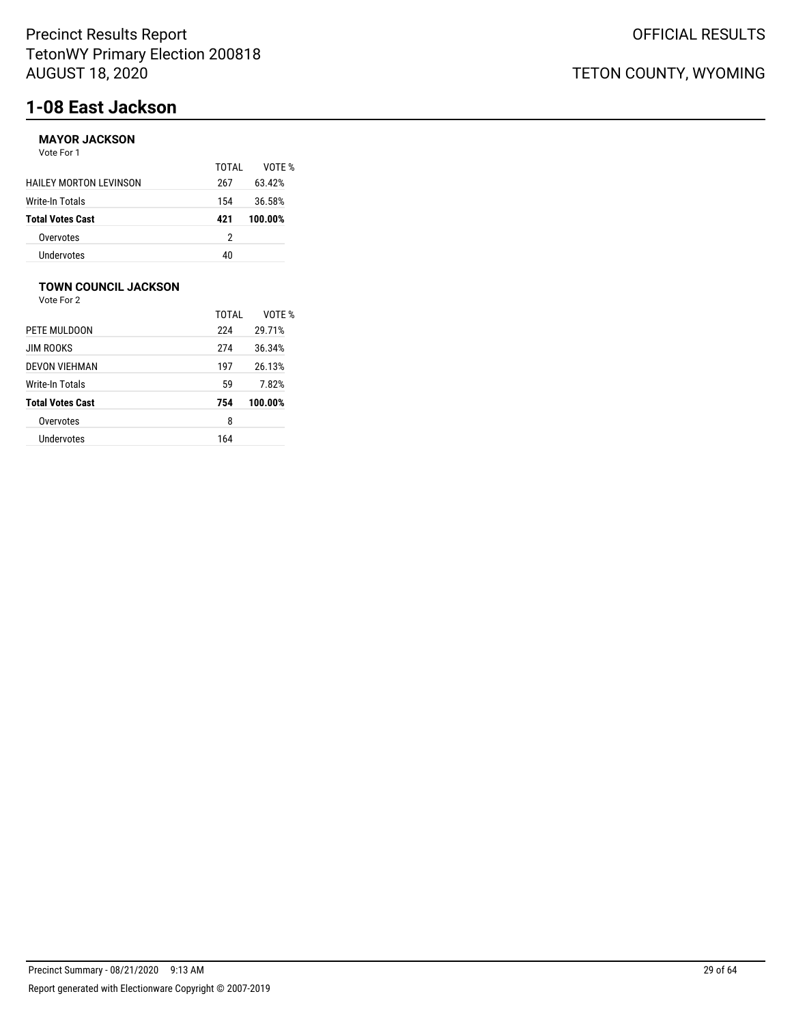# **1-08 East Jackson**

### **MAYOR JACKSON**

Vote For 1

|                               | TOTAI | VOTF %  |
|-------------------------------|-------|---------|
| <b>HAILEY MORTON LEVINSON</b> | 267   | 63.42%  |
| <b>Write-In Totals</b>        | 154   | 36.58%  |
| <b>Total Votes Cast</b>       | 421   | 100.00% |
| Overvotes                     | 2     |         |
| Undervotes                    | 40    |         |

## **TOWN COUNCIL JACKSON**

Vote For 2

|                         | TOTAI | VOTE %  |
|-------------------------|-------|---------|
| PETE MULDOON            | 224   | 29.71%  |
| JIM ROOKS               | 274   | 36.34%  |
| DEVON VIEHMAN           | 197   | 26.13%  |
| Write-In Totals         | 59    | 7.82%   |
| <b>Total Votes Cast</b> | 754   | 100.00% |
| Overvotes               | 8     |         |
| Undervotes              | 164   |         |
|                         |       |         |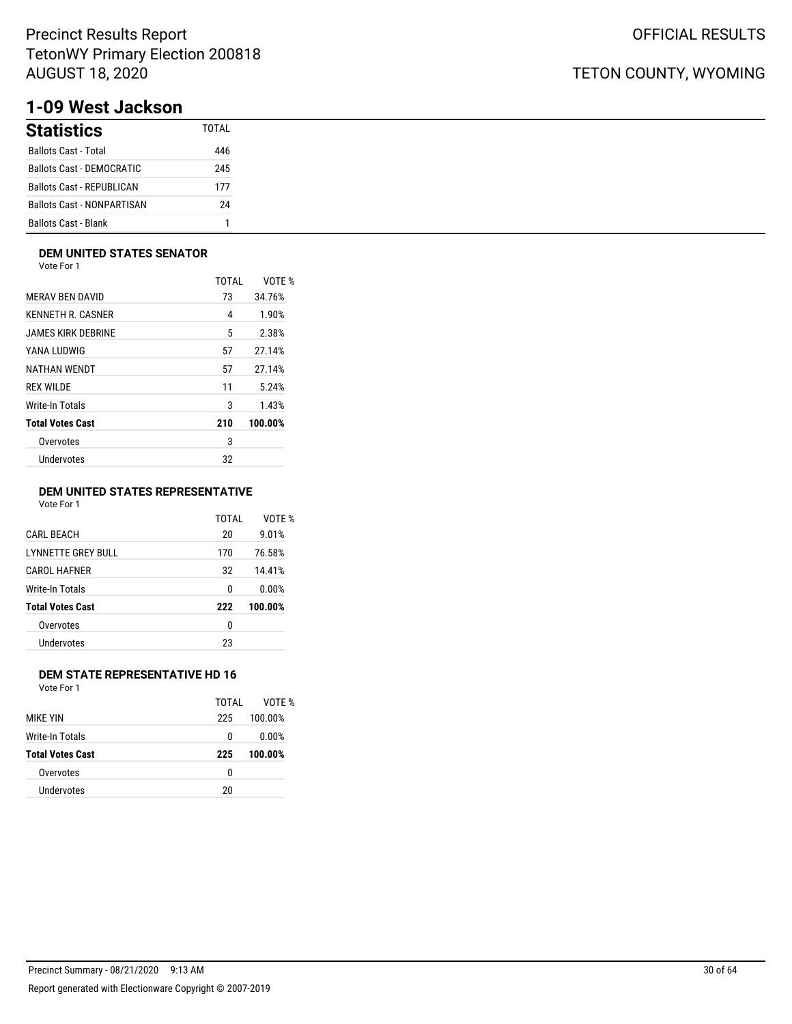# **1-09 West Jackson**

| <b>Statistics</b>                 | TOTAI |
|-----------------------------------|-------|
| <b>Ballots Cast - Total</b>       | 446   |
| Ballots Cast - DEMOCRATIC         | 245   |
| <b>Ballots Cast - REPUBLICAN</b>  | 177   |
| <b>Ballots Cast - NONPARTISAN</b> | 24    |
| <b>Ballots Cast - Blank</b>       | 1     |

### **DEM UNITED STATES SENATOR**

Vote For 1

|                         | TOTAL | VOTE %  |
|-------------------------|-------|---------|
| <b>MERAV BEN DAVID</b>  | 73    | 34.76%  |
| KENNETH R. CASNER       | 4     | 1.90%   |
| JAMES KIRK DEBRINE      | 5     | 2.38%   |
| YANA LUDWIG             | 57    | 27.14%  |
| NATHAN WENDT            | 57    | 27.14%  |
| <b>REX WILDE</b>        | 11    | 5.24%   |
| Write-In Totals         | 3     | 1.43%   |
| <b>Total Votes Cast</b> | 210   | 100.00% |
| Overvotes               | 3     |         |
| Undervotes              | 32    |         |
|                         |       |         |

### **DEM UNITED STATES REPRESENTATIVE**

Vote For 1

|                           | TOTAI | VOTE %  |
|---------------------------|-------|---------|
| <b>CARL BEACH</b>         | 20    | 9.01%   |
| <b>LYNNETTE GREY BULL</b> | 170   | 76.58%  |
| CAROL HAFNER              | 32    | 14.41%  |
| Write-In Totals           | 0     | 0.00%   |
| <b>Total Votes Cast</b>   | 222   | 100.00% |
| Overvotes                 | 0     |         |
| Undervotes                | 23    |         |
|                           |       |         |

### **DEM STATE REPRESENTATIVE HD 16**

Vote For 1

|                         | TOTAL | VOTF %  |
|-------------------------|-------|---------|
| <b>MIKF YIN</b>         | 225   | 100.00% |
| Write-In Totals         | 0     | 0.00%   |
| <b>Total Votes Cast</b> | 225   | 100.00% |
| Overvotes               | 0     |         |
| Undervotes              | 20    |         |
|                         |       |         |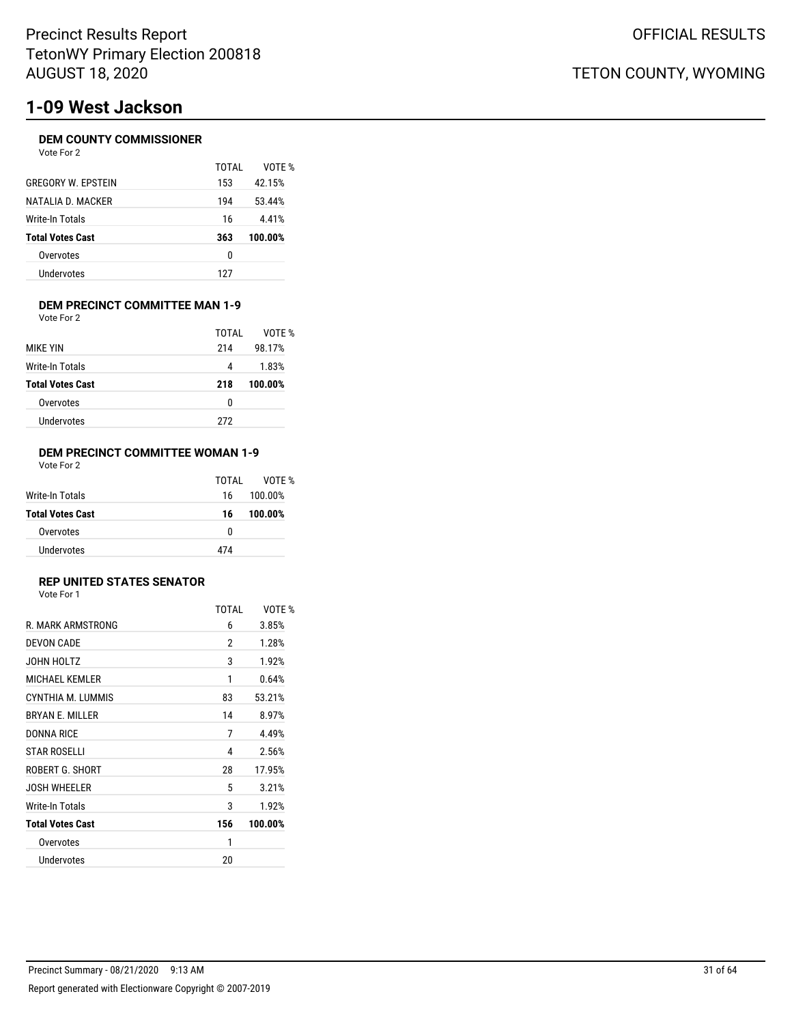# **1-09 West Jackson**

### **DEM COUNTY COMMISSIONER**

| Vote For 2 |
|------------|
|------------|

|                           | TOTAI | VOTF %  |
|---------------------------|-------|---------|
| <b>GREGORY W. EPSTEIN</b> | 153   | 42.15%  |
| NATALIA D. MACKER         | 194   | 53.44%  |
| Write-In Totals           | 16    | 4.41%   |
| <b>Total Votes Cast</b>   | 363   | 100.00% |
| Overvotes                 | 0     |         |
| Undervotes                | 127   |         |

#### **DEM PRECINCT COMMITTEE MAN 1-9** Vote For 2

|                         | TOTAI | VOTE %  |
|-------------------------|-------|---------|
| <b>MIKE YIN</b>         | 214   | 98.17%  |
| Write-In Totals         | 4     | 1.83%   |
| <b>Total Votes Cast</b> | 218   | 100.00% |
| Overvotes               | 0     |         |
| Undervotes              | 272   |         |
|                         |       |         |

### **DEM PRECINCT COMMITTEE WOMAN 1-9** Vote For 2

|                         | TOTAL | VOTF %  |
|-------------------------|-------|---------|
| Write-In Totals         | 16    | 100.00% |
| <b>Total Votes Cast</b> | 16    | 100.00% |
| Overvotes               | 0     |         |
| <b>Undervotes</b>       | 474   |         |

## **REP UNITED STATES SENATOR**

|                         | <b>TOTAL</b> | VOTE %  |
|-------------------------|--------------|---------|
| R. MARK ARMSTRONG       | 6            | 3.85%   |
| DEVON CADE              | 2            | 1.28%   |
| JOHN HOLTZ              | 3            | 1.92%   |
| <b>MICHAEL KEMLER</b>   | 1            | 0.64%   |
| CYNTHIA M. LUMMIS       | 83           | 53.21%  |
| <b>BRYAN E. MILLER</b>  | 14           | 8.97%   |
| DONNA RICE              | 7            | 4.49%   |
| <b>STAR ROSELLI</b>     | 4            | 2.56%   |
| ROBERT G. SHORT         | 28           | 17.95%  |
| <b>JOSH WHEELER</b>     | 5            | 3.21%   |
| Write-In Totals         | 3            | 1.92%   |
| <b>Total Votes Cast</b> | 156          | 100.00% |
| Overvotes               | 1            |         |
| Undervotes              | 20           |         |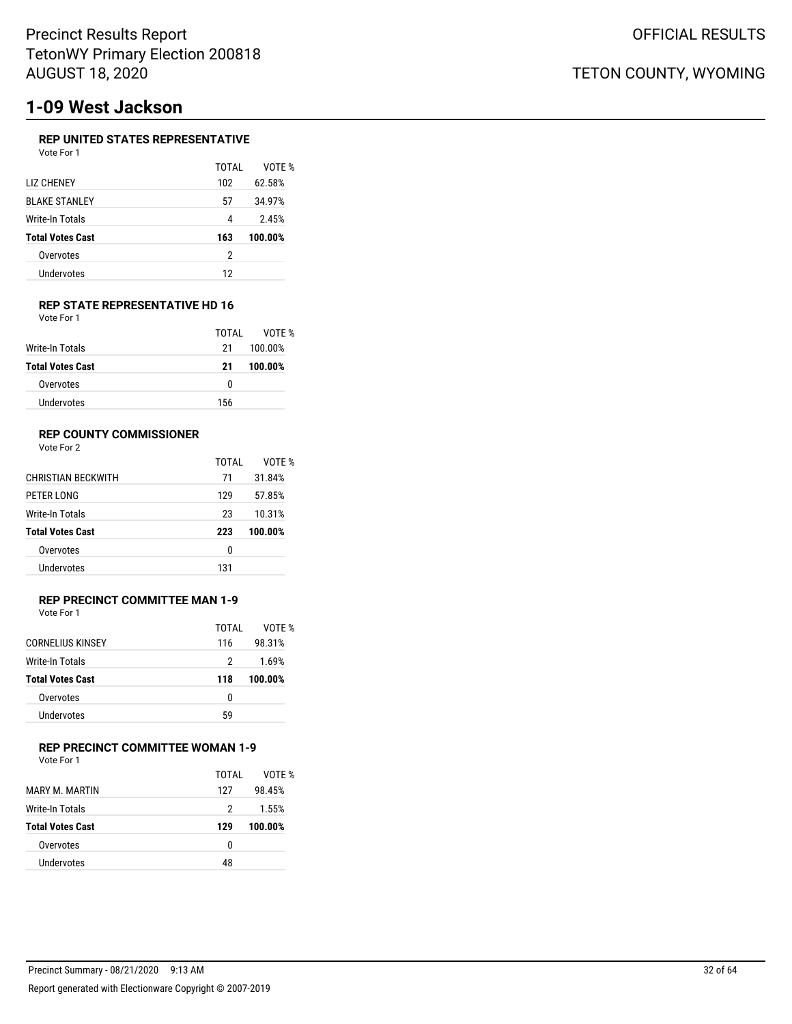# **1-09 West Jackson**

### **REP UNITED STATES REPRESENTATIVE**

| Vote For 1              |       |         |
|-------------------------|-------|---------|
|                         | TOTAI | VOTF %  |
| LIZ CHENEY              | 102   | 62.58%  |
| <b>BLAKE STANLEY</b>    | 57    | 34.97%  |
| Write-In Totals         | 4     | 2.45%   |
| <b>Total Votes Cast</b> | 163   | 100.00% |
| Overvotes               | 2     |         |
| Undervotes              |       |         |

### **REP STATE REPRESENTATIVE HD 16**

| Vote For 1              |       |         |
|-------------------------|-------|---------|
|                         | TOTAI | VOTF %  |
| Write-In Totals         | 21    | 100.00% |
| <b>Total Votes Cast</b> | 21    | 100.00% |
| Overvotes               | 0     |         |
| Undervotes              | 156   |         |

### **REP COUNTY COMMISSIONER**

Vote For 2

|                           | TOTAI | VOTF %  |
|---------------------------|-------|---------|
| <b>CHRISTIAN BECKWITH</b> | 71    | 31.84%  |
| PETER LONG                | 129   | 57.85%  |
| Write-In Totals           | 23    | 10.31%  |
| <b>Total Votes Cast</b>   | 223   | 100.00% |
| Overvotes                 | 0     |         |
| Undervotes                | 131   |         |

#### **REP PRECINCT COMMITTEE MAN 1-9** Vote For 1

| .                       |       |         |
|-------------------------|-------|---------|
|                         | TOTAI | VOTF %  |
| <b>CORNELIUS KINSEY</b> | 116   | 98.31%  |
| Write-In Totals         | 2     | 1.69%   |
| <b>Total Votes Cast</b> | 118   | 100.00% |
| Overvotes               | 0     |         |
| Undervotes              | 59    |         |
|                         |       |         |

### **REP PRECINCT COMMITTEE WOMAN 1-9**

Vote For 1

|                         | TOTAI | VOTF %  |
|-------------------------|-------|---------|
| MARY M. MARTIN          | 127   | 98.45%  |
| Write-In Totals         | 2     | 1.55%   |
| <b>Total Votes Cast</b> | 129   | 100.00% |
| Overvotes               | 0     |         |
| Undervotes              | 48    |         |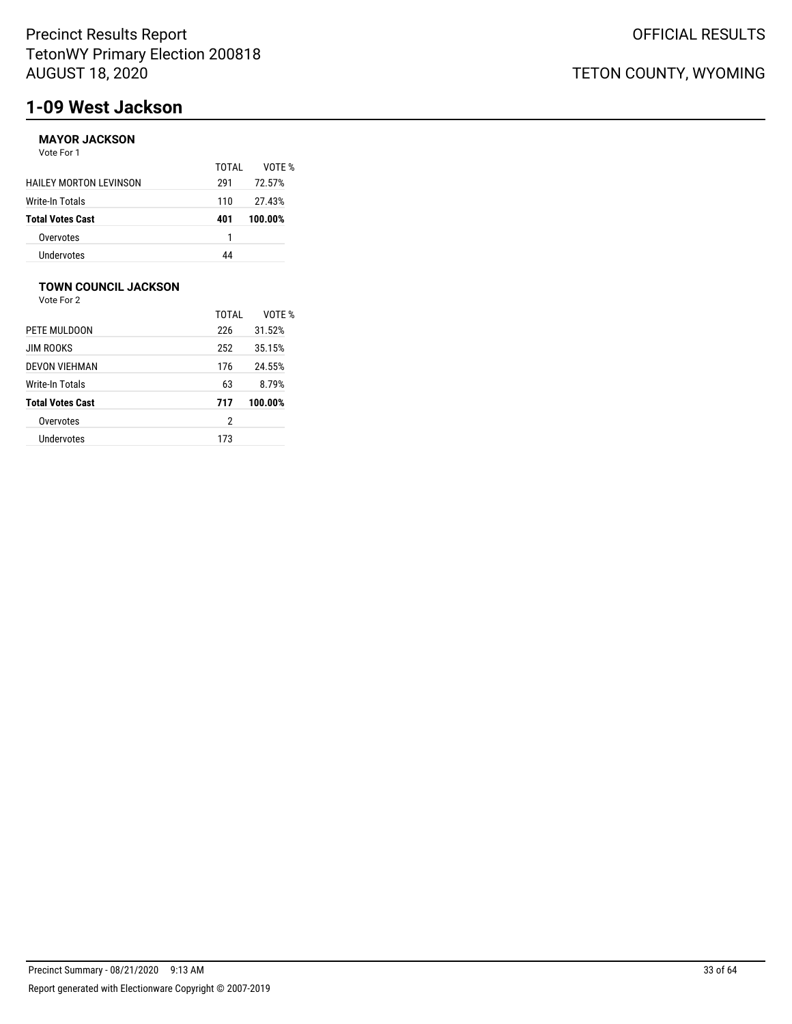# **1-09 West Jackson**

### **MAYOR JACKSON**

Vote For 1

|                               | TOTAI | VOTF %  |
|-------------------------------|-------|---------|
| <b>HAILEY MORTON LEVINSON</b> | 291   | 72.57%  |
| Write-In Totals               | 110   | 27.43%  |
| <b>Total Votes Cast</b>       | 401   | 100.00% |
| Overvotes                     |       |         |
| Undervotes                    | 44    |         |

## **TOWN COUNCIL JACKSON**

|                         | TOTAI | VOTF %  |
|-------------------------|-------|---------|
| PETE MULDOON            | 226   | 31.52%  |
| <b>JIM ROOKS</b>        | 252   | 35.15%  |
| DEVON VIEHMAN           | 176   | 24.55%  |
| Write-In Totals         | 63    | 8.79%   |
| <b>Total Votes Cast</b> | 717   | 100.00% |
| Overvotes               | 2     |         |
| Undervotes              | 173   |         |
|                         |       |         |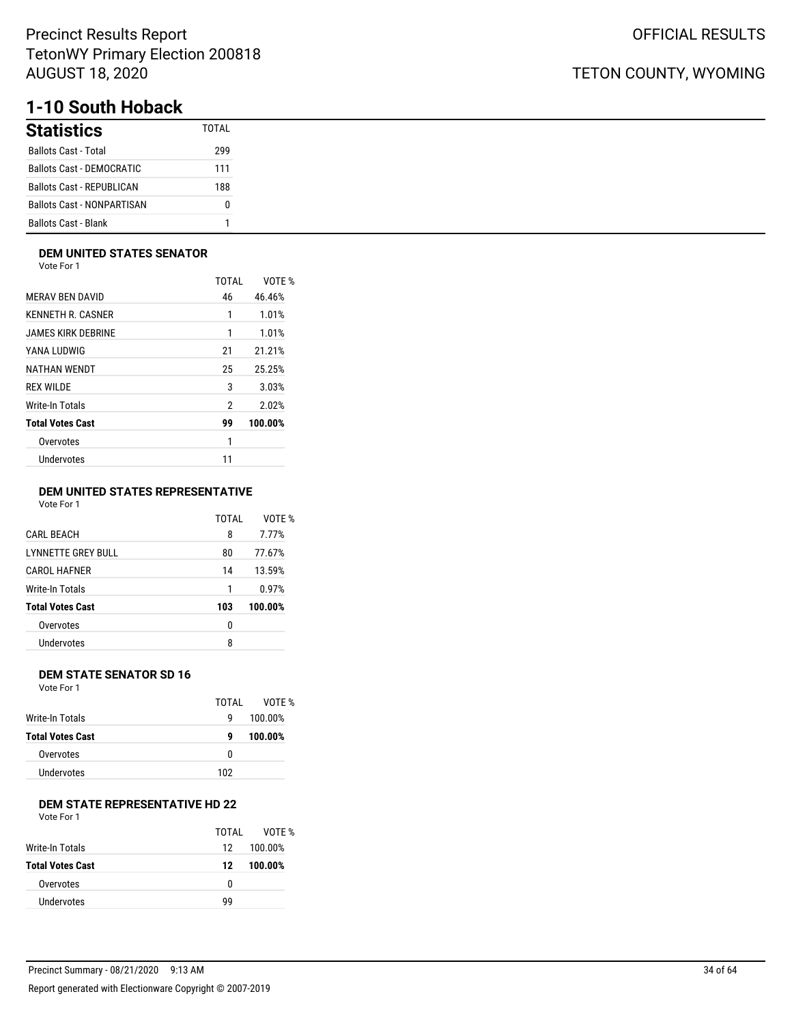# **1-10 South Hoback**

| <b>Statistics</b>                 | TOTAI |
|-----------------------------------|-------|
| <b>Ballots Cast - Total</b>       | 299   |
| <b>Ballots Cast - DEMOCRATIC</b>  | 111   |
| <b>Ballots Cast - REPUBLICAN</b>  | 188   |
| <b>Ballots Cast - NONPARTISAN</b> | o     |
| <b>Ballots Cast - Blank</b>       |       |

### **DEM UNITED STATES SENATOR**

Vote For 1

|                         | TOTAI | VOTE %  |
|-------------------------|-------|---------|
| <b>MERAV BEN DAVID</b>  | 46    | 46.46%  |
| KENNETH R. CASNER       | 1     | 1.01%   |
| JAMES KIRK DEBRINE      | 1     | 1.01%   |
| YANA LUDWIG             | 21    | 21.21%  |
| NATHAN WENDT            | 25    | 25.25%  |
| <b>REX WILDE</b>        | 3     | 3.03%   |
| Write-In Totals         | 2     | 2.02%   |
| <b>Total Votes Cast</b> | 99    | 100.00% |
| Overvotes               | 1     |         |
| Undervotes              | 11    |         |
|                         |       |         |

### **DEM UNITED STATES REPRESENTATIVE**

Vote For 1

|                           | TOTAI | VOTE %  |
|---------------------------|-------|---------|
| <b>CARL BEACH</b>         | 8     | 7.77%   |
| <b>LYNNETTE GREY BULL</b> | 80    | 77.67%  |
| <b>CAROL HAFNER</b>       | 14    | 13.59%  |
| Write-In Totals           | 1     | 0.97%   |
| <b>Total Votes Cast</b>   | 103   | 100.00% |
| Overvotes                 | 0     |         |
| Undervotes                | 8     |         |
|                           |       |         |

### **DEM STATE SENATOR SD 16**

Vote For 1

|                  | TOTAL | VOTF %  |
|------------------|-------|---------|
| Write-In Totals  | g     | 100.00% |
| Total Votes Cast | g     | 100.00% |
| Overvotes        | 0     |         |
| Undervotes       | 102   |         |
|                  |       |         |

## **DEM STATE REPRESENTATIVE HD 22**

Vote For 1

|                         | TOTAI | VOTF %  |
|-------------------------|-------|---------|
| Write-In Totals         | 12    | 100.00% |
| <b>Total Votes Cast</b> | 12    | 100.00% |
| Overvotes               | n     |         |
| <b>Undervotes</b>       | ٩q    |         |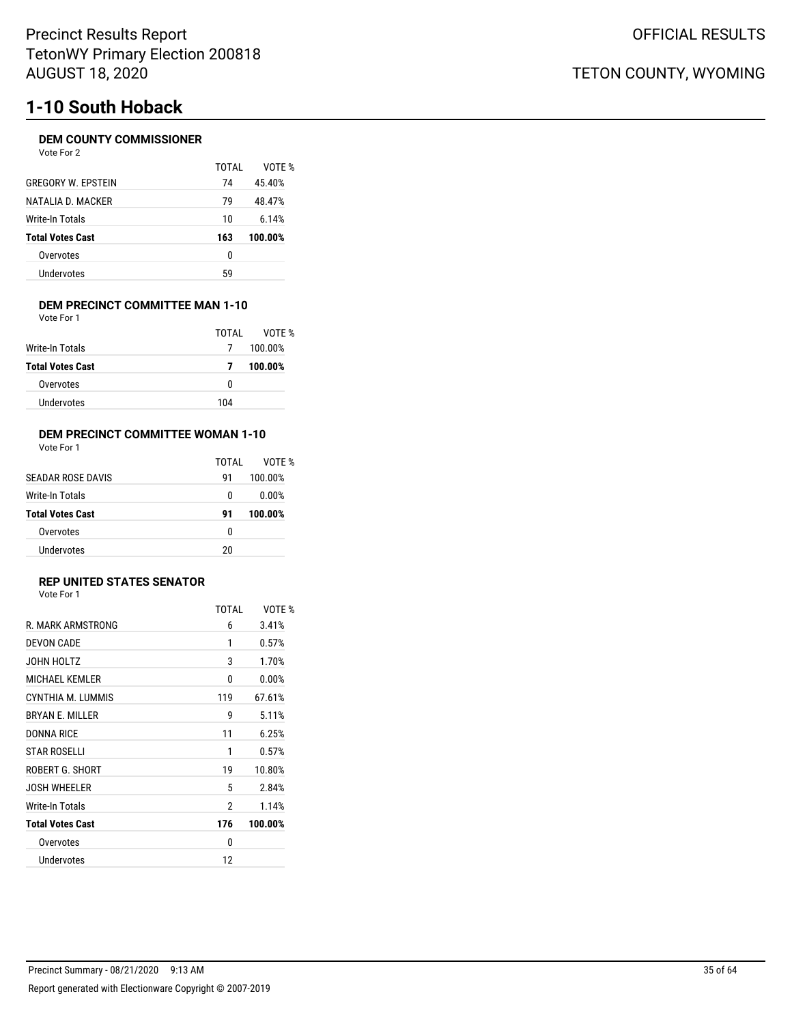# **1-10 South Hoback**

### **DEM COUNTY COMMISSIONER**

Vote For 2

|                           | TOTAI | VOTF %  |
|---------------------------|-------|---------|
| <b>GREGORY W. EPSTEIN</b> | 74    | 45.40%  |
| NATALIA D. MACKER         | 79    | 48.47%  |
| Write-In Totals           | 10    | 6.14%   |
| <b>Total Votes Cast</b>   | 163   | 100.00% |
| Overvotes                 | 0     |         |
| Undervotes                | 59    |         |
|                           |       |         |

#### **DEM PRECINCT COMMITTEE MAN 1-10** Vote For 1

|                         | TOTAI | VOTE %  |
|-------------------------|-------|---------|
| Write-In Totals         | 7     | 100.00% |
| <b>Total Votes Cast</b> | 7     | 100.00% |
| Overvotes               | 0     |         |
| Undervotes              | 104   |         |

### **DEM PRECINCT COMMITTEE WOMAN 1-10**

|                         | TOTAI | VOTF %  |
|-------------------------|-------|---------|
| SEADAR ROSE DAVIS       | 91    | 100.00% |
| Write-In Totals         | 0     | 0.00%   |
| <b>Total Votes Cast</b> | 91    | 100.00% |
| Overvotes               | 0     |         |
| Undervotes              | 20    |         |

## **REP UNITED STATES SENATOR**

|                         | TOTAI | VOTF %  |
|-------------------------|-------|---------|
| R. MARK ARMSTRONG       | 6     | 3.41%   |
| DEVON CADE              | 1     | 0.57%   |
| JOHN HOLTZ              | 3     | 1.70%   |
| <b>MICHAEL KEMLER</b>   | 0     | 0.00%   |
| CYNTHIA M. LUMMIS       | 119   | 67.61%  |
| <b>BRYAN F. MILLER</b>  | 9     | 5.11%   |
| DONNA RICE              | 11    | 6.25%   |
| <b>STAR ROSELLI</b>     | 1     | 0.57%   |
| ROBERT G. SHORT         | 19    | 10.80%  |
| <b>JOSH WHEELER</b>     | 5     | 2.84%   |
| Write-In Totals         | 2     | 1.14%   |
| <b>Total Votes Cast</b> | 176   | 100.00% |
| Overvotes               | 0     |         |
| Undervotes              | 12    |         |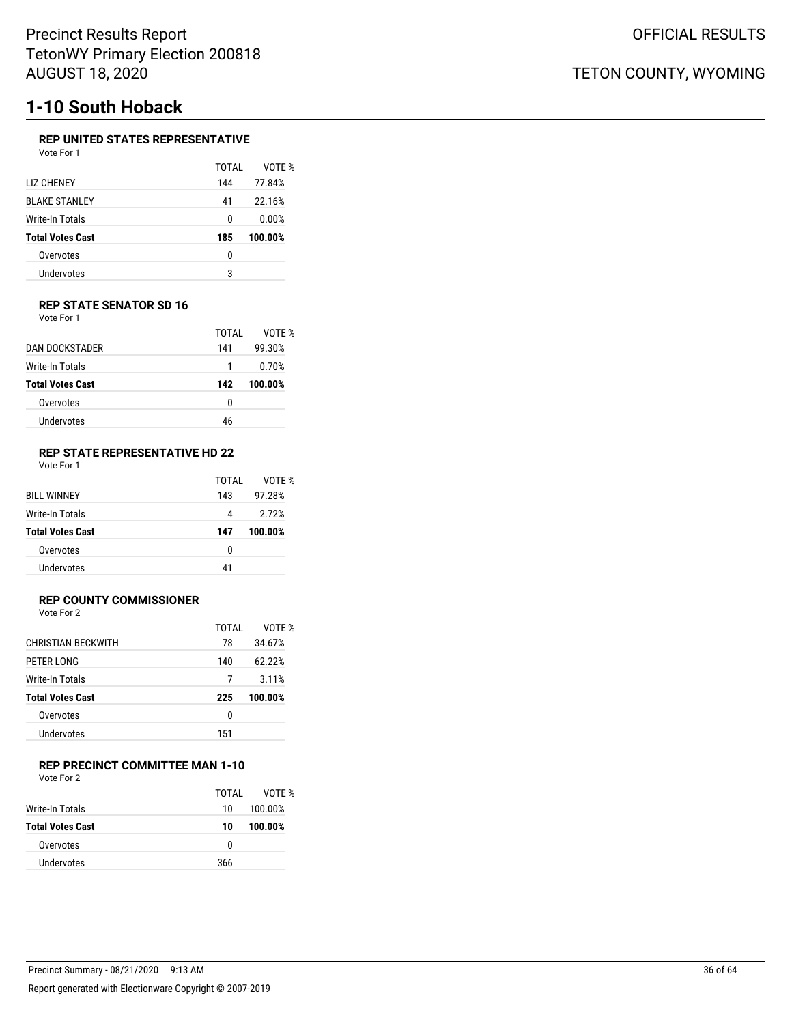# **1-10 South Hoback**

### **REP UNITED STATES REPRESENTATIVE**

| Vote For 1 |  |
|------------|--|
|            |  |

|                         | TOTAI | VOTE %  |
|-------------------------|-------|---------|
| <b>TIZ CHENEY</b>       | 144   | 77.84%  |
| <b>BLAKE STANLEY</b>    | 41    | 22.16%  |
| Write-In Totals         | 0     | 0.00%   |
| <b>Total Votes Cast</b> | 185   | 100.00% |
| Overvotes               | 0     |         |
| Undervotes              | 3     |         |

### **REP STATE SENATOR SD 16** Vote For 1

| DAN DOCKSTADER          | TOTAI<br>141 | VOTE %<br>99.30% |
|-------------------------|--------------|------------------|
| Write-In Totals         | 1            | 0.70%            |
| <b>Total Votes Cast</b> | 142          | 100.00%          |
| Overvotes               | 0            |                  |
| Undervotes              | 46           |                  |

#### **REP STATE REPRESENTATIVE HD 22** Vote For 1

|                         | TOTAI | VOTF %  |
|-------------------------|-------|---------|
| <b>BILL WINNEY</b>      | 143   | 97.28%  |
| Write-In Totals         | 4     | 2.72%   |
| <b>Total Votes Cast</b> | 147   | 100.00% |
| Overvotes               | 0     |         |
| Undervotes              | 41    |         |

### **REP COUNTY COMMISSIONER**

Vote For 2

|                           | TOTAL | VOTF %  |
|---------------------------|-------|---------|
| <b>CHRISTIAN BECKWITH</b> | 78    | 34.67%  |
| PETER LONG                | 140   | 62.22%  |
| Write-In Totals           | 7     | 3.11%   |
| <b>Total Votes Cast</b>   | 225   | 100.00% |
| Overvotes                 | 0     |         |
| Undervotes                | 151   |         |

### **REP PRECINCT COMMITTEE MAN 1-10**

Vote For 2

|                         | TOTAL | VOTF %  |
|-------------------------|-------|---------|
| Write-In Totals         | 10    | 100.00% |
| <b>Total Votes Cast</b> | 10    | 100.00% |
| Overvotes               | 0     |         |
| Undervotes              | 366   |         |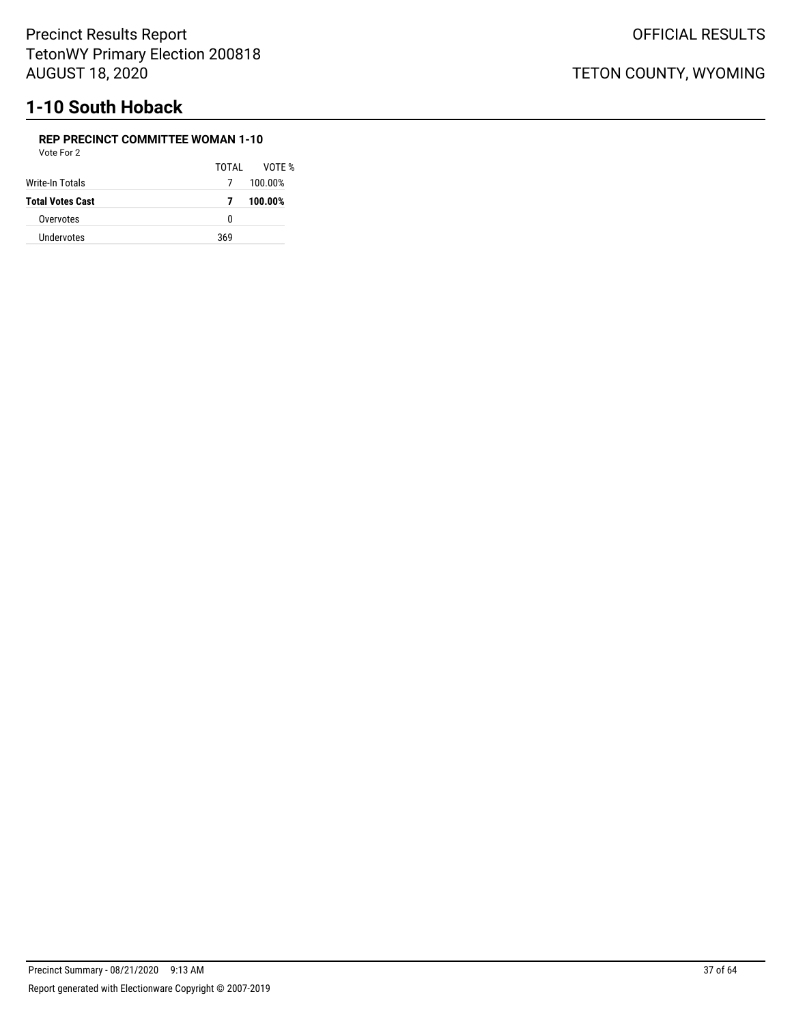# **1-10 South Hoback**

#### **REP PRECINCT COMMITTEE WOMAN 1-10** Vote For 2

| vule Fui Z              |       |         |
|-------------------------|-------|---------|
|                         | TOTAL | VOTF %  |
| Write-In Totals         | 7     | 100.00% |
| <b>Total Votes Cast</b> | 7     | 100.00% |
| Overvotes               | n     |         |
| <b>Undervotes</b>       | 369   |         |
|                         |       |         |

OFFICIAL RESULTS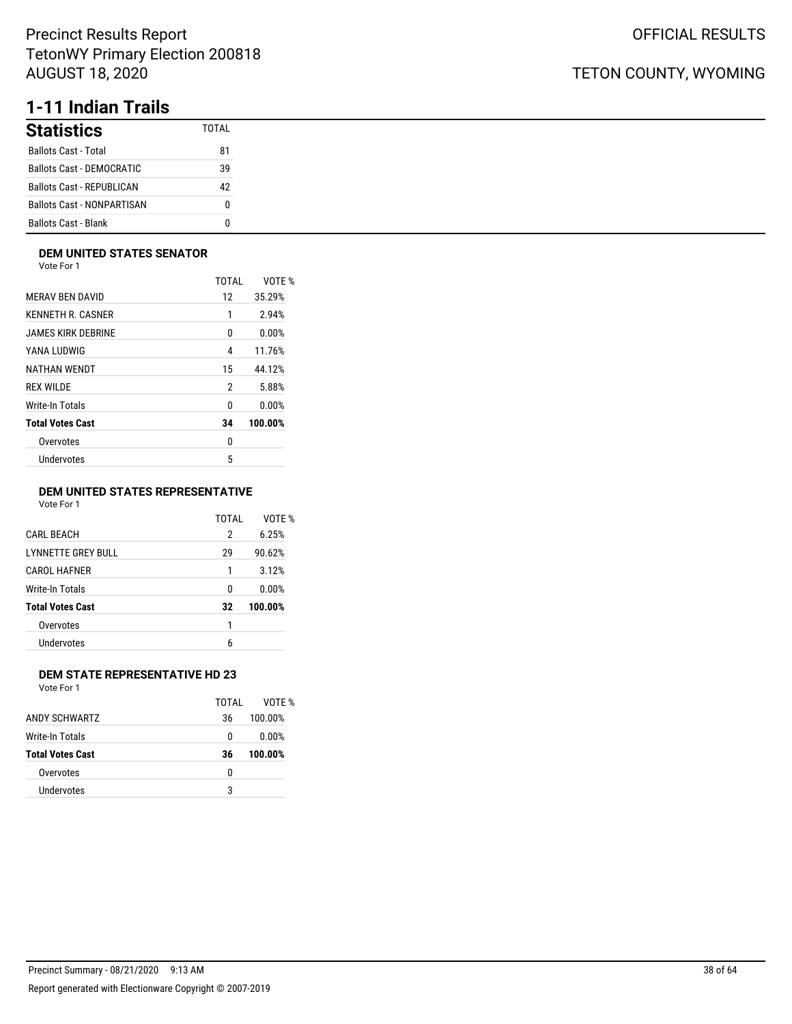# **1-11 Indian Trails**

| <b>Statistics</b>                | TOTAI |
|----------------------------------|-------|
| <b>Ballots Cast - Total</b>      | 81    |
| Ballots Cast - DEMOCRATIC        | 39    |
| <b>Ballots Cast - REPUBLICAN</b> | 42    |
| Ballots Cast - NONPARTISAN       | N     |
| <b>Ballots Cast - Blank</b>      |       |

### **DEM UNITED STATES SENATOR**

Vote For 1

|                         | TOTAL | VOTE %  |
|-------------------------|-------|---------|
| <b>MERAV BEN DAVID</b>  | 12    | 35.29%  |
| KENNETH R. CASNER       | 1     | 2.94%   |
| JAMES KIRK DEBRINE      | 0     | 0.00%   |
| YANA LUDWIG             | 4     | 11.76%  |
| NATHAN WENDT            | 15    | 44.12%  |
| <b>REX WILDE</b>        | 2     | 5.88%   |
| Write-In Totals         | 0     | 0.00%   |
| <b>Total Votes Cast</b> | 34    | 100.00% |
| Overvotes               | 0     |         |
| Undervotes              | 5     |         |
|                         |       |         |

### **DEM UNITED STATES REPRESENTATIVE**

Vote For 1

|                           | TOTAI | VOTE %  |
|---------------------------|-------|---------|
| <b>CARL BEACH</b>         | 2     | 6.25%   |
| <b>LYNNETTE GREY BULL</b> | 29    | 90.62%  |
| <b>CAROL HAFNER</b>       | 1     | 3.12%   |
| Write-In Totals           | 0     | 0.00%   |
| <b>Total Votes Cast</b>   | 32    | 100.00% |
| Overvotes                 | 1     |         |
| Undervotes                | 6     |         |
|                           |       |         |

### **DEM STATE REPRESENTATIVE HD 23**

Vote For 1

|                         | TOTAI | VOTF %  |
|-------------------------|-------|---------|
| ANDY SCHWARTZ           | 36    | 100.00% |
| Write-In Totals         | 0     | 0.00%   |
| <b>Total Votes Cast</b> | 36    | 100.00% |
| Overvotes               | 0     |         |
| Undervotes              | 3     |         |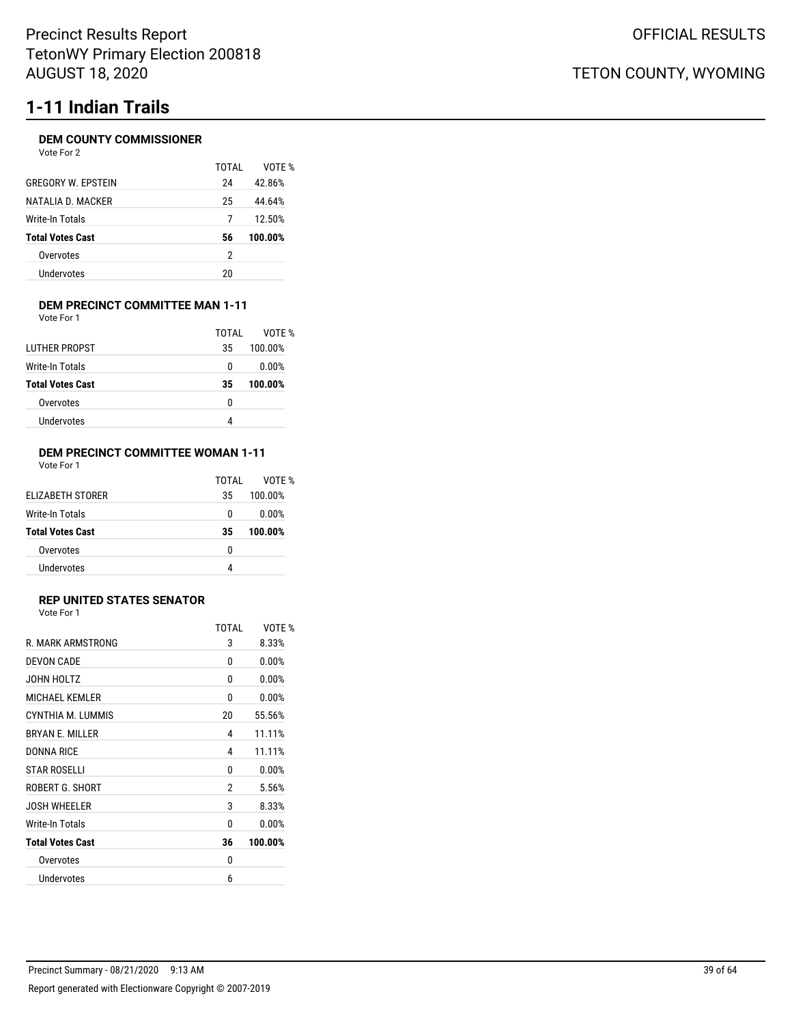# **1-11 Indian Trails**

### **DEM COUNTY COMMISSIONER**

| TOTAI | VOTF %  |
|-------|---------|
| 24    | 42.86%  |
| 25    | 44.64%  |
| 7     | 12.50%  |
| 56    | 100.00% |
| 2     |         |
| 20    |         |
|       |         |

#### **DEM PRECINCT COMMITTEE MAN 1-11** Vote For 1

| <b>LUTHER PROPST</b>    | TOTAI | VOTF %  |
|-------------------------|-------|---------|
|                         | 35    | 100.00% |
| Write-In Totals         | 0     | 0.00%   |
| <b>Total Votes Cast</b> | 35    | 100.00% |
| Overvotes               | 0     |         |
| Undervotes              |       |         |

#### **DEM PRECINCT COMMITTEE WOMAN 1-11** Vote For 1

|                         | TOTAI | VOTF %  |
|-------------------------|-------|---------|
| ELIZABETH STORER        | 35    | 100.00% |
| Write-In Totals         | 0     | 0.00%   |
| <b>Total Votes Cast</b> | 35    | 100.00% |
| Overvotes               | 0     |         |
| Undervotes              |       |         |

### **REP UNITED STATES SENATOR**

Vote For 1

|                         | <b>TOTAL</b> | VOTE %  |
|-------------------------|--------------|---------|
| R. MARK ARMSTRONG       | 3            | 8.33%   |
| DEVON CADE              | 0            | 0.00%   |
| JOHN HOLTZ              | 0            | 0.00%   |
| <b>MICHAEL KEMLER</b>   | 0            | 0.00%   |
| CYNTHIA M. LUMMIS       | 20           | 55.56%  |
| <b>BRYAN E. MILLER</b>  | 4            | 11.11%  |
| <b>DONNA RICE</b>       | 4            | 11.11%  |
| <b>STAR ROSELLI</b>     | 0            | 0.00%   |
| ROBERT G. SHORT         | 2            | 5.56%   |
| <b>JOSH WHEELER</b>     | 3            | 8.33%   |
| Write-In Totals         | 0            | 0.00%   |
| <b>Total Votes Cast</b> | 36           | 100.00% |
| Overvotes               | 0            |         |
| Undervotes              | 6            |         |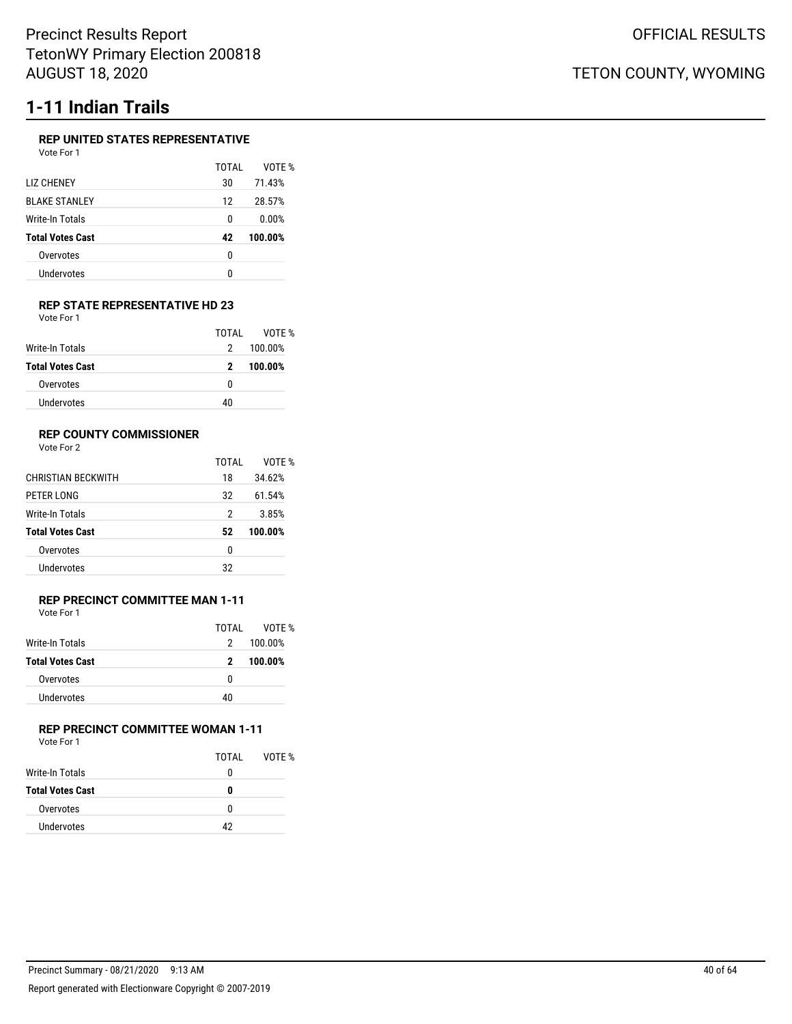# **1-11 Indian Trails**

### **REP UNITED STATES REPRESENTATIVE**

| Vote For 1              |       |         |
|-------------------------|-------|---------|
|                         | TOTAI | VOTE %  |
| LIZ CHENEY              | 30    | 71.43%  |
| <b>BLAKE STANLEY</b>    | 12    | 28.57%  |
| Write-In Totals         | 0     | 0.00%   |
| <b>Total Votes Cast</b> | 42    | 100.00% |
| Overvotes               | 0     |         |
| Undervotes              | U     |         |
|                         |       |         |

#### **REP STATE REPRESENTATIVE HD 23** Vote For 1

|                         | TOTAI | VOTF %  |
|-------------------------|-------|---------|
| Write-In Totals         | 2     | 100.00% |
| <b>Total Votes Cast</b> | 2     | 100.00% |
| Overvotes               | 0     |         |
| Undervotes              | 40    |         |

### **REP COUNTY COMMISSIONER**

Vote For 2

|                           | TOTAL | VOTF %  |
|---------------------------|-------|---------|
| <b>CHRISTIAN BECKWITH</b> | 18    | 34.62%  |
| PETER LONG                | 32    | 61.54%  |
| Write-In Totals           | 2     | 3.85%   |
| <b>Total Votes Cast</b>   | 52    | 100.00% |
| Overvotes                 | 0     |         |
| Undervotes                | 32    |         |
|                           |       |         |

#### **REP PRECINCT COMMITTEE MAN 1-11** Vote For 1

| .                       |               |         |
|-------------------------|---------------|---------|
|                         | TOTAL         | VOTF %  |
| Write-In Totals         | $\mathcal{P}$ | 100.00% |
| <b>Total Votes Cast</b> | 2             | 100.00% |
| Overvotes               | 0             |         |
| <b>Undervotes</b>       | 40            |         |

### **REP PRECINCT COMMITTEE WOMAN 1-11** Vote For 1

| <b>VULLET UI</b>        |       |        |
|-------------------------|-------|--------|
|                         | TOTAL | VOTE % |
| <b>Write-In Totals</b>  | 0     |        |
| <b>Total Votes Cast</b> | n     |        |
| Overvotes               | 0     |        |
| Undervotes              | 42    |        |
|                         |       |        |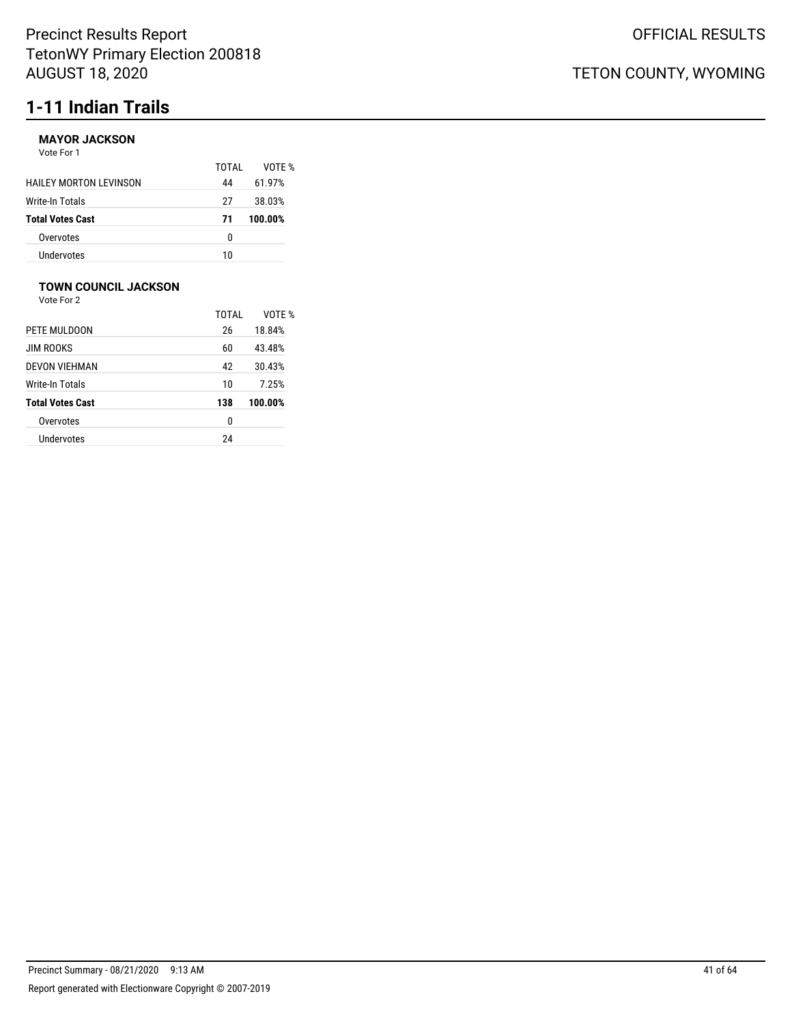# **1-11 Indian Trails**

### **MAYOR JACKSON**

| Vote For 1                    |       |        |
|-------------------------------|-------|--------|
|                               | TOTAL | VOTF   |
| <b>HAILEY MORTON LEVINSON</b> | 44    | 61.97% |
|                               |       |        |

| Write-In Totals         | 27  | 38.03%  |
|-------------------------|-----|---------|
| <b>Total Votes Cast</b> | -71 | 100.00% |
| Overvotes               | n   |         |
| Undervotes              | 10  |         |

TOTAL VOTE %

### **TOWN COUNCIL JACKSON**

|                         | TOTAI | VOTF %  |
|-------------------------|-------|---------|
| PETE MULDOON            | 26    | 18.84%  |
| <b>JIM ROOKS</b>        | 60    | 43.48%  |
| <b>DEVON VIEHMAN</b>    | 42    | 30.43%  |
| Write-In Totals         | 10    | 7.25%   |
| <b>Total Votes Cast</b> | 138   | 100.00% |
| Overvotes               | 0     |         |
| Undervotes              | 24    |         |
|                         |       |         |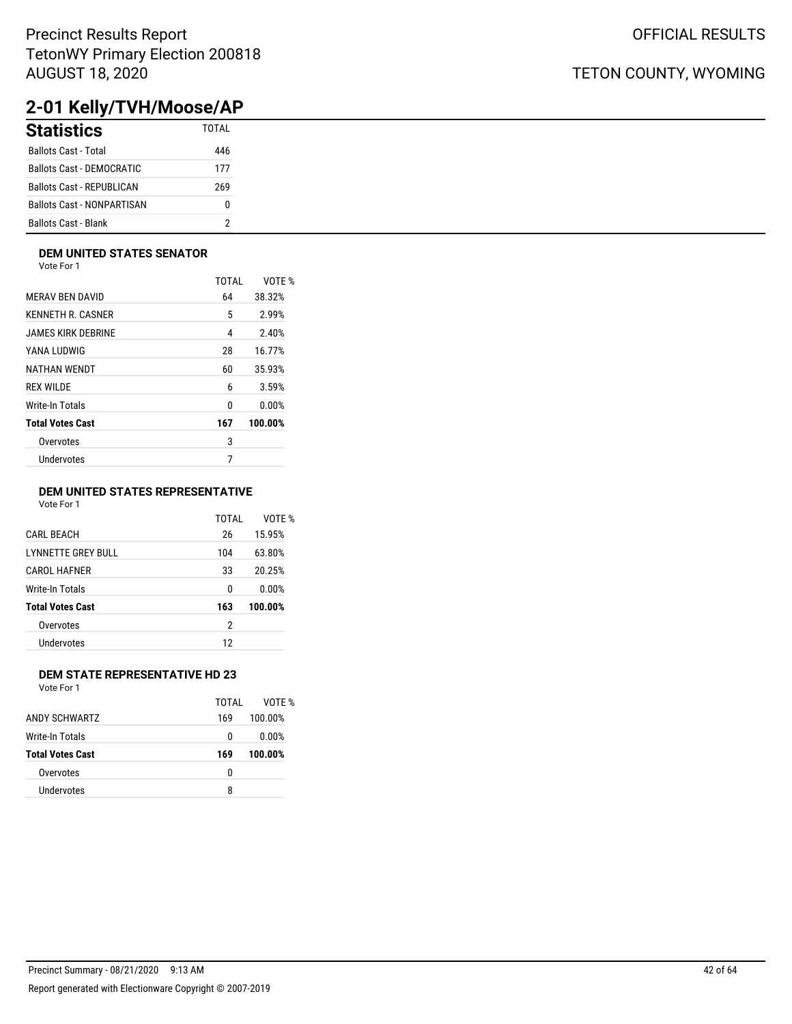## TETON COUNTY, WYOMING

# **2-01 Kelly/TVH/Moose/AP**

| <b>Statistics</b>                 | <b>TOTAL</b> |
|-----------------------------------|--------------|
| <b>Ballots Cast - Total</b>       | 446          |
| <b>Ballots Cast - DEMOCRATIC</b>  | 177          |
| <b>Ballots Cast - REPUBLICAN</b>  | 269          |
| <b>Ballots Cast - NONPARTISAN</b> | 0            |
| Ballots Cast - Blank              |              |

### **DEM UNITED STATES SENATOR**

Vote For 1

|                         | TOTAL | VOTE %  |
|-------------------------|-------|---------|
| <b>MERAV BEN DAVID</b>  | 64    | 38.32%  |
| KENNETH R. CASNER       | 5     | 2.99%   |
| JAMES KIRK DEBRINE      | 4     | 2.40%   |
| YANA LUDWIG             | 28    | 16.77%  |
| NATHAN WENDT            | 60    | 35.93%  |
| <b>REX WILDE</b>        | 6     | 3.59%   |
| Write-In Totals         | 0     | 0.00%   |
| <b>Total Votes Cast</b> | 167   | 100.00% |
| Overvotes               | 3     |         |
| Undervotes              | 7     |         |
|                         |       |         |

### **DEM UNITED STATES REPRESENTATIVE**

Vote For 1

|                         | TOTAI | VOTF %  |
|-------------------------|-------|---------|
| <b>CARL BEACH</b>       | 26    | 15.95%  |
| LYNNETTE GREY BULL      | 104   | 63.80%  |
| <b>CAROL HAFNER</b>     | 33    | 20.25%  |
| Write-In Totals         | 0     | 0.00%   |
| <b>Total Votes Cast</b> | 163   | 100.00% |
| Overvotes               | 2     |         |
| Undervotes              | 12    |         |
|                         |       |         |

### **DEM STATE REPRESENTATIVE HD 23**

|                         | TOTAI | VOTF %  |
|-------------------------|-------|---------|
| ANDY SCHWARTZ           | 169   | 100.00% |
| Write-In Totals         | 0     | 0.00%   |
| <b>Total Votes Cast</b> | 169   | 100.00% |
| Overvotes               | 0     |         |
| Undervotes              | 8     |         |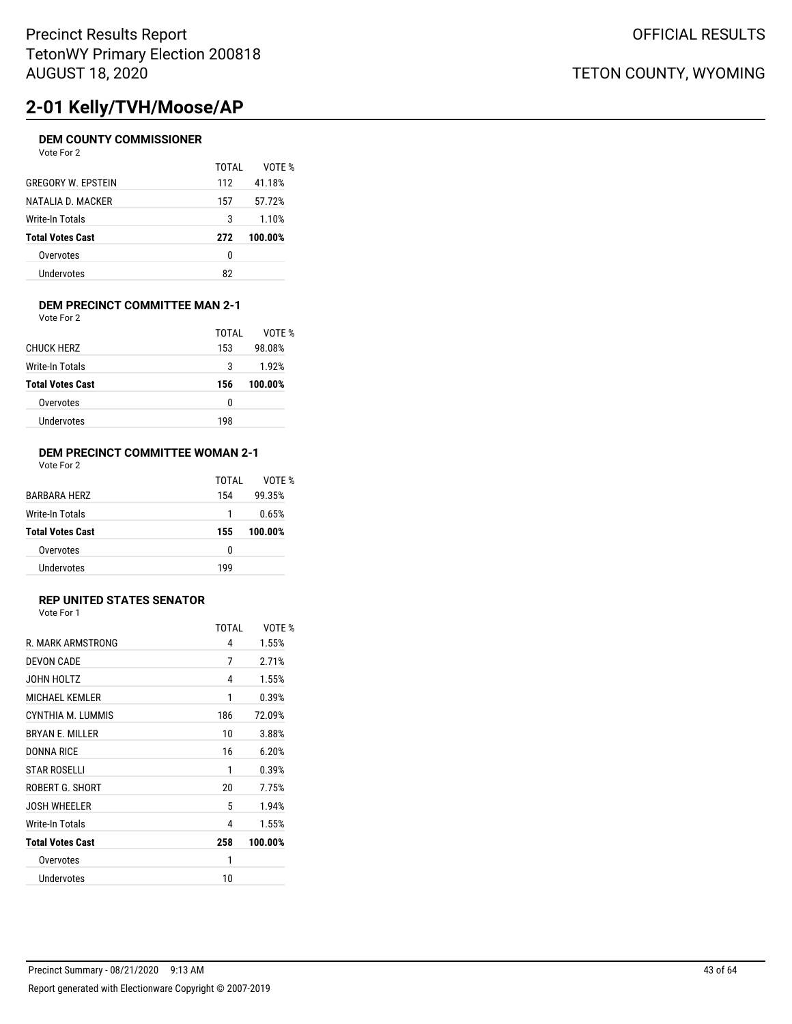# **2-01 Kelly/TVH/Moose/AP**

### **DEM COUNTY COMMISSIONER**

| Vote For 2                |       |         |
|---------------------------|-------|---------|
|                           | TOTAI | VOTE %  |
| <b>GREGORY W. EPSTEIN</b> | 112   | 41.18%  |
| NATALIA D. MACKER         | 157   | 57.72%  |
| Write-In Totals           | 3     | 1.10%   |
| <b>Total Votes Cast</b>   | 272   | 100.00% |
| Overvotes                 | 0     |         |
| Undervotes                | 82    |         |

#### **DEM PRECINCT COMMITTEE MAN 2-1** Vote For 2

|                         | TOTAI | VOTF %  |
|-------------------------|-------|---------|
| <b>CHUCK HERZ</b>       | 153   | 98.08%  |
| Write-In Totals         | 3     | 1.92%   |
| <b>Total Votes Cast</b> | 156   | 100.00% |
| Overvotes               | 0     |         |
| Undervotes              | 198   |         |
|                         |       |         |

### **DEM PRECINCT COMMITTEE WOMAN 2-1** Vote For 2

| <b>BARBARA HERZ</b>     | TOTAI<br>154 | VOTF %<br>99.35% |
|-------------------------|--------------|------------------|
| Write-In Totals         | 1            | 0.65%            |
| <b>Total Votes Cast</b> | 155          | 100.00%          |
| Overvotes               | 0            |                  |
| Undervotes              | 199          |                  |

### **REP UNITED STATES SENATOR**

| <b>TOTAL</b> | VOTE %  |
|--------------|---------|
| 4            | 1.55%   |
| 7            | 2.71%   |
| 4            | 1.55%   |
| 1            | 0.39%   |
| 186          | 72.09%  |
| 10           | 3.88%   |
| 16           | 6.20%   |
| 1            | 0.39%   |
| 20           | 7.75%   |
| 5            | 1.94%   |
| 4            | 1.55%   |
| 258          | 100.00% |
| 1            |         |
| 10           |         |
|              |         |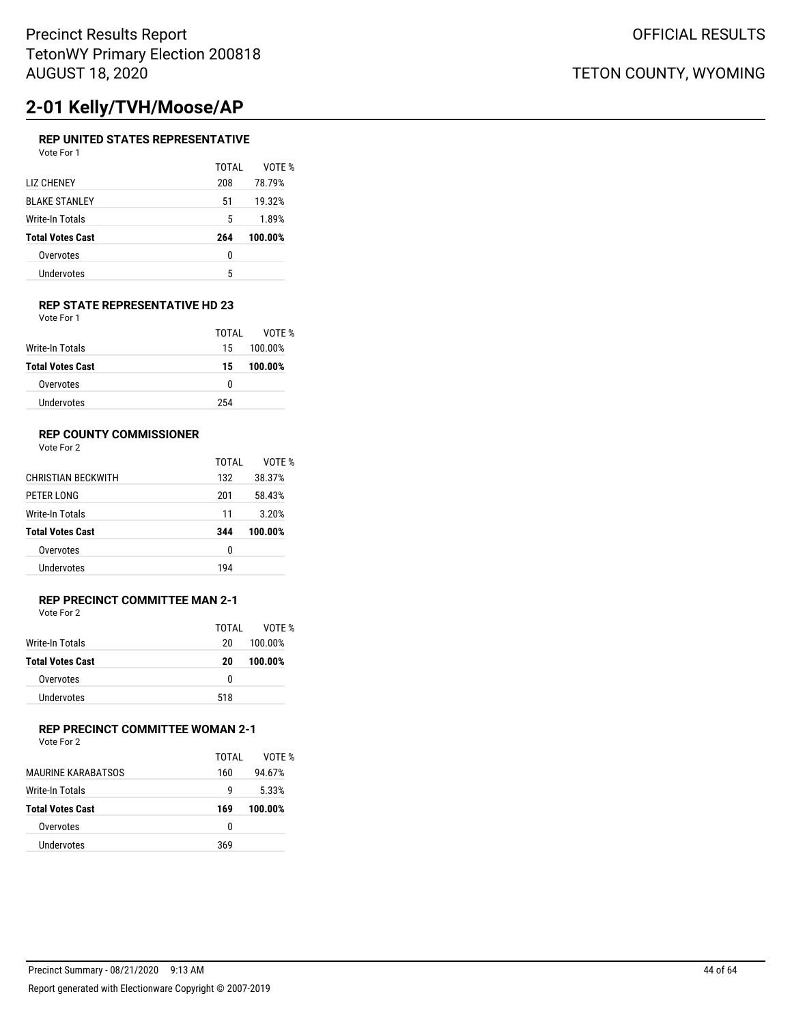# **2-01 Kelly/TVH/Moose/AP**

### **REP UNITED STATES REPRESENTATIVE**

| TOTAI | VOTF %  |
|-------|---------|
| 208   | 78.79%  |
| 51    | 19.32%  |
| 5     | 1.89%   |
| 264   | 100.00% |
| 0     |         |
| 5     |         |
|       |         |

#### **REP STATE REPRESENTATIVE HD 23** Vote For 1

|                         | TOTAL | VOTF %  |
|-------------------------|-------|---------|
| Write-In Totals         | 15    | 100.00% |
| <b>Total Votes Cast</b> | 15    | 100.00% |
| Overvotes               | 0     |         |
| Undervotes              | 254   |         |

### **REP COUNTY COMMISSIONER**

Vote For 2

|                           | TOTAL | VOTF %  |
|---------------------------|-------|---------|
| <b>CHRISTIAN BECKWITH</b> | 132   | 38.37%  |
| PETER LONG                | 201   | 58.43%  |
| Write-In Totals           | 11    | 3.20%   |
| <b>Total Votes Cast</b>   | 344   | 100.00% |
| Overvotes                 | 0     |         |
| Undervotes                | 194   |         |

#### **REP PRECINCT COMMITTEE MAN 2-1** Vote For 2

| VULCIUI <i>L</i>        |       |         |
|-------------------------|-------|---------|
|                         | TOTAL | VOTF %  |
| Write-In Totals         | 20    | 100.00% |
| <b>Total Votes Cast</b> | 20    | 100.00% |
| Overvotes               | 0     |         |
| Undervotes              | 518   |         |

## **REP PRECINCT COMMITTEE WOMAN 2-1**

|                         | TOTAL | VOTF %  |
|-------------------------|-------|---------|
| MAURINE KARABATSOS      | 160   | 94.67%  |
| Write-In Totals         | q     | 5.33%   |
| <b>Total Votes Cast</b> | 169   | 100.00% |
| Overvotes               | 0     |         |
| Undervotes              | 369   |         |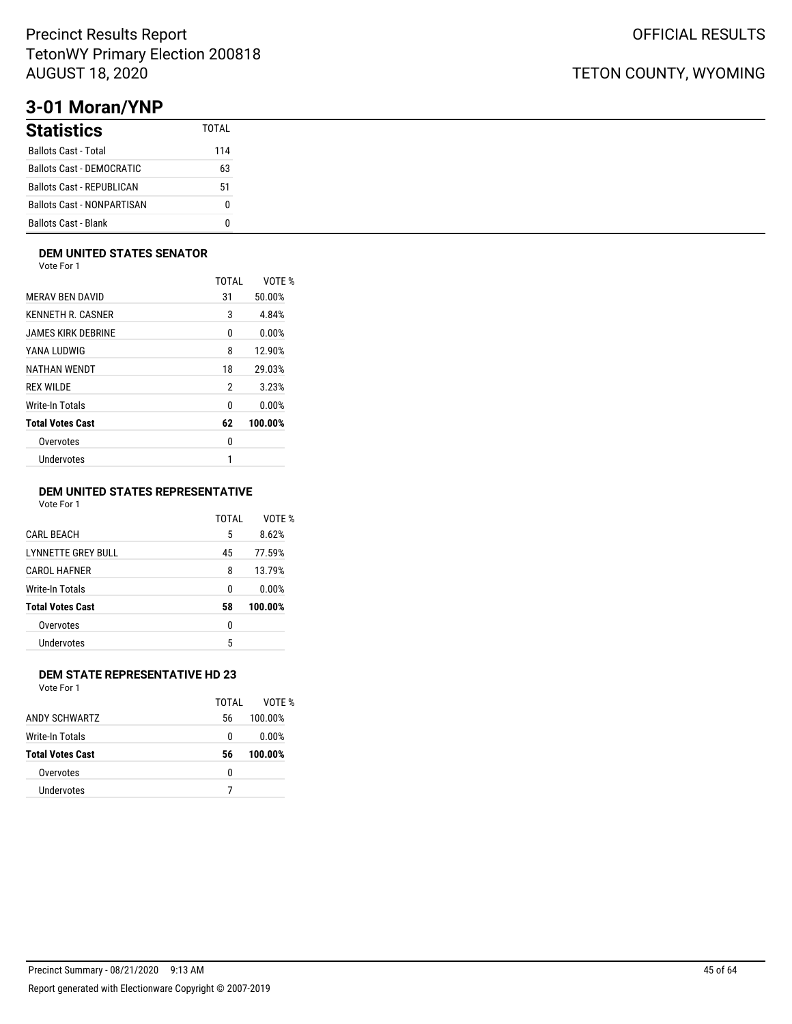# **3-01 Moran/YNP**

| <b>Statistics</b>                 | TOTAI |
|-----------------------------------|-------|
| <b>Ballots Cast - Total</b>       | 114   |
| <b>Ballots Cast - DEMOCRATIC</b>  | 63    |
| Ballots Cast - REPUBLICAN         | 51    |
| <b>Ballots Cast - NONPARTISAN</b> | n     |
| <b>Ballots Cast - Blank</b>       |       |

### **DEM UNITED STATES SENATOR**

Vote For 1

|                         | TOTAI | VOTE %  |
|-------------------------|-------|---------|
| <b>MERAV BEN DAVID</b>  | 31    | 50.00%  |
| KENNETH R. CASNER       | 3     | 4.84%   |
| JAMES KIRK DEBRINE      | 0     | 0.00%   |
| YANA LUDWIG             | 8     | 12.90%  |
| NATHAN WENDT            | 18    | 29.03%  |
| <b>REX WILDE</b>        | 2     | 3.23%   |
| Write-In Totals         | 0     | 0.00%   |
| <b>Total Votes Cast</b> | 62    | 100.00% |
| Overvotes               | 0     |         |
| Undervotes              | 1     |         |
|                         |       |         |

### **DEM UNITED STATES REPRESENTATIVE**

Vote For 1

|                           | TOTAI | VOTE %  |
|---------------------------|-------|---------|
| <b>CARL BEACH</b>         | 5     | 8.62%   |
| <b>LYNNETTE GREY BULL</b> | 45    | 77.59%  |
| <b>CAROL HAFNER</b>       | 8     | 13.79%  |
| Write-In Totals           | 0     | 0.00%   |
| <b>Total Votes Cast</b>   | 58    | 100.00% |
| Overvotes                 | 0     |         |
| Undervotes                | 5     |         |
|                           |       |         |

### **DEM STATE REPRESENTATIVE HD 23**

Vote For 1

|                         | TOTAL | VOTF %  |
|-------------------------|-------|---------|
| <b>ANDY SCHWARTZ</b>    | 56    | 100.00% |
| Write-In Totals         | 0     | 0.00%   |
| <b>Total Votes Cast</b> | 56    | 100.00% |
| Overvotes               | 0     |         |
| Undervotes              |       |         |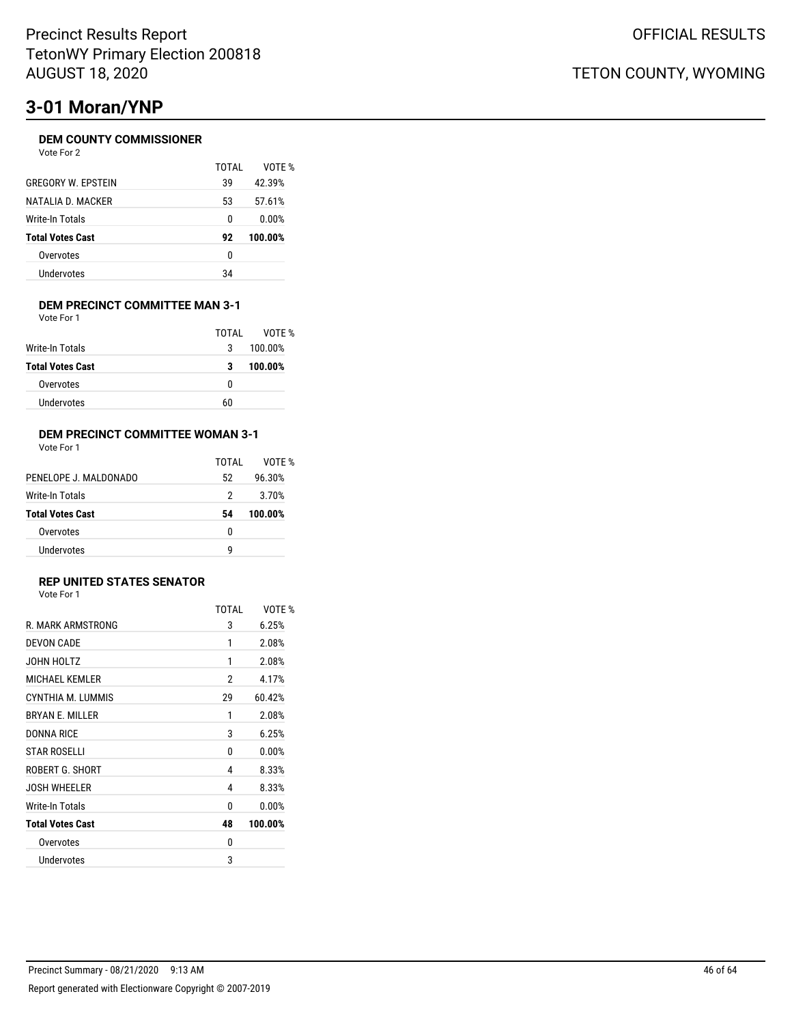# **3-01 Moran/YNP**

### **DEM COUNTY COMMISSIONER**

Vote For 2

|                           | TOTAI | VOTF %  |
|---------------------------|-------|---------|
| <b>GREGORY W. FPSTEIN</b> | 39    | 42.39%  |
| NATALIA D. MACKER         | 53    | 57.61%  |
| Write-In Totals           | 0     | 0.00%   |
| <b>Total Votes Cast</b>   | 92    | 100.00% |
| Overvotes                 | 0     |         |
| Undervotes                | 34    |         |
|                           |       |         |

#### **DEM PRECINCT COMMITTEE MAN 3-1** Vote For 1

|                         | TOTAL | VOTE %  |
|-------------------------|-------|---------|
| Write-In Totals         | 3     | 100.00% |
| <b>Total Votes Cast</b> | 3     | 100.00% |
| Overvotes               | 0     |         |
| <b>Undervotes</b>       | 60    |         |

#### **DEM PRECINCT COMMITTEE WOMAN 3-1** Vote For 1

| × | ×<br>× | VULTUII |  |
|---|--------|---------|--|
|   |        |         |  |
|   |        |         |  |

|                         | TOTAI | VOTF %  |
|-------------------------|-------|---------|
| PENELOPE J. MALDONADO   | 52    | 96.30%  |
| Write-In Totals         | 2     | 3.70%   |
| <b>Total Votes Cast</b> | 54    | 100.00% |
| Overvotes               | n     |         |
| Undervotes              | q     |         |

### **REP UNITED STATES SENATOR**

|                         | TOTAI | VOTF %  |
|-------------------------|-------|---------|
| R. MARK ARMSTRONG       | 3     | 6.25%   |
| DEVON CADE              | 1     | 2.08%   |
| JOHN HOLTZ              | 1     | 2.08%   |
| <b>MICHAEL KEMLER</b>   | 2     | 4.17%   |
| CYNTHIA M. LUMMIS       | 29    | 60.42%  |
| <b>BRYAN F. MILLER</b>  | 1     | 2.08%   |
| DONNA RICE              | 3     | 6.25%   |
| <b>STAR ROSELLI</b>     | 0     | 0.00%   |
| ROBERT G. SHORT         | 4     | 8.33%   |
| <b>JOSH WHEELER</b>     | 4     | 8.33%   |
| Write-In Totals         | 0     | 0.00%   |
| <b>Total Votes Cast</b> | 48    | 100.00% |
| Overvotes               | 0     |         |
| Undervotes              | 3     |         |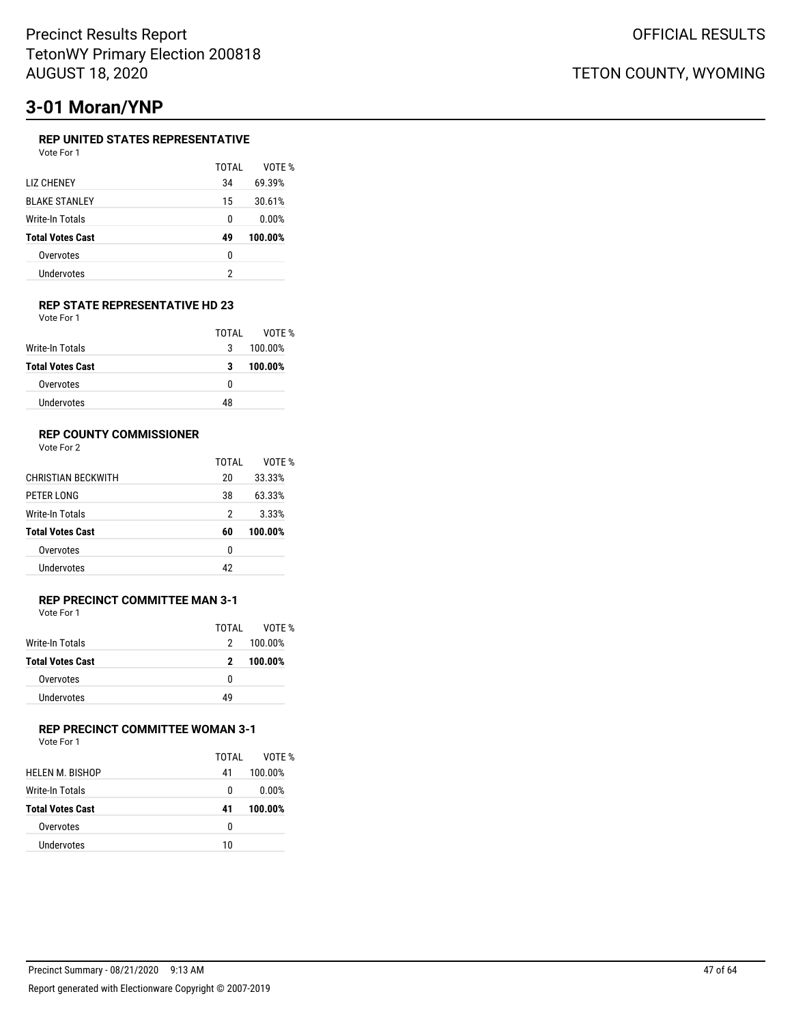# **3-01 Moran/YNP**

### **REP UNITED STATES REPRESENTATIVE**

| Vote For 1 |  |
|------------|--|
|            |  |

|                         | TOTAI | VOTF %  |
|-------------------------|-------|---------|
| LIZ CHENEY              | 34    | 69.39%  |
| <b>BLAKE STANLEY</b>    | 15    | 30.61%  |
| Write-In Totals         | 0     | 0.00%   |
| <b>Total Votes Cast</b> | 49    | 100.00% |
| Overvotes               | 0     |         |
| Undervotes              | 2     |         |

#### **REP STATE REPRESENTATIVE HD 23** Vote For 1

|                         | TOTAI | VOTF %  |
|-------------------------|-------|---------|
| Write-In Totals         | 3     | 100.00% |
| <b>Total Votes Cast</b> | 3     | 100.00% |
| Overvotes               | 0     |         |
| Undervotes              | 48    |         |

### **REP COUNTY COMMISSIONER**

Vote For 2

|                           | TOTAL | VOTF %  |
|---------------------------|-------|---------|
| <b>CHRISTIAN BECKWITH</b> | 20    | 33.33%  |
| PETER LONG                | 38    | 63.33%  |
| Write-In Totals           | 2     | 3.33%   |
| <b>Total Votes Cast</b>   | 60    | 100.00% |
| Overvotes                 | 0     |         |
| Undervotes                | 42    |         |
|                           |       |         |

#### **REP PRECINCT COMMITTEE MAN 3-1** Vote For 1

| .                       |       |         |
|-------------------------|-------|---------|
|                         | TOTAL | VOTF %  |
| Write-In Totals         | 2     | 100.00% |
| <b>Total Votes Cast</b> | 2     | 100.00% |
| Overvotes               | 0     |         |
| <b>Undervotes</b>       | 49    |         |

## **REP PRECINCT COMMITTEE WOMAN 3-1**

| Vote For 1 |  |  |
|------------|--|--|
|------------|--|--|

|                         | TOTAL | VOTF %  |
|-------------------------|-------|---------|
| HELEN M. BISHOP         | 41    | 100.00% |
| Write-In Totals         | 0     | 0.00%   |
| <b>Total Votes Cast</b> | 41    | 100.00% |
| Overvotes               | 0     |         |
| Undervotes              | 10    |         |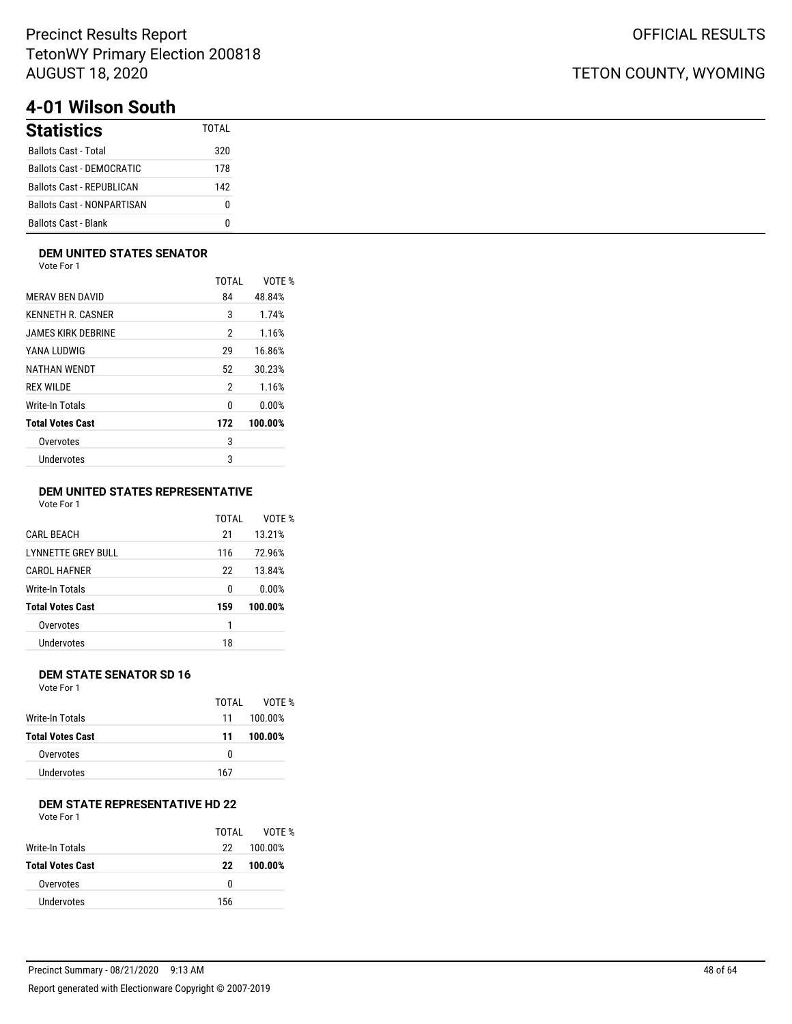# **4-01 Wilson South**

| <b>Statistics</b>                 | TOTAI |
|-----------------------------------|-------|
| <b>Ballots Cast - Total</b>       | 320   |
| Ballots Cast - DEMOCRATIC         | 178   |
| <b>Ballots Cast - REPUBLICAN</b>  | 142   |
| <b>Ballots Cast - NONPARTISAN</b> | n     |
| <b>Ballots Cast - Blank</b>       | n     |

### **DEM UNITED STATES SENATOR**

Vote For 1

|                         | TOTAI | VOTE %  |
|-------------------------|-------|---------|
| <b>MERAV BEN DAVID</b>  | 84    | 48.84%  |
| KENNETH R. CASNER       | 3     | 1.74%   |
| JAMES KIRK DEBRINE      | 2     | 1.16%   |
| YANA LUDWIG             | 29    | 16.86%  |
| NATHAN WENDT            | 52    | 30.23%  |
| REX WILDE               | 2     | 1.16%   |
| Write-In Totals         | 0     | 0.00%   |
| <b>Total Votes Cast</b> | 172   | 100.00% |
| Overvotes               | 3     |         |
| <b>Undervotes</b>       | 3     |         |
|                         |       |         |

### **DEM UNITED STATES REPRESENTATIVE**

Vote For 1

|                         | TOTAI | VOTF %  |
|-------------------------|-------|---------|
| <b>CARL BEACH</b>       | 21    | 13.21%  |
| LYNNETTE GREY BULL      | 116   | 72.96%  |
| <b>CAROL HAFNER</b>     | 22    | 13.84%  |
| Write-In Totals         | 0     | 0.00%   |
| <b>Total Votes Cast</b> | 159   | 100.00% |
| Overvotes               | 1     |         |
| Undervotes              | 18    |         |
|                         |       |         |

### **DEM STATE SENATOR SD 16**

Vote For 1

|                  | TOTAI | VOTE %  |
|------------------|-------|---------|
| Write-In Totals  | 11    | 100.00% |
| Total Votes Cast | 11    | 100.00% |
| Overvotes        | n     |         |
| Undervotes       | 167   |         |

## **DEM STATE REPRESENTATIVE HD 22**

| Vote For 1 |  |  |
|------------|--|--|
|------------|--|--|

|                         | TOTAI | VOTF %  |
|-------------------------|-------|---------|
| Write-In Totals         | 22    | 100.00% |
| <b>Total Votes Cast</b> | 22    | 100.00% |
| Overvotes               | n     |         |
| Undervotes              | 156   |         |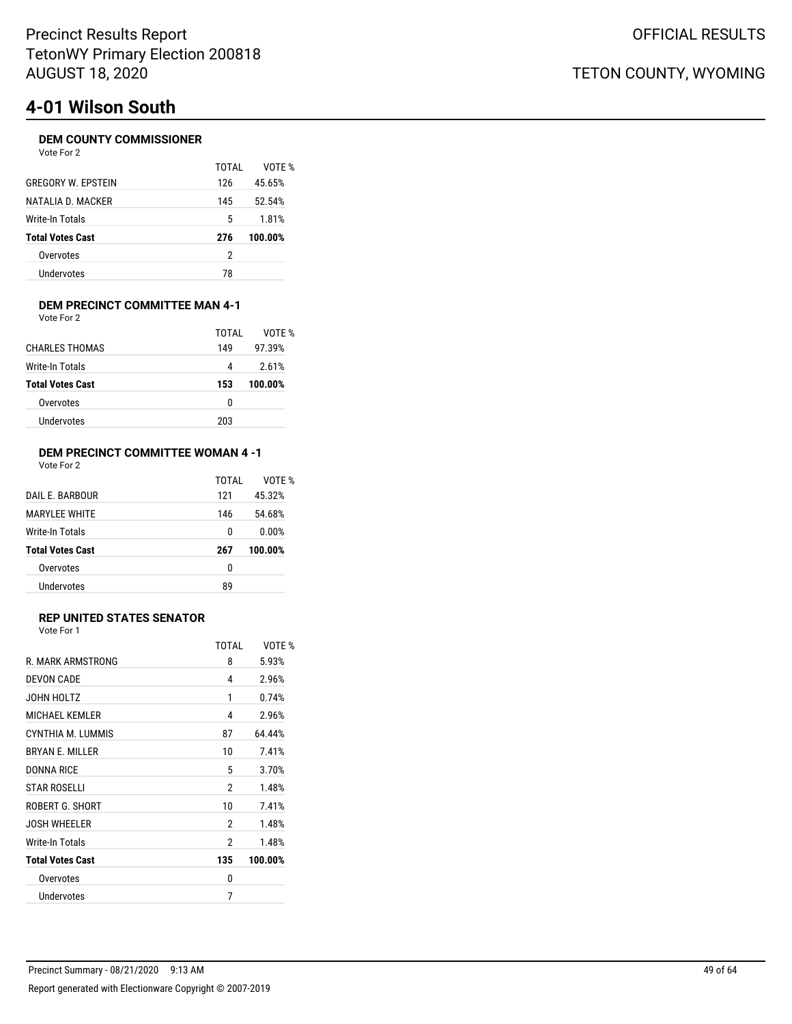# **4-01 Wilson South**

### **DEM COUNTY COMMISSIONER**

| Vote For | 2 |
|----------|---|
|----------|---|

|                           | TOTAI | VOTF %  |
|---------------------------|-------|---------|
| <b>GREGORY W. FPSTEIN</b> | 126   | 45.65%  |
| NATALIA D. MACKER         | 145   | 52.54%  |
| Write-In Totals           | 5     | 1.81%   |
| <b>Total Votes Cast</b>   | 276   | 100.00% |
| Overvotes                 | 2     |         |
| Undervotes                | 78    |         |
|                           |       |         |

#### **DEM PRECINCT COMMITTEE MAN 4-1** Vote For 2

| 149 | 97.39%  |
|-----|---------|
|     |         |
| 4   | 2.61%   |
| 153 | 100.00% |
| 0   |         |
|     |         |
|     |         |

### **DEM PRECINCT COMMITTEE WOMAN 4 -1** Vote For 2

|                         | TOTAI | VOTF %  |
|-------------------------|-------|---------|
| DAIL F. BARBOUR         | 121   | 45.32%  |
| <b>MARYLEE WHITE</b>    | 146   | 54.68%  |
| Write-In Totals         | 0     | 0.00%   |
| <b>Total Votes Cast</b> | 267   | 100.00% |
| Overvotes               | 0     |         |
| Undervotes              | 89    |         |

### **REP UNITED STATES SENATOR**

Vote For 1

|                         | TOTAI | VOTF %  |
|-------------------------|-------|---------|
| R. MARK ARMSTRONG       | 8     | 5.93%   |
| <b>DEVON CADE</b>       | 4     | 2.96%   |
| JOHN HOLTZ              | 1     | 0.74%   |
| <b>MICHAEL KEMLER</b>   | 4     | 2.96%   |
| CYNTHIA M. LUMMIS       | 87    | 64.44%  |
| <b>BRYAN F. MILLER</b>  | 10    | 7.41%   |
| DONNA RICE              | 5     | 3.70%   |
| <b>STAR ROSELLI</b>     | 2     | 1.48%   |
| ROBERT G. SHORT         | 10    | 7.41%   |
| <b>JOSH WHEELER</b>     | 2     | 1.48%   |
| Write-In Totals         | 2     | 1.48%   |
| <b>Total Votes Cast</b> | 135   | 100.00% |
| Overvotes               | 0     |         |
| Undervotes              | 7     |         |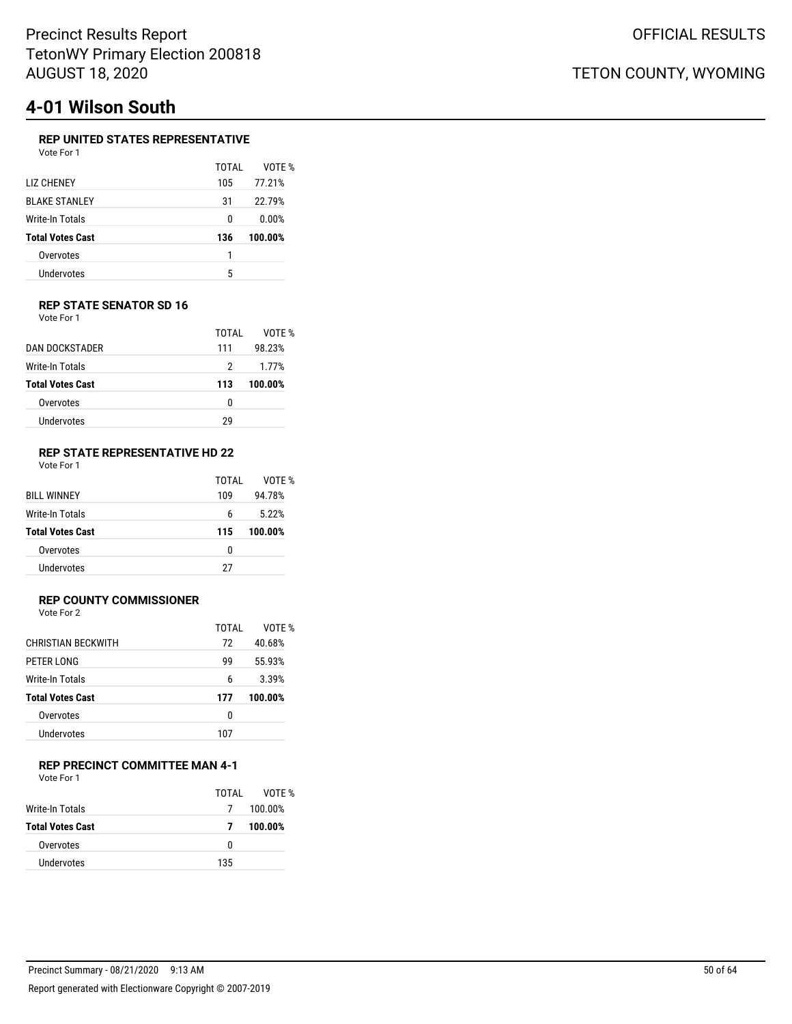# **4-01 Wilson South**

## **REP UNITED STATES REPRESENTATIVE**

| Vote For 1              |       |         |
|-------------------------|-------|---------|
|                         | TOTAL | VOTE %  |
| <b>LIZ CHENEY</b>       | 105   | 77.21%  |
| <b>BLAKE STANLEY</b>    | 31    | 22.79%  |
| Write-In Totals         | N     | 0.00%   |
| <b>Total Votes Cast</b> | 136   | 100.00% |
| Overvotes               | 1     |         |
| Undervotes              | 5     |         |

#### **REP STATE SENATOR SD 16** Vote For 1

|                         | TOTAI | VOTF %  |
|-------------------------|-------|---------|
| <b>DAN DOCKSTADER</b>   | 111   | 98.23%  |
| Write-In Totals         | 2     | 1.77%   |
| <b>Total Votes Cast</b> | 113   | 100.00% |
| Overvotes               | U     |         |
| Undervotes              | 29    |         |
|                         |       |         |

#### **REP STATE REPRESENTATIVE HD 22** Vote For 1

| <b>BILL WINNEY</b>      | TOTAI<br>109 | VOTF %<br>94.78% |
|-------------------------|--------------|------------------|
| <b>Write-In Totals</b>  | 6            | 5.22%            |
| <b>Total Votes Cast</b> | 115          | 100.00%          |
| Overvotes               | 0            |                  |
| Undervotes              | 27           |                  |

### **REP COUNTY COMMISSIONER**

Vote For 2

|                         | TOTAI | VOTF %  |
|-------------------------|-------|---------|
| CHRISTIAN BECKWITH      | 72    | 40.68%  |
| PETER LONG              | 99    | 55.93%  |
| Write-In Totals         | 6     | 3.39%   |
| <b>Total Votes Cast</b> | 177   | 100.00% |
| Overvotes               | 0     |         |
| Undervotes              |       |         |

### **REP PRECINCT COMMITTEE MAN 4-1**

Vote For 1

|                         | TOTAL | VOTF %  |
|-------------------------|-------|---------|
| Write-In Totals         | 7     | 100.00% |
| <b>Total Votes Cast</b> | 7     | 100.00% |
| Overvotes               | n     |         |
| Undervotes              | 135   |         |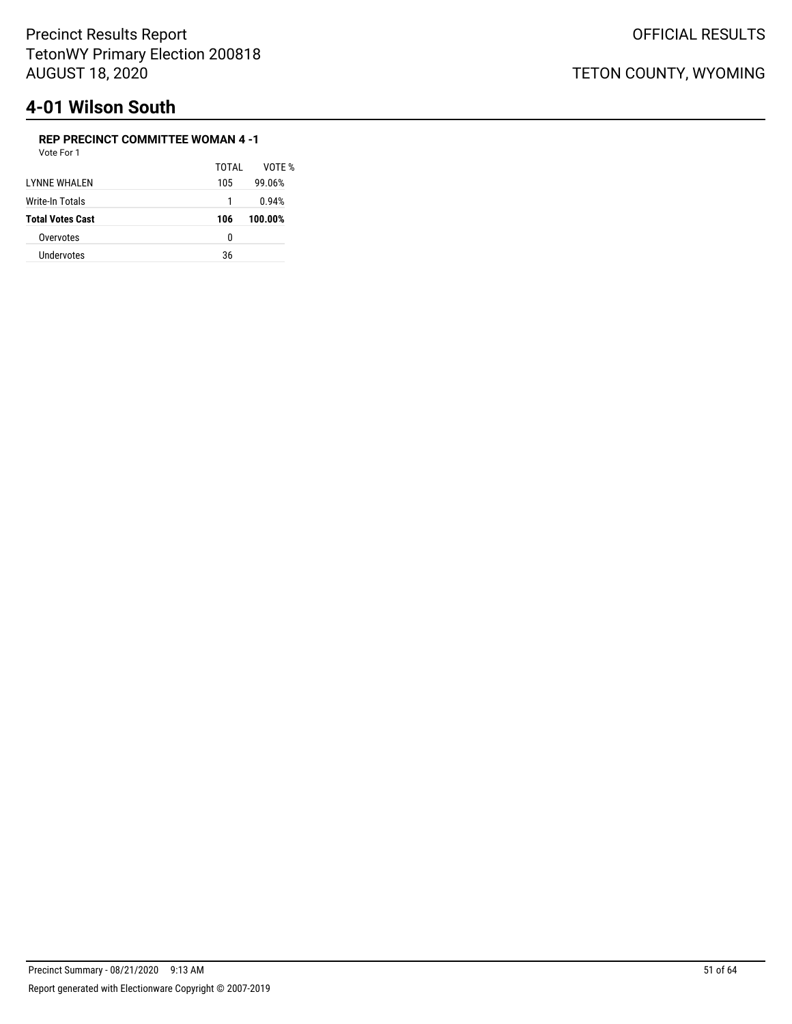# **4-01 Wilson South**

### **REP PRECINCT COMMITTEE WOMAN 4 -1**

| TOTAI | VOTF %  |
|-------|---------|
| 105   | 99.06%  |
| 1     | 0.94%   |
| 106   | 100.00% |
| 0     |         |
| 36    |         |
|       |         |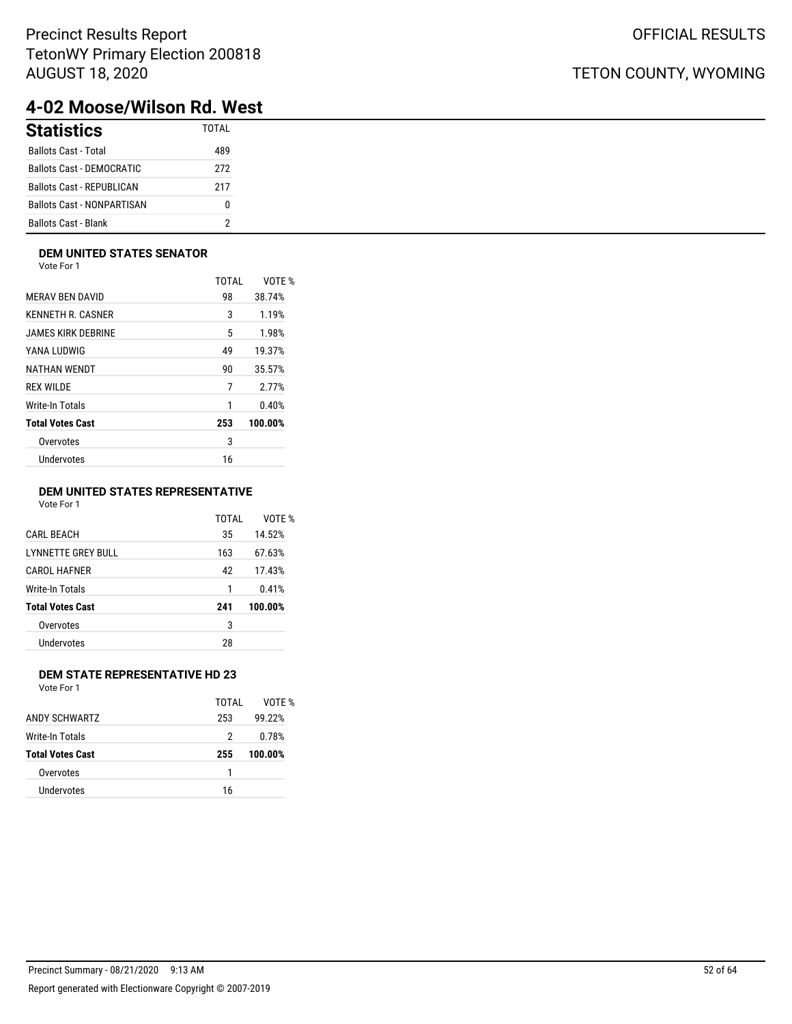## TETON COUNTY, WYOMING

# **4-02 Moose/Wilson Rd. West**

| <b>Statistics</b>                 | <b>TOTAL</b> |
|-----------------------------------|--------------|
| Ballots Cast - Total              | 489          |
| <b>Ballots Cast - DEMOCRATIC</b>  | 272          |
| <b>Ballots Cast - REPUBLICAN</b>  | 217          |
| <b>Ballots Cast - NONPARTISAN</b> |              |
| Ballots Cast - Blank              |              |

### **DEM UNITED STATES SENATOR**

Vote For 1

|                         | <b>TOTAL</b> | VOTE %  |
|-------------------------|--------------|---------|
| <b>MERAV BEN DAVID</b>  | 98           | 38.74%  |
| KENNETH R. CASNER       | 3            | 1.19%   |
| JAMES KIRK DEBRINE      | 5            | 1.98%   |
| YANA LUDWIG             | 49           | 19.37%  |
| NATHAN WENDT            | 90           | 35.57%  |
| <b>REX WILDE</b>        | 7            | 2.77%   |
| Write-In Totals         | 1            | 0.40%   |
| <b>Total Votes Cast</b> | 253          | 100.00% |
| Overvotes               | 3            |         |
| Undervotes              | 16           |         |
|                         |              |         |

### **DEM UNITED STATES REPRESENTATIVE**

Vote For 1

|                         | TOTAI | VOTF %  |
|-------------------------|-------|---------|
| <b>CARL BEACH</b>       | 35    | 14.52%  |
| LYNNETTE GREY BULL      | 163   | 67.63%  |
| <b>CAROL HAFNER</b>     | 42    | 17.43%  |
| Write-In Totals         | 1     | 0.41%   |
| <b>Total Votes Cast</b> | 241   | 100.00% |
| Overvotes               | 3     |         |
| Undervotes              | 28    |         |
|                         |       |         |

### **DEM STATE REPRESENTATIVE HD 23**

|                         | TOTAI | VOTF %  |
|-------------------------|-------|---------|
| ANDY SCHWARTZ           | 253   | 99.22%  |
| <b>Write-In Totals</b>  | 2     | 0.78%   |
| <b>Total Votes Cast</b> | 255   | 100.00% |
| Overvotes               |       |         |
| Undervotes              | 16    |         |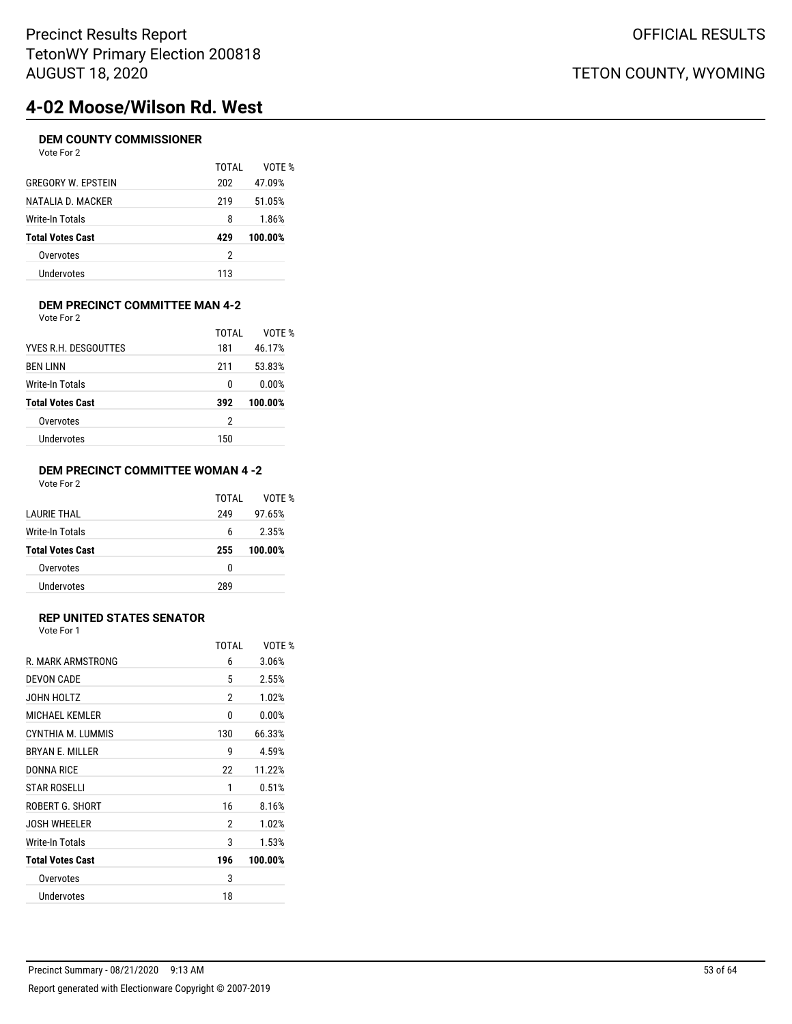# **4-02 Moose/Wilson Rd. West**

### **DEM COUNTY COMMISSIONER**

| Vote For 2                |       |         |
|---------------------------|-------|---------|
|                           | TOTAL | VOTE %  |
| <b>GREGORY W. EPSTEIN</b> | 202   | 47.09%  |
| NATALIA D. MACKER         | 219   | 51.05%  |
| Write-In Totals           | 8     | 1.86%   |
| <b>Total Votes Cast</b>   | 429   | 100.00% |
| Overvotes                 | 2     |         |
| Undervotes                | 113   |         |
|                           |       |         |

### **DEM PRECINCT COMMITTEE MAN 4-2** Vote For 2

|                         | TOTAI | VOTE %  |
|-------------------------|-------|---------|
| YVES R.H. DESGOUTTES    | 181   | 46.17%  |
| <b>BEN LINN</b>         | 211   | 53.83%  |
| Write-In Totals         | 0     | 0.00%   |
| <b>Total Votes Cast</b> | 392   | 100.00% |
| Overvotes               | 2     |         |
| Undervotes              | 150   |         |

### **DEM PRECINCT COMMITTEE WOMAN 4 -2** Vote For 2

| I AURIF THAI            | TOTAI<br>249 | VOTF %<br>97.65% |
|-------------------------|--------------|------------------|
| Write-In Totals         | 6            | 2.35%            |
| <b>Total Votes Cast</b> | 255          | 100.00%          |
| Overvotes               | 0            |                  |
| Undervotes              | 289          |                  |

### **REP UNITED STATES SENATOR**

Vote For 1

|                         | TOTAI | VOTF %  |
|-------------------------|-------|---------|
| R. MARK ARMSTRONG       | 6     | 3.06%   |
| <b>DEVON CADE</b>       | 5     | 2.55%   |
| JOHN HOLTZ              | 2     | 1.02%   |
| <b>MICHAEL KEMLER</b>   | 0     | 0.00%   |
| CYNTHIA M. LUMMIS       | 130   | 66.33%  |
| <b>BRYAN E. MILLER</b>  | 9     | 4.59%   |
| <b>DONNA RICE</b>       | 22    | 11.22%  |
| STAR ROSFI I I          | 1     | 0.51%   |
| ROBERT G. SHORT         | 16    | 8.16%   |
| <b>JOSH WHEELER</b>     | 2     | 1.02%   |
| Write-In Totals         | 3     | 1.53%   |
| <b>Total Votes Cast</b> | 196   | 100.00% |
| Overvotes               | 3     |         |
| Undervotes              | 18    |         |
|                         |       |         |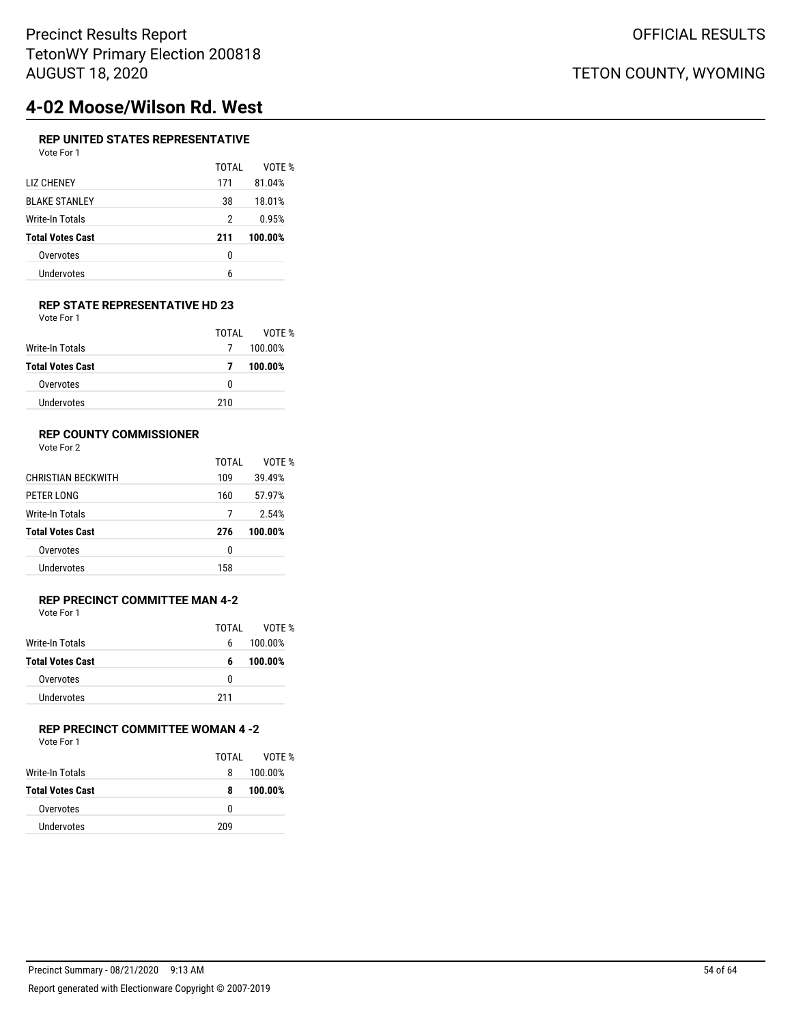# **4-02 Moose/Wilson Rd. West**

### **REP UNITED STATES REPRESENTATIVE** Vote For 1

| , , , , , , , , ,       |       |         |
|-------------------------|-------|---------|
|                         | TOTAL | VOTE %  |
| <b>LIZ CHENEY</b>       | 171   | 81.04%  |
| <b>BLAKE STANLEY</b>    | 38    | 18.01%  |
| Write-In Totals         | 2     | 0.95%   |
| <b>Total Votes Cast</b> | 211   | 100.00% |
| Overvotes               | 0     |         |
| Undervotes              | 6     |         |
|                         |       |         |

### **REP STATE REPRESENTATIVE HD 23** Vote For 1

|                         | TOTAI | VOTF %  |
|-------------------------|-------|---------|
| Write-In Totals         | 7     | 100.00% |
| <b>Total Votes Cast</b> | 7     | 100.00% |
| Overvotes               | 0     |         |
| Undervotes              | 210   |         |

### **REP COUNTY COMMISSIONER**

Vote For 2

|                           | TOTAL | VOTF %  |
|---------------------------|-------|---------|
| <b>CHRISTIAN BECKWITH</b> | 109   | 39.49%  |
| PETER LONG                | 160   | 57.97%  |
| Write-In Totals           |       | 2.54%   |
| <b>Total Votes Cast</b>   | 276   | 100.00% |
| Overvotes                 | 0     |         |
| Undervotes                | 158   |         |

### **REP PRECINCT COMMITTEE MAN 4-2** Vote For 1

|                         | TOTAI | VOTF %  |  |
|-------------------------|-------|---------|--|
|                         |       |         |  |
| Write-In Totals         | 6     | 100.00% |  |
| <b>Total Votes Cast</b> | 6     | 100.00% |  |
| Overvotes               | n     |         |  |
| <b>Undervotes</b>       | 211   |         |  |

## **REP PRECINCT COMMITTEE WOMAN 4 -2**

|                  | TOTAL | VOTF %  |
|------------------|-------|---------|
| Write-In Totals  | 8     | 100.00% |
| Total Votes Cast | 8     | 100.00% |
| Overvotes        | 0     |         |
| Undervotes       | 209   |         |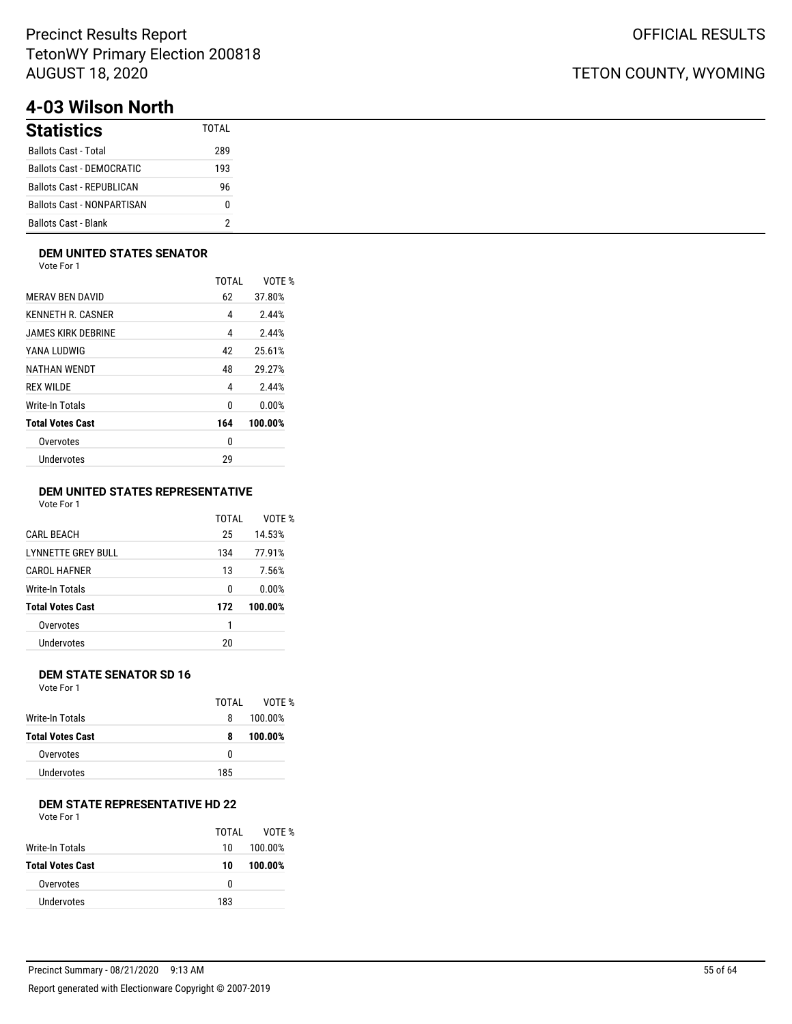# **4-03 Wilson North**

| <b>Statistics</b>                 | TOTAI |
|-----------------------------------|-------|
| <b>Ballots Cast - Total</b>       | 289   |
| <b>Ballots Cast - DEMOCRATIC</b>  | 193   |
| <b>Ballots Cast - REPUBLICAN</b>  | 96    |
| <b>Ballots Cast - NONPARTISAN</b> | N     |
| <b>Ballots Cast - Blank</b>       |       |

### **DEM UNITED STATES SENATOR**

Vote For 1

|                         | <b>TOTAL</b> | VOTF %  |
|-------------------------|--------------|---------|
| <b>MERAV BEN DAVID</b>  | 62           | 37.80%  |
| KENNETH R. CASNER       | 4            | 2.44%   |
| JAMES KIRK DEBRINE      | 4            | 2.44%   |
| YANA LUDWIG             | 42           | 25.61%  |
| NATHAN WENDT            | 48           | 29.27%  |
| <b>REX WILDE</b>        | 4            | 2.44%   |
| Write-In Totals         | 0            | 0.00%   |
| <b>Total Votes Cast</b> | 164          | 100.00% |
| Overvotes               | 0            |         |
| Undervotes              | 29           |         |
|                         |              |         |

### **DEM UNITED STATES REPRESENTATIVE**

Vote For 1

|                           | TOTAI | VOTE %  |
|---------------------------|-------|---------|
| <b>CARL BEACH</b>         | 25    | 14.53%  |
| <b>LYNNETTE GREY BULL</b> | 134   | 77.91%  |
| <b>CAROL HAFNER</b>       | 13    | 7.56%   |
| Write-In Totals           | 0     | 0.00%   |
| <b>Total Votes Cast</b>   | 172   | 100.00% |
| Overvotes                 | 1     |         |
| Undervotes                | 20    |         |
|                           |       |         |

### **DEM STATE SENATOR SD 16**

Vote For 1

|                  | TOTAL | VOTF %  |
|------------------|-------|---------|
| Write-In Totals  | 8     | 100.00% |
| Total Votes Cast | 8     | 100.00% |
| Overvotes        | 0     |         |
| Undervotes       | 185   |         |
|                  |       |         |

## **DEM STATE REPRESENTATIVE HD 22**

| Vote For 1 |  |  |
|------------|--|--|
|------------|--|--|

|                         | TOTAL | VOTF %  |
|-------------------------|-------|---------|
| Write-In Totals         | 10    | 100.00% |
| <b>Total Votes Cast</b> | 10    | 100.00% |
| Overvotes               | 0     |         |
| Undervotes              | 183   |         |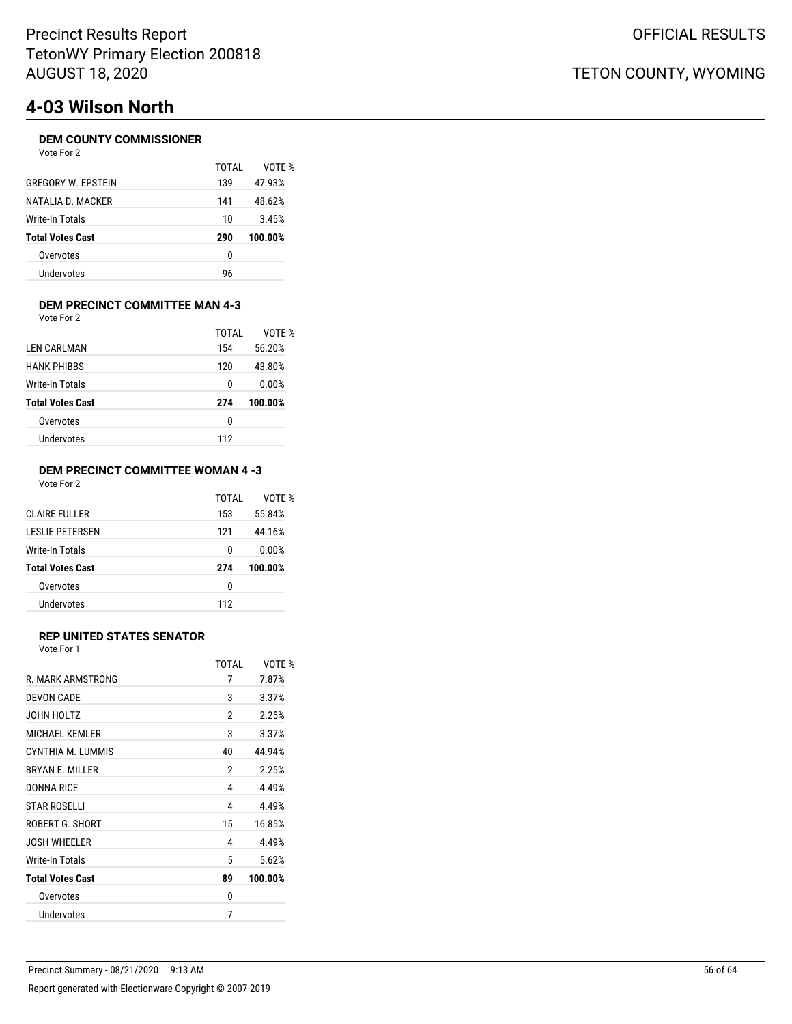# **4-03 Wilson North**

### **DEM COUNTY COMMISSIONER**

| Vote For | 2 |
|----------|---|
|----------|---|

| TOTAI | VOTF %  |
|-------|---------|
| 139   | 47.93%  |
| 141   | 48.62%  |
| 10    | 3.45%   |
| 290   | 100.00% |
| 0     |         |
| 96    |         |
|       |         |

### **DEM PRECINCT COMMITTEE MAN 4-3** Vote For 2

| LEN CARLMAN             | TOTAI<br>154 | VOTE %<br>56.20% |
|-------------------------|--------------|------------------|
| <b>HANK PHIBBS</b>      | 120          | 43.80%           |
| Write-In Totals         | 0            | 0.00%            |
| <b>Total Votes Cast</b> | 274          | 100.00%          |
| Overvotes               | 0            |                  |
| Undervotes              | 112          |                  |

### **DEM PRECINCT COMMITTEE WOMAN 4 -3** Vote For 2

|                         | TOTAI | VOTF %  |
|-------------------------|-------|---------|
| CLAIRE FULLER           | 153   | 55.84%  |
| I FSLIF PFTFRSFN        | 121   | 44.16%  |
| Write-In Totals         | 0     | 0.00%   |
| <b>Total Votes Cast</b> | 274   | 100.00% |
| Overvotes               | 0     |         |
| Undervotes              | 112   |         |

### **REP UNITED STATES SENATOR**

|                         | TOTAI | VOTF %  |
|-------------------------|-------|---------|
| R. MARK ARMSTRONG       | 7     | 7.87%   |
| <b>DEVON CADE</b>       | 3     | 3.37%   |
| JOHN HOLTZ              | 2     | 2.25%   |
| MICHAEL KEMLER          | 3     | 3.37%   |
| CYNTHIA M. LUMMIS       | 40    | 44.94%  |
| <b>BRYAN F. MILLER</b>  | 2     | 2.25%   |
| DONNA RICE              | 4     | 4.49%   |
| <b>STAR ROSELLI</b>     | 4     | 4.49%   |
| ROBERT G. SHORT         | 15    | 16.85%  |
| <b>JOSH WHEELER</b>     | 4     | 4.49%   |
| Write-In Totals         | 5     | 5.62%   |
| <b>Total Votes Cast</b> | 89    | 100.00% |
| Overvotes               | 0     |         |
| Undervotes              | 7     |         |
|                         |       |         |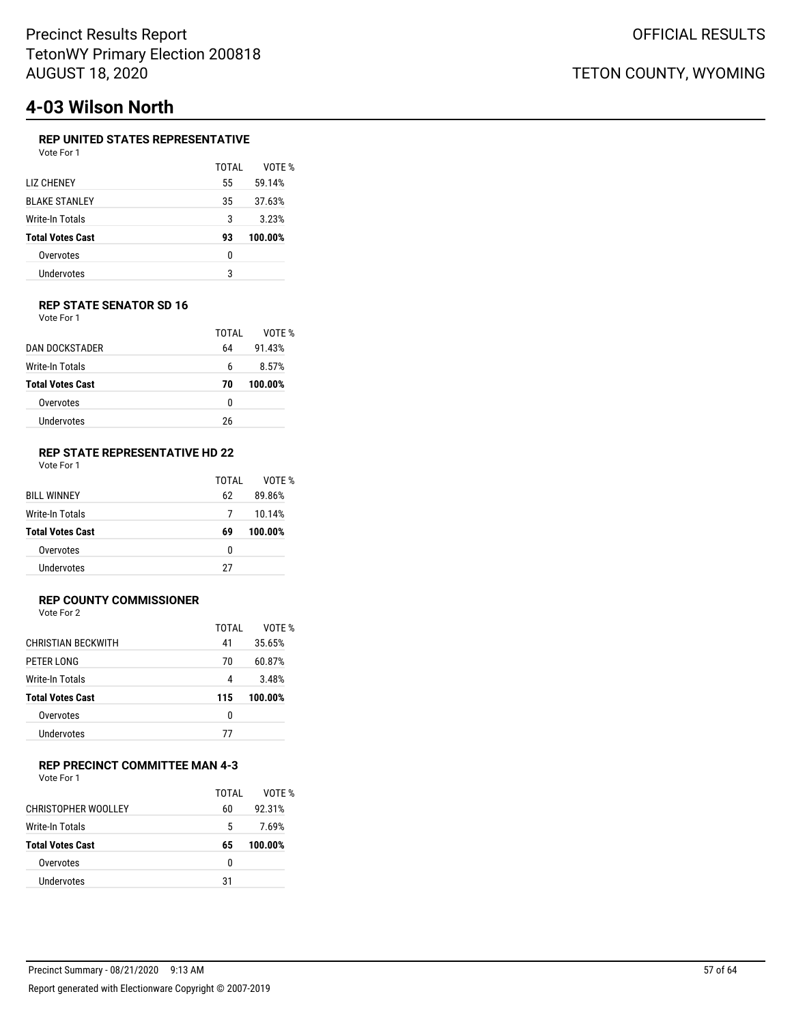# **4-03 Wilson North**

### **REP UNITED STATES REPRESENTATIVE**

| Vote For 1              |       |         |
|-------------------------|-------|---------|
|                         | TOTAL | VOTE %  |
| LIZ CHENEY              | 55    | 59.14%  |
| <b>BLAKE STANLEY</b>    | 35    | 37.63%  |
| Write-In Totals         | 3     | 3.23%   |
| <b>Total Votes Cast</b> | 93    | 100.00% |
| Overvotes               | ŋ     |         |
| Undervotes              | 3     |         |

#### **REP STATE SENATOR SD 16** Vote For 1

|                         | TOTAI | VOTF %  |
|-------------------------|-------|---------|
| DAN DOCKSTADER          | 64    | 91.43%  |
| Write-In Totals         | 6     | 8.57%   |
| <b>Total Votes Cast</b> | 70    | 100.00% |
| Overvotes               | 0     |         |
| Undervotes              | 26    |         |
|                         |       |         |

#### **REP STATE REPRESENTATIVE HD 22** Vote For 1

|                         | TOTAI | VOTF %  |
|-------------------------|-------|---------|
| <b>BILL WINNEY</b>      | 62    | 89.86%  |
| Write-In Totals         | 7     | 10.14%  |
| <b>Total Votes Cast</b> | 69    | 100.00% |
| Overvotes               | 0     |         |
| Undervotes              | 27    |         |

### **REP COUNTY COMMISSIONER**

Vote For 2

|                           | TOTAL | VOTF %  |
|---------------------------|-------|---------|
| <b>CHRISTIAN BECKWITH</b> | 41    | 35.65%  |
| PETER LONG                | 70    | 60.87%  |
| Write-In Totals           | 4     | 3.48%   |
| <b>Total Votes Cast</b>   | 115   | 100.00% |
| Overvotes                 | 0     |         |
| Undervotes                | 77    |         |
|                           |       |         |

### **REP PRECINCT COMMITTEE MAN 4-3**

Vote For 1

|                         | TOTAL | VOTF %  |
|-------------------------|-------|---------|
| CHRISTOPHER WOOLLEY     | 60    | 92.31%  |
| Write-In Totals         | 5     | 7.69%   |
| <b>Total Votes Cast</b> | 65    | 100.00% |
| Overvotes               | U     |         |
| Undervotes              | 31    |         |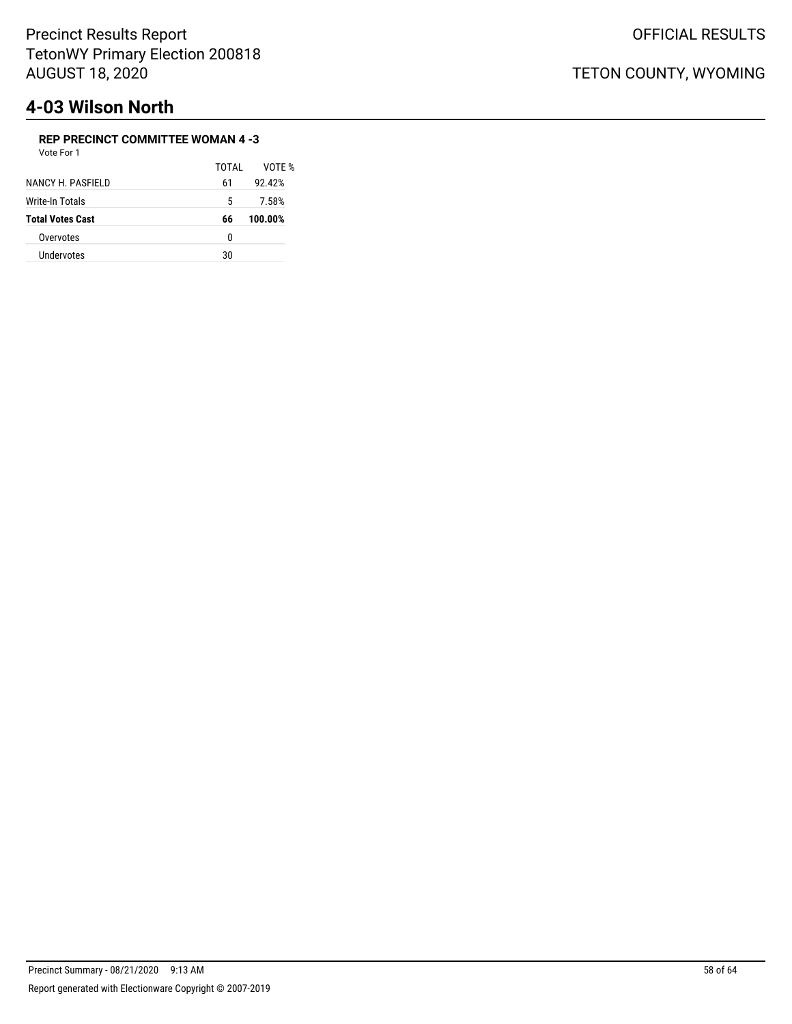# **4-03 Wilson North**

### **REP PRECINCT COMMITTEE WOMAN 4 -3**

| Vote For 1              |       |         |
|-------------------------|-------|---------|
|                         | TOTAI | VOTF %  |
| NANCY H. PASFIELD       | 61    | 92.42%  |
| Write-In Totals         | 5     | 7.58%   |
| <b>Total Votes Cast</b> | 66    | 100.00% |
| Overvotes               | 0     |         |
| Undervotes              | 30    |         |
|                         |       |         |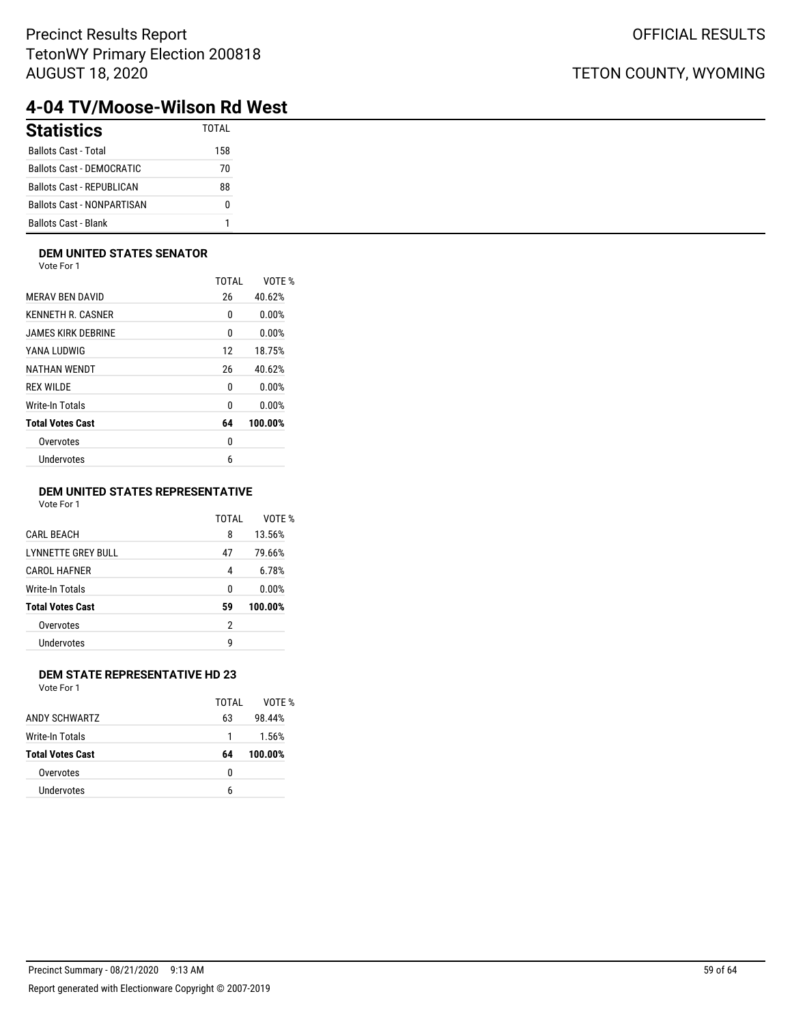## TETON COUNTY, WYOMING

# **4-04 TV/Moose-Wilson Rd West**

| <b>Statistics</b>                 | <b>TOTAL</b> |
|-----------------------------------|--------------|
| <b>Ballots Cast - Total</b>       | 158          |
| <b>Ballots Cast - DEMOCRATIC</b>  | 70           |
| <b>Ballots Cast - REPUBLICAN</b>  | 88           |
| <b>Ballots Cast - NONPARTISAN</b> |              |
| <b>Ballots Cast - Blank</b>       |              |

### **DEM UNITED STATES SENATOR**

Vote For 1

|    | VOTE %  |
|----|---------|
| 26 | 40.62%  |
| 0  | 0.00%   |
| 0  | 0.00%   |
| 12 | 18.75%  |
| 26 | 40.62%  |
| 0  | 0.00%   |
| 0  | 0.00%   |
| 64 | 100.00% |
| 0  |         |
| 6  |         |
|    | TOTAL   |

### **DEM UNITED STATES REPRESENTATIVE**

Vote For 1

|                           | TOTAI | VOTE %  |
|---------------------------|-------|---------|
| <b>CARL BEACH</b>         | 8     | 13.56%  |
| <b>LYNNETTE GREY BULL</b> | 47    | 79.66%  |
| <b>CAROL HAFNER</b>       | 4     | 6.78%   |
| Write-In Totals           | 0     | 0.00%   |
| <b>Total Votes Cast</b>   | 59    | 100.00% |
| Overvotes                 | 2     |         |
| Undervotes                | g     |         |
|                           |       |         |

### **DEM STATE REPRESENTATIVE HD 23**

|                         | TOTAI | VOTF %  |
|-------------------------|-------|---------|
| ANDY SCHWARTZ           | 63    | 98.44%  |
| Write-In Totals         |       | 1.56%   |
| <b>Total Votes Cast</b> | 64    | 100.00% |
| Overvotes               | 0     |         |
| Undervotes              | 6     |         |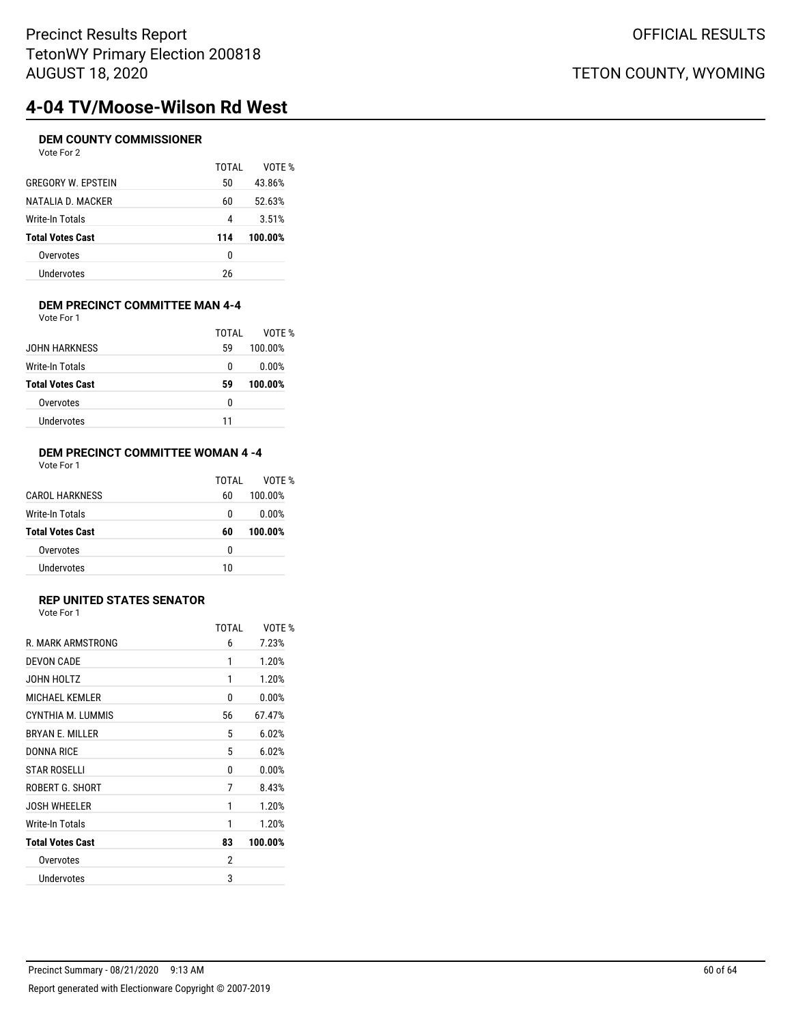# **4-04 TV/Moose-Wilson Rd West**

### **DEM COUNTY COMMISSIONER** Vote For 2

|                           | TOTAL | VOTE %  |
|---------------------------|-------|---------|
| <b>GREGORY W. EPSTEIN</b> | 50    | 43.86%  |
| NATALIA D. MACKER         | 60    | 52.63%  |
| Write-In Totals           | 4     | 3.51%   |
| <b>Total Votes Cast</b>   | 114   | 100.00% |
| Overvotes                 | 0     |         |
| Undervotes                | 26    |         |
|                           |       |         |

#### **DEM PRECINCT COMMITTEE MAN 4-4** Vote For 1

|                         | TOTAI | VOTF %  |
|-------------------------|-------|---------|
| JOHN HARKNESS           | 59    | 100.00% |
| Write-In Totals         | 0     | 0.00%   |
| <b>Total Votes Cast</b> | 59    | 100.00% |
| Overvotes               | 0     |         |
| Undervotes              | 11    |         |

#### **DEM PRECINCT COMMITTEE WOMAN 4 -4** Vote For 1

|                         | TOTAL | VOTF %  |
|-------------------------|-------|---------|
| CAROL HARKNESS          | 60    | 100.00% |
| Write-In Totals         | 0     | 0.00%   |
| <b>Total Votes Cast</b> | 60    | 100.00% |
| Overvotes               | 0     |         |
| Undervotes              | 10    |         |

## **REP UNITED STATES SENATOR**

|                         | TOTAL | VOTE %  |
|-------------------------|-------|---------|
| R. MARK ARMSTRONG       | 6     | 7.23%   |
| <b>DEVON CADE</b>       | 1     | 1.20%   |
| JOHN HOLTZ              | 1     | 1.20%   |
| <b>MICHAEL KEMLER</b>   | 0     | 0.00%   |
| CYNTHIA M. LUMMIS       | 56    | 67.47%  |
| <b>BRYAN E. MILLER</b>  | 5     | 6.02%   |
| <b>DONNA RICE</b>       | 5     | 6.02%   |
| <b>STAR ROSELLI</b>     | 0     | 0.00%   |
| ROBERT G. SHORT         | 7     | 8.43%   |
| <b>JOSH WHEELER</b>     | 1     | 1.20%   |
| Write-In Totals         | 1     | 1.20%   |
| <b>Total Votes Cast</b> | 83    | 100.00% |
| Overvotes               | 2     |         |
| Undervotes              | 3     |         |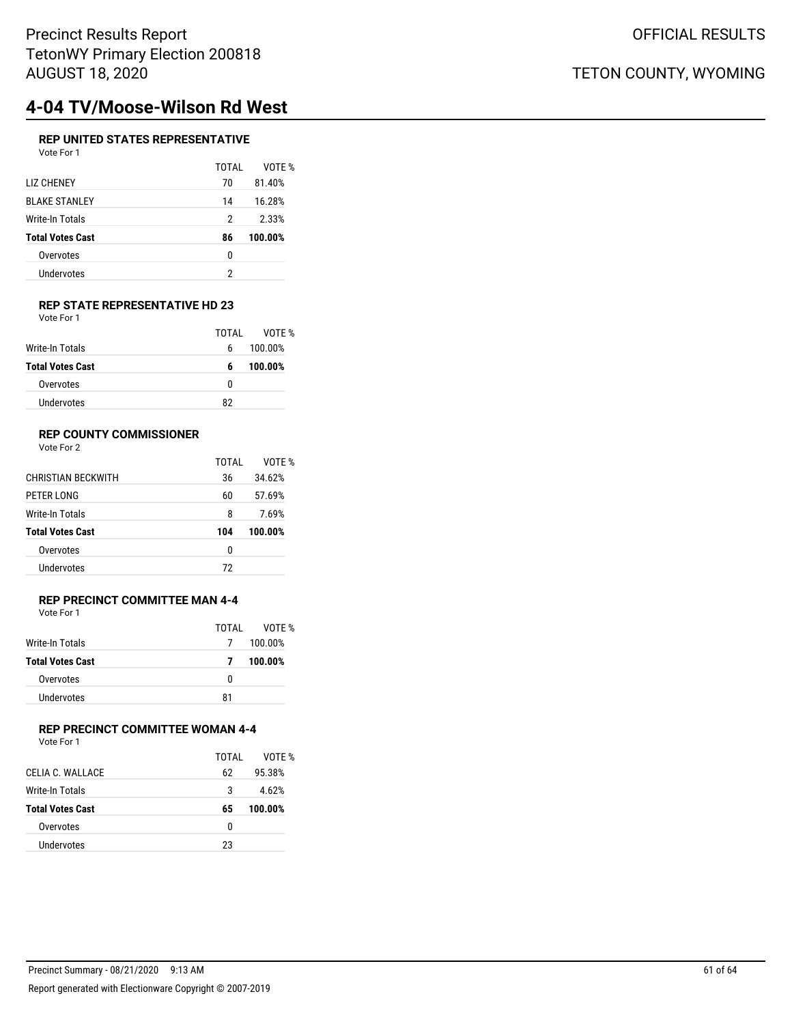## TETON COUNTY, WYOMING

# **4-04 TV/Moose-Wilson Rd West**

### **REP UNITED STATES REPRESENTATIVE** Vote For 1

|                         | TOTAI | VOTE %  |
|-------------------------|-------|---------|
| LIZ CHENEY              | 70    | 81.40%  |
| <b>BLAKE STANLEY</b>    | 14    | 16.28%  |
| Write-In Totals         | 2     | 2.33%   |
| <b>Total Votes Cast</b> | 86    | 100.00% |
| Overvotes               | 0     |         |
| Undervotes              | 2     |         |
|                         |       |         |

#### **REP STATE REPRESENTATIVE HD 23** Vote For 1

|                         | TOTAI | VOTF %  |
|-------------------------|-------|---------|
|                         |       |         |
| Write-In Totals         | 6     | 100.00% |
| <b>Total Votes Cast</b> | 6     | 100.00% |
| Overvotes               | 0     |         |
| Undervotes              | 82    |         |

### **REP COUNTY COMMISSIONER**

Vote For 2

|                           | TOTAI | VOTF %  |
|---------------------------|-------|---------|
| <b>CHRISTIAN BECKWITH</b> | 36    | 34.62%  |
| PETER LONG                | 60    | 57.69%  |
| Write-In Totals           | 8     | 7.69%   |
| <b>Total Votes Cast</b>   | 104   | 100.00% |
| Overvotes                 | 0     |         |
| Undervotes                | 72    |         |
|                           |       |         |

### **REP PRECINCT COMMITTEE MAN 4-4** Vote For 1

|                         | TOTAL | VOTE %  |
|-------------------------|-------|---------|
| Write-In Totals         | 7     | 100.00% |
| <b>Total Votes Cast</b> | 7     | 100.00% |
| Overvotes               | n     |         |
| Undervotes              | 81    |         |

## **REP PRECINCT COMMITTEE WOMAN 4-4**

| Vote For 1 |  |  |
|------------|--|--|
|------------|--|--|

|                         | TOTAL | VOTF %  |
|-------------------------|-------|---------|
| CELIA C. WALLACE        | 62    | 95.38%  |
| Write-In Totals         | 3     | 4.62%   |
| <b>Total Votes Cast</b> | 65    | 100.00% |
| Overvotes               | n     |         |
| <b>Undervotes</b>       | 23    |         |
|                         |       |         |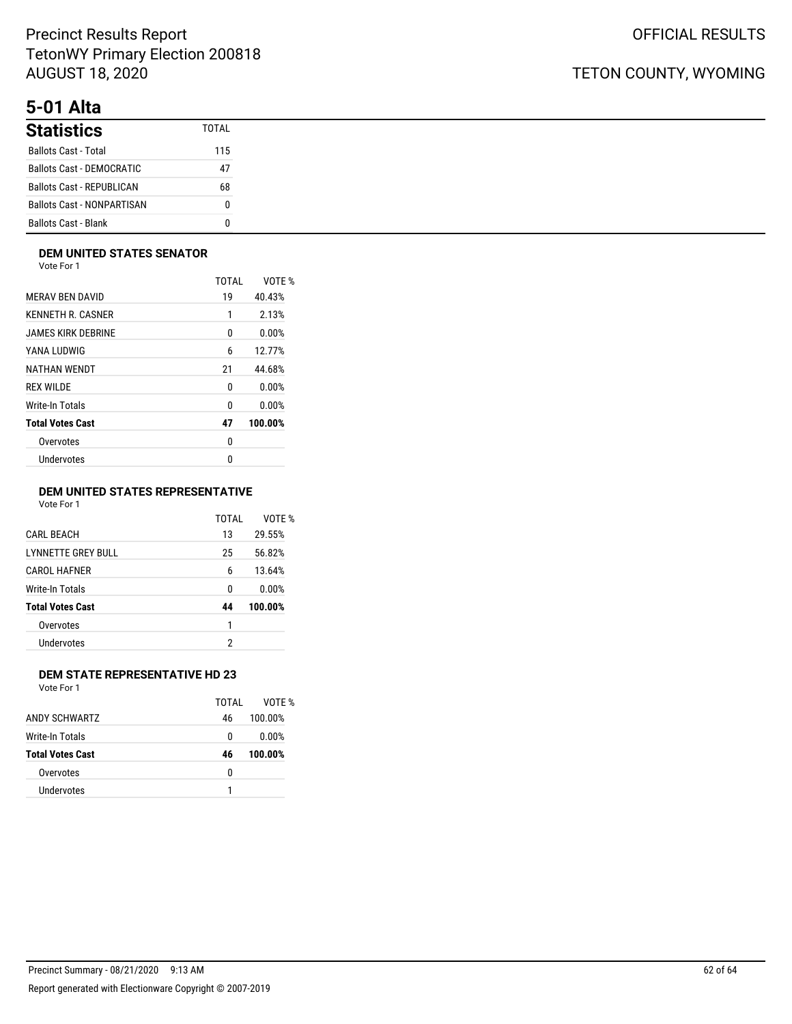# **5-01 Alta**

| <b>Statistics</b>                 | TOTAI |
|-----------------------------------|-------|
| <b>Ballots Cast - Total</b>       | 115   |
| <b>Ballots Cast - DEMOCRATIC</b>  | 47    |
| Ballots Cast - REPUBLICAN         | 68    |
| <b>Ballots Cast - NONPARTISAN</b> |       |
| <b>Ballots Cast - Blank</b>       |       |

### **DEM UNITED STATES SENATOR**

Vote For 1

|                         | TOTAI | VOTE %  |
|-------------------------|-------|---------|
| <b>MERAV BEN DAVID</b>  | 19    | 40.43%  |
| KENNETH R. CASNER       | 1     | 2.13%   |
| JAMES KIRK DEBRINE      | 0     | 0.00%   |
| YANA LUDWIG             | 6     | 12.77%  |
| NATHAN WENDT            | 21    | 44.68%  |
| <b>REX WILDE</b>        | 0     | 0.00%   |
| Write-In Totals         | 0     | 0.00%   |
| <b>Total Votes Cast</b> | 47    | 100.00% |
| Overvotes               | 0     |         |
| Undervotes              | 0     |         |
|                         |       |         |

### **DEM UNITED STATES REPRESENTATIVE**

Vote For 1

|                         | TOTAI | VOTF %  |
|-------------------------|-------|---------|
| CARI BEACH              | 13    | 29.55%  |
| LYNNETTE GREY BULL      | 25    | 56.82%  |
| <b>CAROL HAFNER</b>     | 6     | 13.64%  |
| Write-In Totals         | 0     | 0.00%   |
| <b>Total Votes Cast</b> | 44    | 100.00% |
| Overvotes               | 1     |         |
| Undervotes              | 2     |         |
|                         |       |         |

### **DEM STATE REPRESENTATIVE HD 23**

|                         | TOTAI | VOTF %  |
|-------------------------|-------|---------|
| ANDY SCHWARTZ           | 46    | 100.00% |
| Write-In Totals         | 0     | 0.00%   |
| <b>Total Votes Cast</b> | 46    | 100.00% |
| Overvotes               | 0     |         |
| Undervotes              |       |         |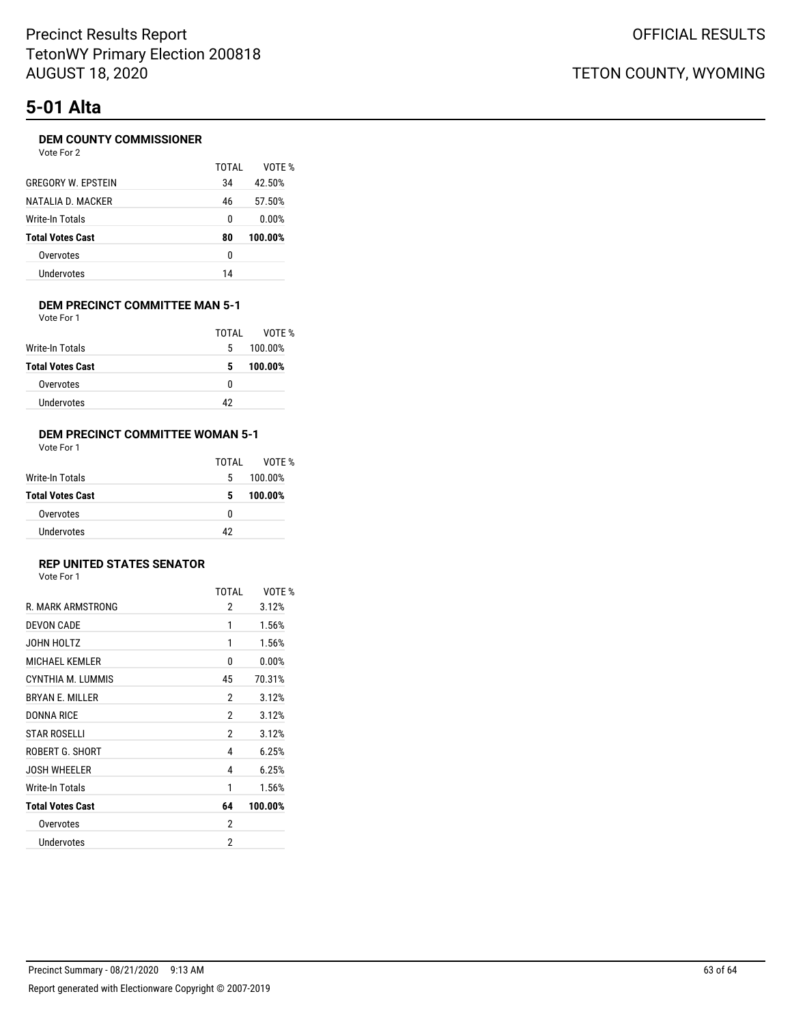# **5-01 Alta**

### **DEM COUNTY COMMISSIONER**

|                           | TOTAI | VOTF %  |
|---------------------------|-------|---------|
| <b>GREGORY W. FPSTEIN</b> | 34    | 42.50%  |
| NATALIA D. MACKER         | 46    | 57.50%  |
| Write-In Totals           | 0     | 0.00%   |
| <b>Total Votes Cast</b>   | 80    | 100.00% |
| Overvotes                 | 0     |         |
| <b>Undervotes</b>         | 14    |         |

#### **DEM PRECINCT COMMITTEE MAN 5-1** Vote For 1

|                         | TOTAL | VOTE %  |
|-------------------------|-------|---------|
| Write-In Totals         | 5     | 100.00% |
| <b>Total Votes Cast</b> | 5     | 100.00% |
| Overvotes               | 0     |         |
| <b>Undervotes</b>       | 42    |         |

### **DEM PRECINCT COMMITTEE WOMAN 5-1**

Vote For 1

|                         | TOTAL | VOTF %  |
|-------------------------|-------|---------|
| Write-In Totals         | 5     | 100.00% |
| <b>Total Votes Cast</b> | 5     | 100.00% |
| Overvotes               | o     |         |
| Undervotes              | 42    |         |

### **REP UNITED STATES SENATOR**

|                         | <b>TOTAL</b>   | VOTE %  |
|-------------------------|----------------|---------|
| R. MARK ARMSTRONG       | 2              | 3.12%   |
| <b>DEVON CADE</b>       | 1              | 1.56%   |
| JOHN HOLTZ              | 1              | 1.56%   |
| <b>MICHAEL KEMLER</b>   | 0              | 0.00%   |
| CYNTHIA M. LUMMIS       | 45             | 70.31%  |
| <b>BRYAN E. MILLER</b>  | 2              | 3.12%   |
| <b>DONNA RICE</b>       | 2              | 3.12%   |
| <b>STAR ROSELLI</b>     | $\overline{2}$ | 3.12%   |
| ROBERT G. SHORT         | 4              | 6.25%   |
| <b>JOSH WHEELER</b>     | 4              | 6.25%   |
| Write-In Totals         | 1              | 1.56%   |
| <b>Total Votes Cast</b> | 64             | 100.00% |
| Overvotes               | 2              |         |
| Undervotes              | 2              |         |
|                         |                |         |